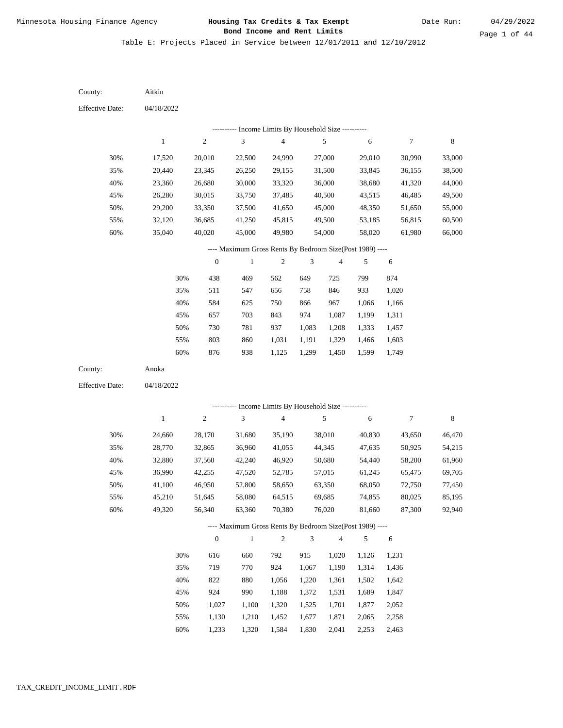Date Run:

Table E: Projects Placed in Service between 12/01/2011 and 12/10/2012

| County:                | Aitkin           |                  |                                                          |                  |                |                  |                  |                  |                  |
|------------------------|------------------|------------------|----------------------------------------------------------|------------------|----------------|------------------|------------------|------------------|------------------|
| <b>Effective Date:</b> | 04/18/2022       |                  |                                                          |                  |                |                  |                  |                  |                  |
|                        |                  |                  | --------- Income Limits By Household Size ----------     |                  |                |                  |                  |                  |                  |
|                        | $\mathbf{1}$     | 2                | 3                                                        | $\overline{4}$   |                | 5                | 6                | 7                | 8                |
| 30%                    | 17,520           | 20,010           | 22,500                                                   | 24,990           |                | 27,000           | 29,010           | 30,990           | 33,000           |
| 35%                    | 20,440           | 23,345           | 26,250                                                   | 29,155           |                | 31,500           | 33,845           | 36,155           | 38,500           |
| 40%                    | 23,360           | 26,680           | 30,000                                                   | 33,320           |                | 36,000           | 38,680           | 41,320           | 44,000           |
| 45%                    | 26,280           | 30,015           | 33,750                                                   | 37,485           |                | 40,500           | 43,515           | 46,485           | 49,500           |
| 50%                    | 29,200           | 33,350           | 37,500                                                   | 41,650           |                | 45,000           | 48,350           | 51,650           | 55,000           |
| 55%                    | 32,120           | 36,685           | 41,250                                                   | 45,815           |                | 49,500           | 53,185           | 56,815           | 60,500           |
| 60%                    | 35,040           | 40,020           | 45,000                                                   | 49,980           |                | 54,000           | 58,020           | 61,980           | 66,000           |
|                        |                  |                  | ---- Maximum Gross Rents By Bedroom Size(Post 1989) ---- |                  |                |                  |                  |                  |                  |
|                        |                  | $\boldsymbol{0}$ | $\mathbf{1}$                                             | $\sqrt{2}$       | $\sqrt{3}$     | $\overline{4}$   | 5                | 6                |                  |
|                        | 30%              | 438              | 469                                                      | 562              | 649            | 725              | 799              | 874              |                  |
|                        | 35%              | 511              | 547                                                      | 656              | 758            | 846              | 933              | 1,020            |                  |
|                        | 40%              | 584              | 625                                                      | 750              | 866            | 967              | 1,066            | 1,166            |                  |
|                        | 45%              | 657              | 703                                                      | 843              | 974            | 1,087            | 1,199            | 1,311            |                  |
|                        | 50%              | 730              | 781                                                      | 937              | 1,083          | 1,208            | 1,333            | 1,457            |                  |
|                        | 55%              | 803              | 860                                                      | 1,031            | 1,191          | 1,329            | 1,466            | 1,603            |                  |
|                        | 60%              | 876              | 938                                                      | 1,125            | 1,299          | 1,450            | 1,599            | 1,749            |                  |
| County:                | Anoka            |                  |                                                          |                  |                |                  |                  |                  |                  |
| <b>Effective Date:</b> | 04/18/2022       |                  |                                                          |                  |                |                  |                  |                  |                  |
|                        |                  |                  | --------- Income Limits By Household Size ----------     |                  |                |                  |                  |                  |                  |
|                        | $\mathbf{1}$     | $\mathbf{2}$     | 3                                                        | $\overline{4}$   |                | 5                | $\sqrt{6}$       | 7                | $\,8\,$          |
|                        |                  |                  |                                                          |                  |                |                  |                  |                  |                  |
| 30%                    | 24,660           | 28,170           | 31,680                                                   | 35,190           |                | 38,010           | 40,830           | 43,650           | 46,470           |
| 35%                    | 28,770           | 32,865           | 36,960                                                   | 41,055           |                | 44,345           | 47,635           | 50,925           | 54,215           |
| 40%<br>45%             | 32,880           | 37,560<br>42,255 | 42,240                                                   | 46,920           |                | 50,680<br>57,015 | 54,440           | 58,200           | 61,960           |
| 50%                    | 36,990<br>41,100 | 46,950           | 47,520<br>52,800                                         | 52,785<br>58,650 |                | 63,350           | 61,245<br>68,050 | 65,475<br>72,750 | 69,705<br>77,450 |
| 55%                    | 45,210           | 51,645           | 58,080                                                   | 64,515           |                | 69,685           | 74,855           | 80,025           | 85,195           |
| 60%                    | 49,320           | 56,340           | 63,360                                                   | 70,380           |                | 76,020           | 81,660           | 87,300           | 92,940           |
|                        |                  |                  | ---- Maximum Gross Rents By Bedroom Size(Post 1989) ---- |                  |                |                  |                  |                  |                  |
|                        |                  | $\mathbf{0}$     | $\,1\,$                                                  | $\sqrt{2}$       | $\mathfrak{Z}$ | $\overline{4}$   | $\sqrt{5}$       | 6                |                  |
|                        |                  | 616              |                                                          |                  |                |                  |                  | 1,231            |                  |
|                        | 30%<br>35%       | 719              | 660<br>770                                               | 792<br>924       | 915<br>1,067   | 1,020<br>1,190   | 1,126<br>1,314   | 1,436            |                  |
|                        | 40%              | 822              | 880                                                      | 1,056            | 1,220          | 1,361            | 1,502            | 1,642            |                  |
|                        | 45%              | 924              | 990                                                      | 1,188            | 1,372          | 1,531            | 1,689            | 1,847            |                  |
|                        | 50%              | 1,027            | 1,100                                                    | 1,320            | 1,525          | 1,701            | 1,877            | 2,052            |                  |
|                        | 55%              | 1,130            | 1,210                                                    | 1,452            | 1,677          | 1,871            | 2,065            | 2,258            |                  |
|                        |                  |                  |                                                          |                  |                |                  |                  |                  |                  |

1,233 1,320 1,584 1,830 2,041 2,253 2,463 60%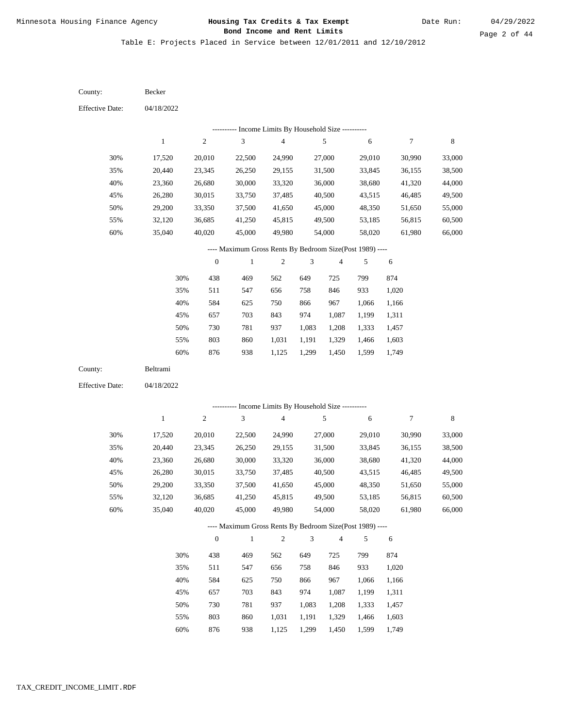Date Run:

Page 2 of 44

Table E: Projects Placed in Service between 12/01/2011 and 12/10/2012

04/18/2022 04/18/2022 Becker Beltrami 30% 35% 40% 45% 50% 55% 60% 30% 35% 40% 45% 50% 55% 60% 17,520 20,440 23,360 26,280 29,200 32,120 35,040 17,520 20,440 23,360 26,280 29,200 32,120 35,040 20,010 23,345 26,680 30,015 33,350 36,685 40,020 20,010 23,345 26,680 30,015 33,350 36,685 40,020 22,500 26,250 30,000 33,750 37,500 41,250 45,000 22,500 26,250 30,000 33,750 37,500 41,250 45,000 24,990 29,155 33,320 37,485 41,650 45,815 49,980 24,990 29,155 33,320 37,485 41,650 45,815 49,980 27,000 31,500 36,000 40,500 45,000 49,500 54,000 27,000 31,500 36,000 40,500 45,000 49,500 54,000 29,010 33,845 38,680 43,515 48,350 53,185 58,020 29,010 33,845 38,680 43,515 48,350 53,185 58,020 30,990 36,155 41,320 46,485 51,650 56,815 61,980 30,990 36,155 41,320 46,485 51,650 56,815 61,980 33,000 38,500 44,000 49,500 55,000 60,500 66,000 33,000 38,500 44,000 49,500 55,000 60,500 66,000 438 511 584 657 730 803 876 438 511 584 657 730 803 469 547 625 703 781 860 938 469 547 625 703 781 860 562 656 750 843 937 1,031 1,125 562 656 750 843 937 1,031 649 758 866 974 1,083 1,191 1,299 649 758 866 974 1,083 1,191 725 846 967 1,087 1,208 1,329 1,450 725 846 967 1,087 1,208 1,329 799 933 1,066 1,199 1,333 1,466 1,599 799 933 1,066 1,199 1,333 1,466 874 1,020 1,166 1,311 1,457 1,603 1,749 874 1,020 1,166 1,311 1,457 1,603 County: County: Effective Date: Effective Date: 1 1 2 2 3 3 4 4 5 5 6 6 7 7 8 8 0 0 1 1 2 2 3 3 4 4 5 5 6 6 ---------- Income Limits By Household Size ---------- ---------- Income Limits By Household Size ---------- ---- Maximum Gross Rents By Bedroom Size(Post 1989) ---- ---- Maximum Gross Rents By Bedroom Size(Post 1989) ---- 30% 35% 40% 45% 50% 55% 60% 30% 35% 40% 45% 50% 55%

876

60%

938

1,125

1,299

1,450

1,599

1,749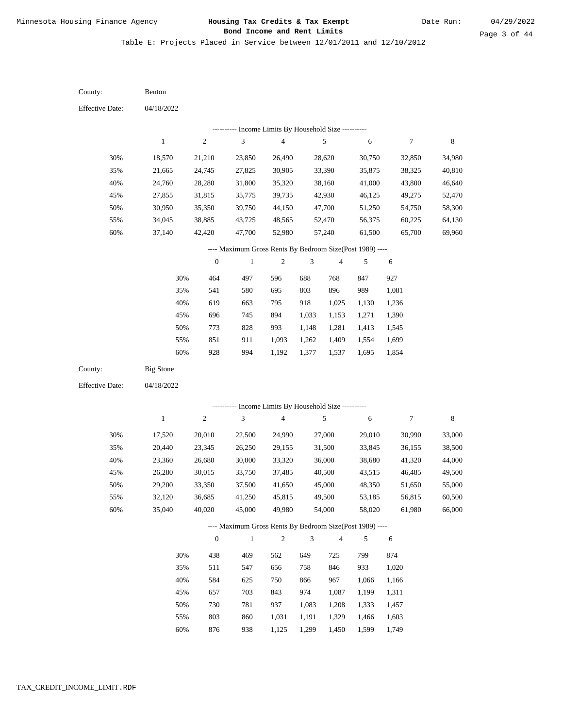Date Run:

Page 3 of 44

Table E: Projects Placed in Service between 12/01/2011 and 12/10/2012

| County:                | Benton           |                  |                                                          |                                            |                |                |        |        |             |
|------------------------|------------------|------------------|----------------------------------------------------------|--------------------------------------------|----------------|----------------|--------|--------|-------------|
| <b>Effective Date:</b> | 04/18/2022       |                  |                                                          |                                            |                |                |        |        |             |
|                        |                  |                  |                                                          | Income Limits By Household Size ---------- |                |                |        |        |             |
|                        | $\mathbf{1}$     | $\sqrt{2}$       | $\ensuremath{\mathfrak{Z}}$                              | $\overline{\mathbf{4}}$                    |                | 5              | 6      | 7      | $\,$ 8 $\,$ |
| 30%                    | 18,570           | 21,210           | 23,850                                                   | 26,490                                     |                | 28,620         | 30,750 | 32,850 | 34,980      |
| 35%                    | 21,665           | 24,745           | 27,825                                                   | 30,905                                     |                | 33,390         | 35,875 | 38,325 | 40,810      |
| 40%                    | 24,760           | 28,280           | 31,800                                                   | 35,320                                     |                | 38,160         | 41,000 | 43,800 | 46,640      |
| 45%                    | 27,855           | 31,815           | 35,775                                                   | 39,735                                     |                | 42,930         | 46,125 | 49,275 | 52,470      |
| 50%                    | 30,950           | 35,350           | 39,750                                                   | 44,150                                     |                | 47,700         | 51,250 | 54,750 | 58,300      |
| 55%                    | 34,045           | 38,885           | 43,725                                                   | 48,565                                     |                | 52,470         | 56,375 | 60,225 | 64,130      |
| $60\%$                 | 37,140           | 42,420           | 47,700                                                   | 52,980                                     |                | 57,240         | 61,500 | 65,700 | 69,960      |
|                        |                  |                  | ---- Maximum Gross Rents By Bedroom Size(Post 1989) ---- |                                            |                |                |        |        |             |
|                        |                  | $\boldsymbol{0}$ | $\,1$                                                    | 2                                          | 3              | $\overline{4}$ | 5      | 6      |             |
|                        | 30%              | 464              | 497                                                      | 596                                        | 688            | 768            | 847    | 927    |             |
|                        | 35%              | 541              | 580                                                      | 695                                        | 803            | 896            | 989    | 1,081  |             |
|                        | 40%              | 619              | 663                                                      | 795                                        | 918            | 1,025          | 1,130  | 1,236  |             |
|                        | 45%              | 696              | 745                                                      | 894                                        | 1,033          | 1,153          | 1,271  | 1,390  |             |
|                        | 50%              | 773              | 828                                                      | 993                                        | 1,148          | 1,281          | 1,413  | 1,545  |             |
|                        | 55%              | 851              | 911                                                      | 1,093                                      | 1,262          | 1,409          | 1,554  | 1,699  |             |
|                        | 60%              | 928              | 994                                                      | 1,192                                      | 1,377          | 1,537          | 1,695  | 1,854  |             |
|                        |                  |                  |                                                          |                                            |                |                |        |        |             |
| County:                | <b>Big Stone</b> |                  |                                                          |                                            |                |                |        |        |             |
| <b>Effective Date:</b> | 04/18/2022       |                  |                                                          |                                            |                |                |        |        |             |
|                        |                  |                  |                                                          |                                            |                |                |        |        |             |
|                        |                  |                  | ---------- Income Limits By Household Size ----------    |                                            |                |                |        |        |             |
|                        | $\mathbf{1}$     | $\sqrt{2}$       | $\ensuremath{\mathfrak{Z}}$                              | $\overline{\mathbf{4}}$                    |                | 5              | 6      | 7      | $\,$ 8 $\,$ |
| 30%                    | 17,520           | 20,010           | 22,500                                                   | 24,990                                     |                | 27,000         | 29,010 | 30,990 | 33,000      |
| 35%                    | 20,440           | 23,345           | 26,250                                                   | 29,155                                     |                | 31,500         | 33,845 | 36,155 | 38,500      |
| 40%                    | 23,360           | 26,680           | 30,000                                                   | 33,320                                     |                | 36,000         | 38,680 | 41,320 | 44,000      |
| 45%                    | 26,280           | 30,015           | 33,750                                                   | 37,485                                     |                | 40,500         | 43,515 | 46,485 | 49,500      |
| 50%                    | 29,200           | 33,350           | 37,500                                                   | 41,650                                     |                | 45,000         | 48,350 | 51,650 | 55,000      |
| 55%                    | 32,120           | 36,685           | 41,250                                                   | 45,815                                     |                | 49,500         | 53,185 | 56,815 | 60,500      |
| 60%                    | 35,040           | 40,020           | 45,000                                                   | 49,980                                     |                | 54,000         | 58,020 | 61,980 | 66,000      |
|                        |                  |                  | ---- Maximum Gross Rents By Bedroom Size(Post 1989) ---- |                                            |                |                |        |        |             |
|                        |                  | $\boldsymbol{0}$ | $\mathbf{1}$                                             | $\sqrt{2}$                                 | $\mathfrak{Z}$ | $\overline{4}$ | 5      | 6      |             |
|                        | 30%              | 438              | 469                                                      | 562                                        | 649            | 725            | 799    | 874    |             |
|                        | 35%              | 511              | 547                                                      | 656                                        | 758            | 846            | 933    | 1,020  |             |
|                        | 40%              | 584              | 625                                                      | 750                                        | 866            | 967            | 1,066  | 1,166  |             |
|                        | 45%              | 657              | 703                                                      | 843                                        | 974            | 1,087          | 1,199  | 1,311  |             |
|                        | 50%              | 730              | 781                                                      | 937                                        | 1,083          | 1,208          | 1,333  | 1,457  |             |
|                        | 55%              | 803              | 860                                                      | 1,031                                      | 1,191          | 1,329          | 1,466  | 1,603  |             |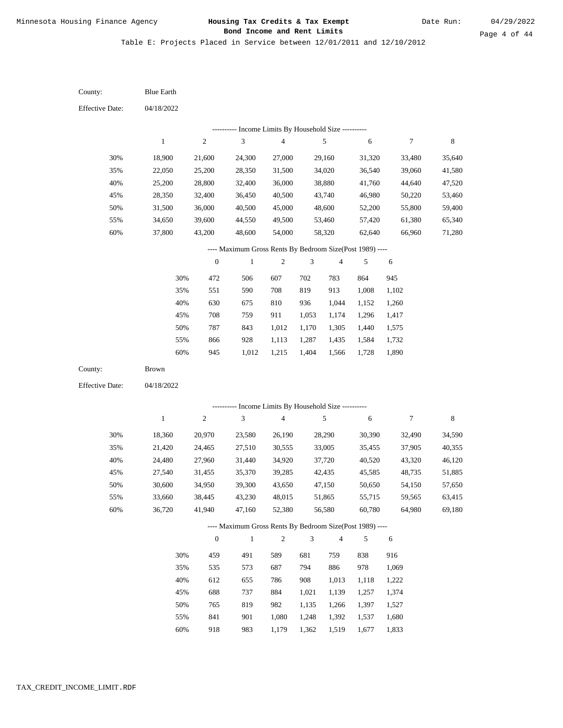Table E: Projects Placed in Service between 12/01/2011 and 12/10/2012

04/18/2022 04/18/2022 Blue Earth Brown 30% 35% 40% 45% 50% 55% 60% 30% 35% 40% 45% 50% 55% 60% 18,900 22,050 25,200 28,350 31,500 34,650 37,800 18,360 21,420 24,480 27,540 30,600 33,660 36,720 21,600 25,200 28,800 32,400 36,000 39,600 43,200 20,970 24,465 27,960 31,455 34,950 38,445 41,940 24,300 28,350 32,400 36,450 40,500 44,550 48,600 23,580 27,510 31,440 35,370 39,300 43,230 47,160 27,000 31,500 36,000 40,500 45,000 49,500 54,000 26,190 30,555 34,920 39,285 43,650 48,015 52,380 29,160 34,020 38,880 43,740 48,600 53,460 58,320 28,290 33,005 37,720 42,435 47,150 51,865 56,580 31,320 36,540 41,760 46,980 52,200 57,420 62,640 30,390 35,455 40,520 45,585 50,650 55,715 60,780 33,480 39,060 44,640 50,220 55,800 61,380 66,960 32,490 37,905 43,320 48,735 54,150 59,565 64,980 35,640 41,580 47,520 53,460 59,400 65,340 71,280 34,590 40,355 46,120 51,885 57,650 63,415 69,180 472 551 630 708 787 866 945 459 535 612 688 765 841 918 506 590 675 759 843 928 1,012 491 573 655 737 819 901 983 607 708 810 911 1,012 1,113 1,215 589 687 786 884 982 1,080 1,179 702 819 936 1,053 1,170 1,287 1,404 681 794 908 1,021 1,135 1,248 1,362 783 913 1,044 1,174 1,305 1,435 1,566 759 886 1,013 1,139 1,266 1,392 1,519 864 1,008 1,152 1,296 1,440 1,584 1,728 838 978 1,118 1,257 1,397 1,537 1,677 945 1,102 1,260 1,417 1,575 1,732 1,890 916 1,069 1,222 1,374 1,527 1,680 1,833 County: County: Effective Date: Effective Date: 1 1 2 2 3 3 4 4 5 5 6 6 7 7 8 8 0 0 1 1 2 2 3 3 4 4 5 5 6 6 ---------- Income Limits By Household Size ---------- ---------- Income Limits By Household Size ---------- ---- Maximum Gross Rents By Bedroom Size(Post 1989) ---- ---- Maximum Gross Rents By Bedroom Size(Post 1989) ---- 30% 35% 40% 45% 50% 55% 60% 30% 35% 40% 45% 50% 55% 60%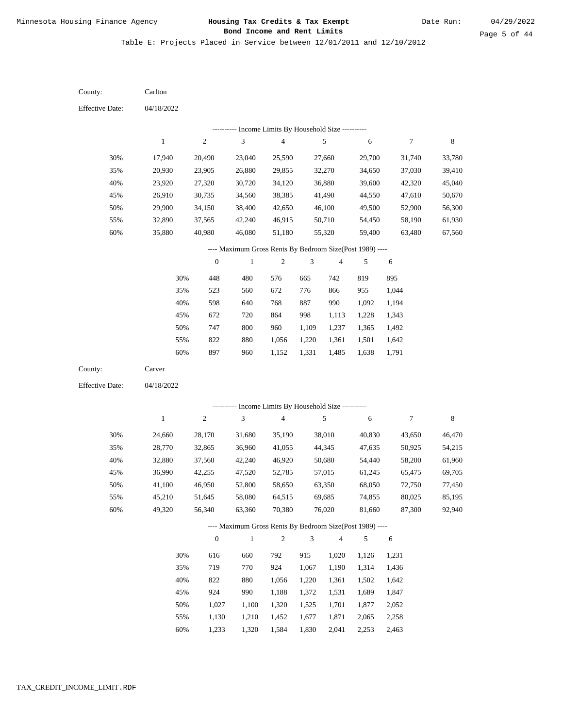Date Run:

Page 5 of 44

Table E: Projects Placed in Service between 12/01/2011 and 12/10/2012

04/18/2022 04/18/2022 Carlton Carver 30% 35% 40% 45% 50% 55% 60% 30% 35% 40% 45% 50% 55% 60% 17,940 20,930 23,920 26,910 29,900 32,890 35,880 24,660 28,770 32,880 36,990 41,100 45,210 49,320 20,490 23,905 27,320 30,735 34,150 37,565 40,980 28,170 32,865 37,560 42,255 46,950 51,645 56,340 23,040 26,880 30,720 34,560 38,400 42,240 46,080 31,680 36,960 42,240 47,520 52,800 58,080 63,360 25,590 29,855 34,120 38,385 42,650 46,915 51,180 35,190 41,055 46,920 52,785 58,650 64,515 70,380 27,660 32,270 36,880 41,490 46,100 50,710 55,320 38,010 44,345 50,680 57,015 63,350 69,685 76,020 29,700 34,650 39,600 44,550 49,500 54,450 59,400 40,830 47,635 54,440 61,245 68,050 74,855 81,660 31,740 37,030 42,320 47,610 52,900 58,190 63,480 43,650 50,925 58,200 65,475 72,750 80,025 87,300 33,780 39,410 45,040 50,670 56,300 61,930 67,560 46,470 54,215 61,960 69,705 77,450 85,195 92,940 448 523 598 672 747 822 897 616 719 822 924 1,027 1,130 480 560 640 720 800 880 960 660 770 880 990 1,100 1,210 576 672 768 864 960 1,056 1,152 792 924 1,056 1,188 1,320 1,452 665 776 887 998 1,109 1,220 1,331 915 1,067 1,220 1,372 1,525 1,677 742 866 990 1,113 1,237 1,361 1,485 1,020 1,190 1,361 1,531 1,701 1,871 819 955 1,092 1,228 1,365 1,501 1,638 1,126 1,314 1,502 1,689 1,877 2,065 895 1,044 1,194 1,343 1,492 1,642 1,791 1,231 1,436 1,642 1,847 2,052 2,258 County: County: Effective Date: Effective Date: 1 1 2 2 3 3 4 4 5 5 6 6 7 7 8 8 0 0 1 1 2 2 3 3 4 4 5 5 6 6 ---------- Income Limits By Household Size ---------- ---------- Income Limits By Household Size ---------- ---- Maximum Gross Rents By Bedroom Size(Post 1989) ---- ---- Maximum Gross Rents By Bedroom Size(Post 1989) ---- 30% 35% 40% 45% 50% 55% 60% 30% 35% 40% 45% 50% 55%

1,233

60%

1,320

1,584

1,830

2,041

2,253

2,463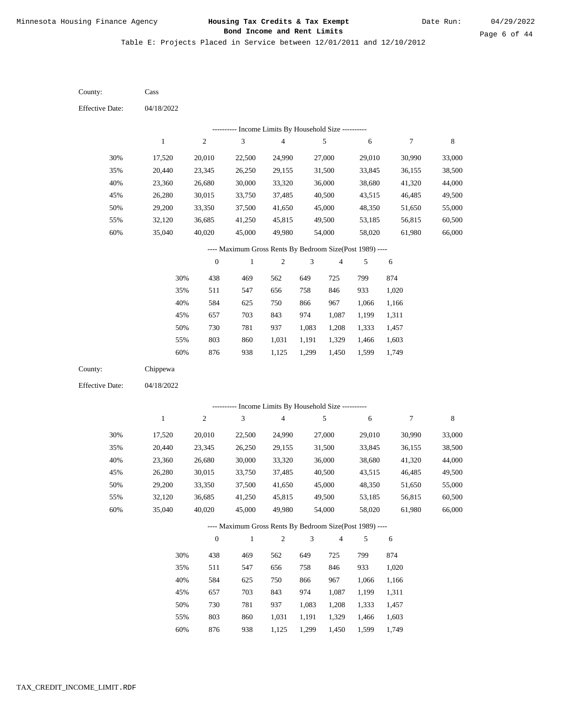Table E: Projects Placed in Service between 12/01/2011 and 12/10/2012

04/18/2022 04/18/2022 Cass Chippewa 30% 35% 40% 45% 50% 55% 60% 30% 35% 40% 45% 50% 55% 60% 17,520 20,440 23,360 26,280 29,200 32,120 35,040 17,520 20,440 23,360 26,280 29,200 32,120 35,040 20,010 23,345 26,680 30,015 33,350 36,685 40,020 20,010 23,345 26,680 30,015 33,350 36,685 40,020 22,500 26,250 30,000 33,750 37,500 41,250 45,000 22,500 26,250 30,000 33,750 37,500 41,250 45,000 24,990 29,155 33,320 37,485 41,650 45,815 49,980 24,990 29,155 33,320 37,485 41,650 45,815 49,980 27,000 31,500 36,000 40,500 45,000 49,500 54,000 27,000 31,500 36,000 40,500 45,000 49,500 54,000 29,010 33,845 38,680 43,515 48,350 53,185 58,020 29,010 33,845 38,680 43,515 48,350 53,185 58,020 30,990 36,155 41,320 46,485 51,650 56,815 61,980 30,990 36,155 41,320 46,485 51,650 56,815 61,980 33,000 38,500 44,000 49,500 55,000 60,500 66,000 33,000 38,500 44,000 49,500 55,000 60,500 66,000 438 511 584 657 730 803 876 438 511 584 657 730 803 876 469 547 625 703 781 860 938 469 547 625 703 781 860 938 562 656 750 843 937 1,031 1,125 562 656 750 843 937 1,031 1,125 649 758 866 974 1,083 1,191 1,299 649 758 866 974 1,083 1,191 1,299 725 846 967 1,087 1,208 1,329 1,450 725 846 967 1,087 1,208 1,329 1,450 799 933 1,066 1,199 1,333 1,466 1,599 799 933 1,066 1,199 1,333 1,466 1,599 874 1,020 1,166 1,311 1,457 1,603 1,749 874 1,020 1,166 1,311 1,457 1,603 1,749 County: County: Effective Date: Effective Date: 1 1 2 2 3 3 4 4 5 5 6 6 7 7 8 8 0 0 1 1 2 2 3 3 4 4 5 5 6 6 ---------- Income Limits By Household Size ---------- ---------- Income Limits By Household Size ---------- ---- Maximum Gross Rents By Bedroom Size(Post 1989) ---- ---- Maximum Gross Rents By Bedroom Size(Post 1989) ---- 30% 35% 40% 45% 50% 55% 60% 30% 35% 40% 45% 50% 55% 60%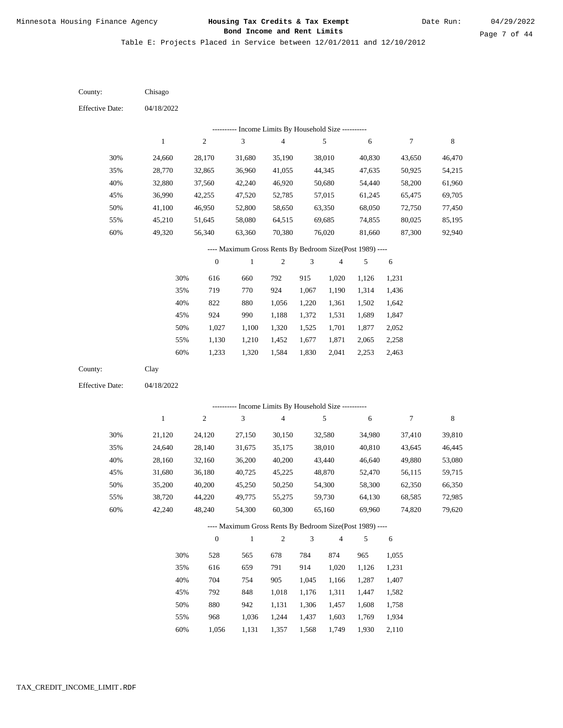Date Run:

Table E: Projects Placed in Service between 12/01/2011 and 12/10/2012

| County:                | Chisago      |                  |                                                          |                         |                             |                |            |                |        |
|------------------------|--------------|------------------|----------------------------------------------------------|-------------------------|-----------------------------|----------------|------------|----------------|--------|
| <b>Effective Date:</b> | 04/18/2022   |                  |                                                          |                         |                             |                |            |                |        |
|                        |              |                  | ---------- Income Limits By Household Size ----------    |                         |                             |                |            |                |        |
|                        | $\mathbf{1}$ | $\sqrt{2}$       | $\sqrt{3}$                                               | $\overline{\mathbf{4}}$ |                             | $\sqrt{5}$     | $\sqrt{6}$ | $\overline{7}$ | 8      |
| 30%                    | 24,660       | 28,170           | 31,680                                                   | 35,190                  |                             | 38,010         | 40,830     | 43,650         | 46,470 |
| 35%                    | 28,770       | 32,865           | 36,960                                                   | 41,055                  |                             | 44,345         | 47,635     | 50,925         | 54,215 |
| 40%                    | 32,880       | 37,560           | 42,240                                                   | 46,920                  |                             | 50,680         | 54,440     | 58,200         | 61,960 |
| 45%                    | 36,990       | 42,255           | 47,520                                                   | 52,785                  |                             | 57,015         | 61,245     | 65,475         | 69,705 |
| 50%                    | 41,100       | 46,950           | 52,800                                                   | 58,650                  |                             | 63,350         | 68,050     | 72,750         | 77,450 |
| 55%                    | 45,210       | 51,645           | 58,080                                                   | 64,515                  |                             | 69,685         | 74,855     | 80,025         | 85,195 |
| 60%                    | 49,320       | 56,340           | 63,360                                                   | 70,380                  |                             | 76,020         | 81,660     | 87,300         | 92,940 |
|                        |              |                  | ---- Maximum Gross Rents By Bedroom Size(Post 1989) ---- |                         |                             |                |            |                |        |
|                        |              | $\boldsymbol{0}$ | $\mathbf{1}$                                             | $\boldsymbol{2}$        | 3                           | $\overline{4}$ | 5          | $\sqrt{6}$     |        |
|                        | 30%          | 616              | 660                                                      | 792                     | 915                         | 1,020          | 1,126      | 1,231          |        |
|                        | 35%          | 719              | 770                                                      | 924                     | 1,067                       | 1,190          | 1,314      | 1,436          |        |
|                        | 40%          | 822              | 880                                                      | 1,056                   | 1,220                       | 1,361          | 1,502      | 1,642          |        |
|                        | 45%          | 924              | 990                                                      | 1,188                   | 1,372                       | 1,531          | 1,689      | 1,847          |        |
|                        | 50%          | 1,027            | 1,100                                                    | 1,320                   | 1,525                       | 1,701          | 1,877      | 2,052          |        |
|                        | 55%          | 1,130            | 1,210                                                    | 1,452                   | 1,677                       | 1,871          | 2,065      | 2,258          |        |
|                        | $60\%$       | 1,233            | 1,320                                                    | 1,584                   | 1,830                       | 2,041          | 2,253      | 2,463          |        |
| County:                | Clay         |                  |                                                          |                         |                             |                |            |                |        |
| <b>Effective Date:</b> | 04/18/2022   |                  |                                                          |                         |                             |                |            |                |        |
|                        |              |                  | ------- Income Limits By Household Size ----------       |                         |                             |                |            |                |        |
|                        | $\,1$        | $\sqrt{2}$       | $\mathfrak{Z}$                                           | $\overline{\mathbf{4}}$ |                             | $\sqrt{5}$     | 6          | $\tau$         | 8      |
| 30%                    | 21,120       | 24,120           | 27,150                                                   | 30,150                  |                             | 32,580         | 34,980     | 37,410         | 39,810 |
| 35%                    | 24,640       | 28,140           | 31,675                                                   | 35,175                  |                             | 38,010         | 40,810     | 43,645         | 46,445 |
| 40%                    | 28,160       | 32,160           | 36,200                                                   | 40,200                  |                             | 43,440         | 46,640     | 49,880         | 53,080 |
| 45%                    | 31,680       | 36,180           | 40,725                                                   | 45,225                  |                             | 48,870         | 52,470     | 56,115         | 59,715 |
| 50%                    | 35,200       | 40,200           | 45,250                                                   | 50,250                  |                             | 54,300         | 58,300     | 62,350         | 66,350 |
| 55%                    | 38,720       | 44,220           | 49,775                                                   | 55,275                  |                             | 59,730         | 64,130     | 68,585         | 72,985 |
| 60%                    | 42,240       | 48,240           | 54,300                                                   | 60,300                  |                             | 65,160         | 69,960     | 74,820         | 79,620 |
|                        |              |                  | ---- Maximum Gross Rents By Bedroom Size(Post 1989) ---- |                         |                             |                |            |                |        |
|                        |              | $\boldsymbol{0}$ | $\,1$                                                    | $\sqrt{2}$              | $\ensuremath{\mathfrak{Z}}$ | $\overline{4}$ | 5          | $\sqrt{6}$     |        |
|                        | 30%          | 528              | 565                                                      | 678                     | 784                         | 874            | 965        | 1,055          |        |
|                        | 35%          | 616              | 659                                                      | 791                     | 914                         | 1,020          | 1,126      | 1,231          |        |
|                        | 40%          | 704              | 754                                                      | 905                     | 1,045                       | 1,166          | 1,287      | 1,407          |        |
|                        | 45%          | 792              | 848                                                      | 1,018                   | 1,176                       | 1,311          | 1,447      | 1,582          |        |
|                        | 50%          | 880              | 942                                                      | 1,131                   | 1,306                       | 1,457          | 1,608      | 1,758          |        |
|                        | 55%          | 968              | 1,036                                                    | 1,244                   | 1,437                       | 1,603          | 1,769      | 1,934          |        |

1,056 1,131 1,357 1,568 1,749 1,930 2,110 60%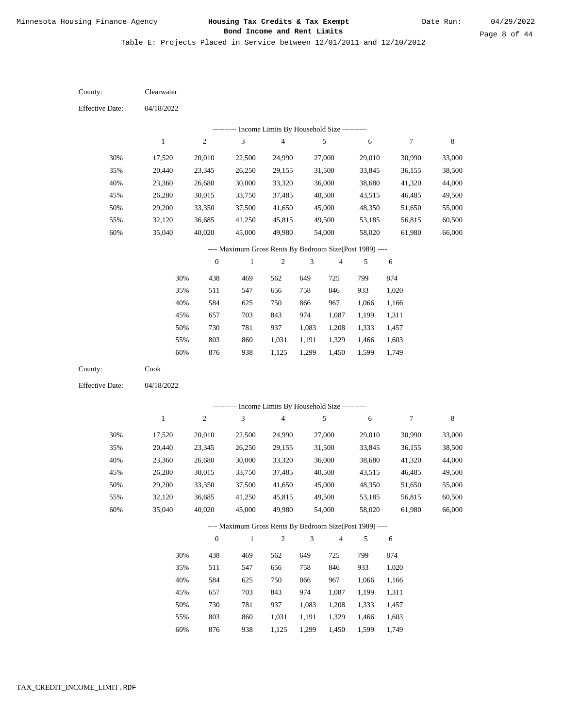Date Run:

Page 8 of 44

Table E: Projects Placed in Service between 12/01/2011 and 12/10/2012

| County:                | Clearwater   |                  |                                                          |                         |                |                |            |                  |        |
|------------------------|--------------|------------------|----------------------------------------------------------|-------------------------|----------------|----------------|------------|------------------|--------|
| <b>Effective Date:</b> | 04/18/2022   |                  |                                                          |                         |                |                |            |                  |        |
|                        |              |                  | --------- Income Limits By Household Size ----------     |                         |                |                |            |                  |        |
|                        | $\mathbf{1}$ | $\boldsymbol{2}$ | $\mathfrak{Z}$                                           | $\overline{\mathbf{4}}$ |                | $\sqrt{5}$     | 6          | $\boldsymbol{7}$ | 8      |
| 30%                    | 17,520       | 20,010           | 22,500                                                   | 24,990                  |                | 27,000         | 29,010     | 30,990           | 33,000 |
| 35%                    | 20,440       | 23,345           | 26,250                                                   | 29,155                  |                | 31,500         | 33,845     | 36,155           | 38,500 |
| 40%                    | 23,360       | 26,680           | 30,000                                                   | 33,320                  |                | 36,000         | 38,680     | 41,320           | 44,000 |
| 45%                    | 26,280       | 30,015           | 33,750                                                   | 37,485                  |                | 40,500         | 43,515     | 46,485           | 49,500 |
| 50%                    | 29,200       | 33,350           | 37,500                                                   | 41,650                  |                | 45,000         | 48,350     | 51,650           | 55,000 |
| 55%                    | 32,120       | 36,685           | 41,250                                                   | 45,815                  |                | 49,500         | 53,185     | 56,815           | 60,500 |
| 60%                    | 35,040       | 40,020           | 45,000                                                   | 49,980                  |                | 54,000         | 58,020     | 61,980           | 66,000 |
|                        |              |                  | ---- Maximum Gross Rents By Bedroom Size(Post 1989) ---- |                         |                |                |            |                  |        |
|                        |              | $\boldsymbol{0}$ | $\mathbf{1}$                                             | 2                       | 3              | $\overline{4}$ | 5          | 6                |        |
|                        | 30%          | 438              | 469                                                      | 562                     | 649            | 725            | 799        | 874              |        |
|                        | 35%          | 511              | 547                                                      | 656                     | 758            | 846            | 933        | 1,020            |        |
|                        | 40%          | 584              | 625                                                      | 750                     | 866            | 967            | 1,066      | 1,166            |        |
|                        | 45%          | 657              | 703                                                      | 843                     | 974            | 1,087          | 1,199      | 1,311            |        |
|                        | 50%          | 730              | 781                                                      | 937                     | 1,083          | 1,208          | 1,333      | 1,457            |        |
|                        | 55%          | 803              | 860                                                      | 1,031                   | 1,191          | 1,329          | 1,466      | 1,603            |        |
|                        | 60%          | 876              | 938                                                      | 1,125                   | 1,299          | 1,450          | 1,599      | 1,749            |        |
| County:                | ${\rm Cook}$ |                  |                                                          |                         |                |                |            |                  |        |
| <b>Effective Date:</b> | 04/18/2022   |                  |                                                          |                         |                |                |            |                  |        |
|                        |              |                  | ---------- Income Limits By Household Size ----------    |                         |                |                |            |                  |        |
|                        | $\,1$        | $\boldsymbol{2}$ | $\ensuremath{\mathfrak{Z}}$                              | $\overline{\mathbf{4}}$ |                | $\sqrt{5}$     | $\sqrt{6}$ | $\boldsymbol{7}$ | 8      |
| 30%                    | 17,520       | 20,010           | 22,500                                                   | 24,990                  |                | 27,000         | 29,010     | 30,990           | 33,000 |
| 35%                    | 20,440       | 23,345           | 26,250                                                   | 29,155                  |                | 31,500         | 33,845     | 36,155           | 38,500 |
| 40%                    | 23,360       | 26,680           | 30,000                                                   | 33,320                  |                | 36,000         | 38,680     | 41,320           | 44,000 |
| 45%                    | 26,280       | 30,015           | 33,750                                                   | 37,485                  |                | 40,500         | 43,515     | 46,485           | 49,500 |
| 50%                    | 29,200       | 33,350           | 37,500                                                   | 41,650                  |                | 45,000         | 48,350     | 51,650           | 55,000 |
| 55%                    | 32,120       | 36,685           | 41,250                                                   | 45,815                  |                | 49,500         | 53,185     | 56,815           | 60,500 |
| 60%                    | 35,040       | 40,020           | 45,000                                                   | 49,980                  |                | 54,000         | 58,020     | 61,980           | 66,000 |
|                        |              |                  | ---- Maximum Gross Rents By Bedroom Size(Post 1989) ---- |                         |                |                |            |                  |        |
|                        |              | $\boldsymbol{0}$ | $\mathbf{1}$                                             | $\overline{c}$          | $\mathfrak{Z}$ | $\overline{4}$ | 5          | 6                |        |
|                        | 30%          | 438              | 469                                                      | 562                     | 649            | 725            | 799        | 874              |        |
|                        | 35%          | 511              | 547                                                      | 656                     | 758            | 846            | 933        | 1,020            |        |
|                        | 40%          | 584              | 625                                                      | 750                     | 866            | 967            | 1,066      | 1,166            |        |
|                        | 45%          | 657              | 703                                                      | 843                     | 974            | 1,087          | 1,199      | 1,311            |        |
|                        | 50%          | 730              | 781                                                      | 937                     | 1,083          | 1,208          | 1,333      | 1,457            |        |
|                        |              |                  |                                                          |                         |                |                |            |                  |        |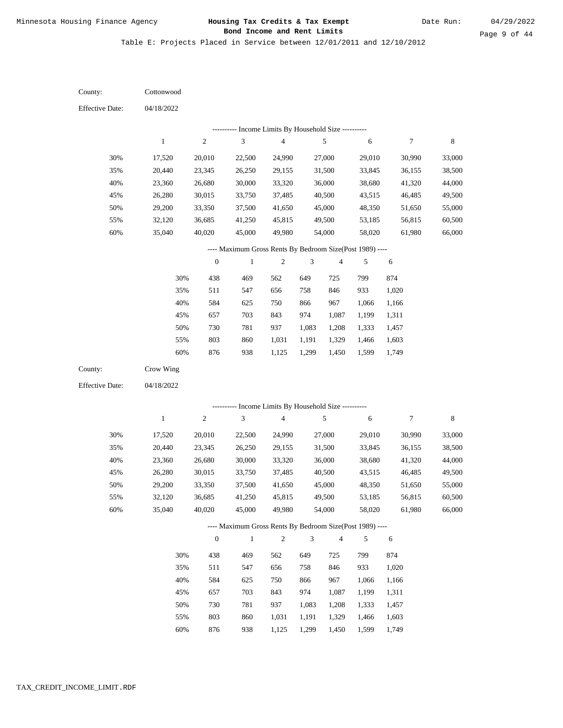Table E: Projects Placed in Service between 12/01/2011 and 12/10/2012

04/18/2022 04/18/2022 **Cottonwood** Crow Wing 30% 35% 40% 45% 50% 55% 60% 30% 35% 40% 45% 50% 55% 60% 17,520 20,440 23,360 26,280 29,200 32,120 35,040 17,520 20,440 23,360 26,280 29,200 32,120 35,040 20,010 23,345 26,680 30,015 33,350 36,685 40,020 20,010 23,345 26,680 30,015 33,350 36,685 40,020 22,500 26,250 30,000 33,750 37,500 41,250 45,000 22,500 26,250 30,000 33,750 37,500 41,250 45,000 24,990 29,155 33,320 37,485 41,650 45,815 49,980 24,990 29,155 33,320 37,485 41,650 45,815 49,980 27,000 31,500 36,000 40,500 45,000 49,500 54,000 27,000 31,500 36,000 40,500 45,000 49,500 54,000 29,010 33,845 38,680 43,515 48,350 53,185 58,020 29,010 33,845 38,680 43,515 48,350 53,185 58,020 30,990 36,155 41,320 46,485 51,650 56,815 61,980 30,990 36,155 41,320 46,485 51,650 56,815 61,980 33,000 38,500 44,000 49,500 55,000 60,500 66,000 33,000 38,500 44,000 49,500 55,000 60,500 66,000 438 511 584 657 730 803 876 438 511 584 657 730 803 876 469 547 625 703 781 860 938 469 547 625 703 781 860 938 562 656 750 843 937 1,031 1,125 562 656 750 843 937 1,031 1,125 649 758 866 974 1,083 1,191 1,299 649 758 866 974 1,083 1,191 1,299 725 846 967 1,087 1,208 1,329 1,450 725 846 967 1,087 1,208 1,329 1,450 799 933 1,066 1,199 1,333 1,466 1,599 799 933 1,066 1,199 1,333 1,466 1,599 874 1,020 1,166 1,311 1,457 1,603 1,749 874 1,020 1,166 1,311 1,457 1,603 1,749 County: County: Effective Date: Effective Date: 1 1 2 2 3 3 4 4 5 5 6 6 7 7 8 8 0 0 1 1 2 2 3 3 4 4 5 5 6 6 ---------- Income Limits By Household Size ---------- ---------- Income Limits By Household Size ---------- ---- Maximum Gross Rents By Bedroom Size(Post 1989) ---- ---- Maximum Gross Rents By Bedroom Size(Post 1989) ---- 30% 35% 40% 45% 50% 55% 60% 30% 35% 40% 45% 50% 55% 60%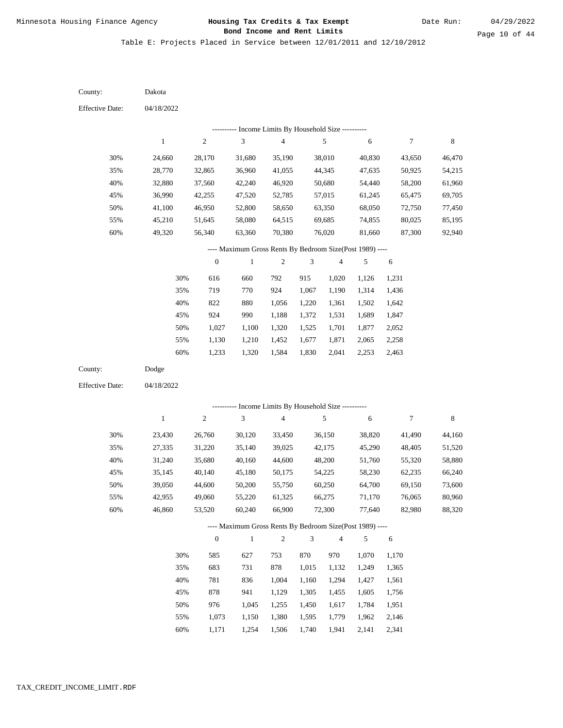Table E: Projects Placed in Service between 12/01/2011 and 12/10/2012

04/18/2022 04/18/2022 Dakota Dodge 30% 35% 40% 45% 50% 55% 60% 30% 35% 40% 45% 50% 55% 60% 24,660 28,770 32,880 36,990 41,100 45,210 49,320 23,430 27,335 31,240 35,145 39,050 42,955 46,860 28,170 32,865 37,560 42,255 46,950 51,645 56,340 26,760 31,220 35,680 40,140 44,600 49,060 53,520 31,680 36,960 42,240 47,520 52,800 58,080 63,360 30,120 35,140 40,160 45,180 50,200 55,220 60,240 35,190 41,055 46,920 52,785 58,650 64,515 70,380 33,450 39,025 44,600 50,175 55,750 61,325 66,900 38,010 44,345 50,680 57,015 63,350 69,685 76,020 36,150 42,175 48,200 54,225 60,250 66,275 72,300 40,830 47,635 54,440 61,245 68,050 74,855 81,660 38,820 45,290 51,760 58,230 64,700 71,170 77,640 43,650 50,925 58,200 65,475 72,750 80,025 87,300 41,490 48,405 55,320 62,235 69,150 76,065 82,980 46,470 54,215 61,960 69,705 77,450 85,195 92,940 44,160 51,520 58,880 66,240 73,600 80,960 88,320 616 719 822 924 1,027 1,130 1,233 585 683 781 878 976 1,073 1,171 660 770 880 990 1,100 1,210 1,320 627 731 836 941 1,045 1,150 1,254 792 924 1,056 1,188 1,320 1,452 1,584 753 878 1,004 1,129 1,255 1,380 1,506 915 1,067 1,220 1,372 1,525 1,677 1,830 870 1,015 1,160 1,305 1,450 1,595 1,740 1,020 1,190 1,361 1,531 1,701 1,871 2,041 970 1,132 1,294 1,455 1,617 1,779 1,941 1,126 1,314 1,502 1,689 1,877 2,065 2,253 1,070 1,249 1,427 1,605 1,784 1,962 2,141 1,231 1,436 1,642 1,847 2,052 2,258 2,463 1,170 1,365 1,561 1,756 1,951 2,146 2,341 County: County: Effective Date: Effective Date: 1 1 2 2 3 3 4 4 5 5 6 6 7 7 8 8 0 0 1 1 2 2 3 3 4 4 5 5 6 6 ---------- Income Limits By Household Size ---------- ---------- Income Limits By Household Size ---------- ---- Maximum Gross Rents By Bedroom Size(Post 1989) ---- ---- Maximum Gross Rents By Bedroom Size(Post 1989) ---- 30% 35% 40% 45% 50% 55% 60% 30% 35% 40% 45% 50% 55% 60%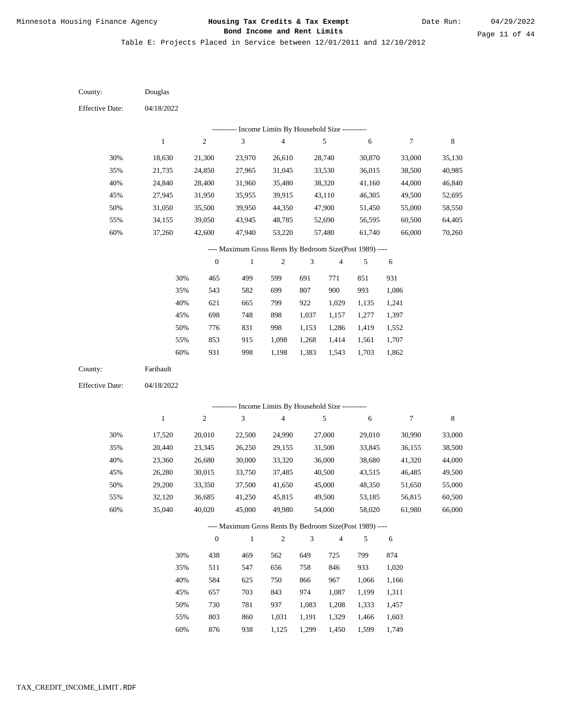Table E: Projects Placed in Service between 12/01/2011 and 12/10/2012

| County:                | Douglas          |                  |                                                            |                          |                |                |                  |                |                  |
|------------------------|------------------|------------------|------------------------------------------------------------|--------------------------|----------------|----------------|------------------|----------------|------------------|
| <b>Effective Date:</b> | 04/18/2022       |                  |                                                            |                          |                |                |                  |                |                  |
|                        |                  |                  | --------- Income Limits By Household Size ----------       |                          |                |                |                  |                |                  |
|                        | $\mathbf{1}$     | $\sqrt{2}$       | 3                                                          | $\overline{\mathcal{L}}$ |                | 5              | 6                | 7              | $\,8\,$          |
| 30%                    |                  | 21,300           |                                                            | 26,610                   |                | 28,740         |                  | 33,000         |                  |
| 35%                    | 18,630<br>21,735 | 24,850           | 23,970<br>27,965                                           | 31,045                   |                | 33,530         | 30,870<br>36,015 | 38,500         | 35,130           |
| 40%                    |                  |                  |                                                            | 35,480                   |                | 38,320         | 41,160           | 44,000         | 40,985           |
| 45%                    | 24,840<br>27,945 | 28,400<br>31,950 | 31,960<br>35,955                                           | 39,915                   |                | 43,110         | 46,305           | 49,500         | 46,840<br>52,695 |
| 50%                    | 31,050           | 35,500           | 39,950                                                     | 44,350                   |                | 47,900         | 51,450           | 55,000         | 58,550           |
| 55%                    | 34,155           | 39,050           | 43,945                                                     | 48,785                   |                | 52,690         | 56,595           | 60,500         | 64,405           |
| 60%                    | 37,260           | 42,600           | 47,940                                                     | 53,220                   |                | 57,480         | 61,740           | 66,000         | 70,260           |
|                        |                  |                  |                                                            |                          |                |                |                  |                |                  |
|                        |                  |                  | ---- Maximum Gross Rents By Bedroom Size(Post 1989) ----   |                          |                |                |                  |                |                  |
|                        |                  | $\boldsymbol{0}$ | $\,1$                                                      | $\mathfrak{2}$           | 3              | 4              | 5                | 6              |                  |
|                        | 30%              | 465              | 499                                                        | 599                      | 691            | 771            | 851              | 931            |                  |
|                        | 35%              | 543              | 582                                                        | 699                      | 807            | 900            | 993              | 1,086          |                  |
|                        | 40%              | 621              | 665                                                        | 799                      | 922            | 1,029          | 1,135            | 1,241          |                  |
|                        | 45%              | 698              | 748                                                        | 898                      | 1,037          | 1,157          | 1,277            | 1,397          |                  |
|                        | 50%              | 776              | 831                                                        | 998                      | 1,153          | 1,286          | 1,419            | 1,552          |                  |
|                        | 55%              | 853              | 915                                                        | 1,098                    | 1,268          | 1,414          | 1,561            | 1,707          |                  |
|                        | 60%              | 931              | 998                                                        | 1,198                    | 1,383          | 1,543          | 1,703            | 1,862          |                  |
| County:                | Faribault        |                  |                                                            |                          |                |                |                  |                |                  |
| <b>Effective Date:</b> | 04/18/2022       |                  |                                                            |                          |                |                |                  |                |                  |
|                        |                  |                  |                                                            |                          |                |                |                  |                |                  |
|                        | $\mathbf{1}$     | $\sqrt{2}$       | ---------- Income Limits By Household Size ----------<br>3 | 4                        |                | $\sqrt{5}$     | 6                | 7              | $\,8\,$          |
|                        |                  |                  |                                                            |                          |                |                |                  |                |                  |
| 30%                    | 17,520           | 20,010           | 22,500                                                     | 24,990                   |                | 27,000         | 29,010           | 30,990         | 33,000           |
| 35%                    | 20,440           | 23,345           | 26,250                                                     | 29,155                   |                | 31,500         | 33,845           | 36,155         | 38,500           |
| 40%                    | 23,360           | 26,680           | 30,000                                                     | 33,320                   |                | 36,000         | 38,680           | 41,320         | 44,000           |
| 45%                    | 26,280           | 30,015           | 33,750                                                     | 37,485                   |                | 40,500         | 43,515           | 46,485         | 49,500           |
| 50%                    | 29,200           | 33,350           | 37,500                                                     | 41,650                   |                | 45,000         | 48,350           | 51,650         | 55,000           |
| 55%                    | 32,120           | 36,685           | 41,250                                                     | 45,815                   |                | 49,500         | 53,185           | 56,815         | 60,500           |
| 60%                    | 35,040           | 40,020           | 45,000                                                     | 49,980                   |                | 54,000         | 58,020           | 61,980         | 66,000           |
|                        |                  |                  | ---- Maximum Gross Rents By Bedroom Size(Post 1989) ----   |                          |                |                |                  |                |                  |
|                        |                  | $\boldsymbol{0}$ | $\mathbf{1}$                                               | $\sqrt{2}$               | 3              | 4              | 5                | 6              |                  |
|                        | 30%              | 438              | 469                                                        | 562                      | 649            | 725            | 799              | 874            |                  |
|                        | 35%              | 511              | 547                                                        | 656                      | 758            | 846            | 933              | 1,020          |                  |
|                        | 40%              | 584              | 625                                                        | 750                      | 866            | 967            | 1,066            | 1,166          |                  |
|                        | 45%              | 657              | 703                                                        | 843                      | 974            | 1,087          | 1,199            | 1,311          |                  |
|                        |                  |                  |                                                            |                          |                |                |                  |                |                  |
|                        |                  |                  |                                                            | 937                      |                |                |                  |                |                  |
|                        | 50%<br>55%       | 730<br>803       | 781<br>860                                                 | 1,031                    | 1,083<br>1,191 | 1,208<br>1,329 | 1,333<br>1,466   | 1,457<br>1,603 |                  |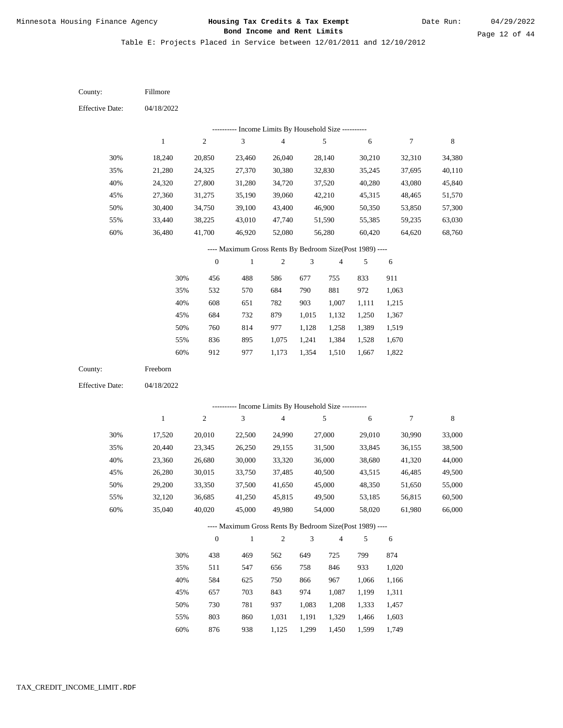Date Run:

Table E: Projects Placed in Service between 12/01/2011 and 12/10/2012

04/18/2022 04/18/2022 Fillmore Freeborn 30% 35% 40% 45% 50% 55% 60% 30% 35% 40% 45% 50% 55% 60% 18,240 21,280 24,320 27,360 30,400 33,440 36,480 17,520 20,440 23,360 26,280 29,200 32,120 35,040 20,850 24,325 27,800 31,275 34,750 38,225 41,700 20,010 23,345 26,680 30,015 33,350 36,685 40,020 23,460 27,370 31,280 35,190 39,100 43,010 46,920 22,500 26,250 30,000 33,750 37,500 41,250 45,000 26,040 30,380 34,720 39,060 43,400 47,740 52,080 24,990 29,155 33,320 37,485 41,650 45,815 49,980 28,140 32,830 37,520 42,210 46,900 51,590 56,280 27,000 31,500 36,000 40,500 45,000 49,500 54,000 30,210 35,245 40,280 45,315 50,350 55,385 60,420 29,010 33,845 38,680 43,515 48,350 53,185 58,020 32,310 37,695 43,080 48,465 53,850 59,235 64,620 30,990 36,155 41,320 46,485 51,650 56,815 61,980 34,380 40,110 45,840 51,570 57,300 63,030 68,760 33,000 38,500 44,000 49,500 55,000 60,500 66,000 456 532 608 684 760 836 912 438 511 584 657 730 803 876 488 570 651 732 814 895 977 469 547 625 703 781 860 938 586 684 782 879 977 1,075 1,173 562 656 750 843 937 1,031 1,125 677 790 903 1,015 1,128 1,241 1,354 649 758 866 974 1,083 1,191 1,299 755 881 1,007 1,132 1,258 1,384 1,510 725 846 967 1,087 1,208 1,329 1,450 833 972 1,111 1,250 1,389 1,528 1,667 799 933 1,066 1,199 1,333 1,466 1,599 911 1,063 1,215 1,367 1,519 1,670 1,822 874 1,020 1,166 1,311 1,457 1,603 1,749 County: County: Effective Date: Effective Date: 1 1 2 2 3 3 4 4 5 5 6 6 7 7 8 8 0 0 1 1 2 2 3 3 4 4 5 5 6 6 ---------- Income Limits By Household Size ---------- ---------- Income Limits By Household Size ---------- ---- Maximum Gross Rents By Bedroom Size(Post 1989) ---- ---- Maximum Gross Rents By Bedroom Size(Post 1989) ---- 30% 35% 40% 45% 50% 55% 60% 30% 35% 40% 45% 50% 55% 60%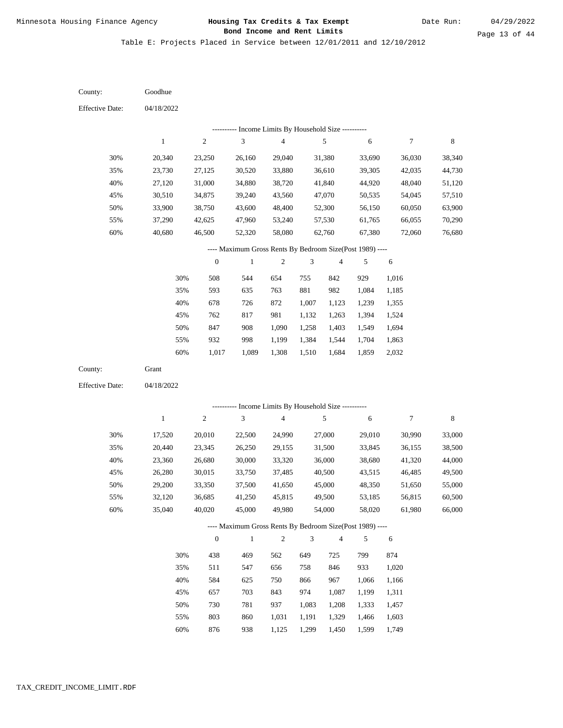Table E: Projects Placed in Service between 12/01/2011 and 12/10/2012

| County:                | Goodhue      |                  |                                                          |                         |                             |                |            |                |        |
|------------------------|--------------|------------------|----------------------------------------------------------|-------------------------|-----------------------------|----------------|------------|----------------|--------|
| <b>Effective Date:</b> | 04/18/2022   |                  |                                                          |                         |                             |                |            |                |        |
|                        |              |                  | ---------- Income Limits By Household Size ----------    |                         |                             |                |            |                |        |
|                        | $\mathbf 1$  | $\sqrt{2}$       | 3                                                        | $\overline{\mathbf{4}}$ |                             | $\sqrt{5}$     | $\sqrt{6}$ | 7              | 8      |
| 30%                    | 20,340       | 23,250           | 26,160                                                   | 29,040                  |                             | 31,380         | 33,690     | 36,030         | 38,340 |
| 35%                    | 23,730       | 27,125           | 30,520                                                   | 33,880                  |                             | 36,610         | 39,305     | 42,035         | 44,730 |
| 40%                    | 27,120       | 31,000           | 34,880                                                   | 38,720                  |                             | 41,840         | 44,920     | 48,040         | 51,120 |
| 45%                    | 30,510       | 34,875           | 39,240                                                   | 43,560                  |                             | 47,070         | 50,535     | 54,045         | 57,510 |
| 50%                    | 33,900       | 38,750           | 43,600                                                   | 48,400                  |                             | 52,300         | 56,150     | 60,050         | 63,900 |
| 55%                    | 37,290       | 42,625           | 47,960                                                   | 53,240                  |                             | 57,530         | 61,765     | 66,055         | 70,290 |
| 60%                    | 40,680       | 46,500           | 52,320                                                   | 58,080                  |                             | 62,760         | 67,380     | 72,060         | 76,680 |
|                        |              |                  | ---- Maximum Gross Rents By Bedroom Size(Post 1989) ---- |                         |                             |                |            |                |        |
|                        |              | $\boldsymbol{0}$ | $\mathbf{1}$                                             | $\mathfrak{2}$          | 3                           | $\overline{4}$ | 5          | $\sqrt{6}$     |        |
|                        | 30%          | 508              | 544                                                      | 654                     | 755                         | 842            | 929        | 1,016          |        |
|                        | 35%          | 593              | 635                                                      | 763                     | 881                         | 982            | 1,084      | 1,185          |        |
|                        | 40%          | 678              | 726                                                      | 872                     | 1,007                       | 1,123          | 1,239      | 1,355          |        |
|                        | 45%          | 762              | 817                                                      | 981                     | 1,132                       | 1,263          | 1,394      | 1,524          |        |
|                        | 50%          | 847              | 908                                                      | 1,090                   | 1,258                       | 1,403          | 1,549      | 1,694          |        |
|                        | 55%          | 932              | 998                                                      | 1,199                   | 1,384                       | 1,544          | 1,704      | 1,863          |        |
|                        | $60\%$       | 1,017            | 1,089                                                    | 1,308                   | 1,510                       | 1,684          | 1,859      | 2,032          |        |
| County:                | Grant        |                  |                                                          |                         |                             |                |            |                |        |
| <b>Effective Date:</b> | 04/18/2022   |                  |                                                          |                         |                             |                |            |                |        |
|                        |              |                  | --------- Income Limits By Household Size ----------     |                         |                             |                |            |                |        |
|                        | $\mathbf{1}$ | $\sqrt{2}$       | 3                                                        | $\overline{\mathbf{4}}$ |                             | 5              | 6          | 7              | 8      |
| 30%                    | 17,520       | 20,010           | 22,500                                                   | 24,990                  |                             | 27,000         | 29,010     | 30,990         | 33,000 |
| 35%                    | 20,440       | 23,345           | 26,250                                                   | 29,155                  |                             | 31,500         | 33,845     | 36,155         | 38,500 |
| 40%                    | 23,360       | 26,680           | 30,000                                                   | 33,320                  |                             | 36,000         | 38,680     | 41,320         | 44,000 |
| 45%                    | 26,280       | 30,015           | 33,750                                                   | 37,485                  |                             | 40,500         | 43,515     | 46,485         | 49,500 |
| 50%                    | 29,200       | 33,350           | 37,500                                                   | 41,650                  |                             | 45,000         | 48,350     | 51,650         | 55,000 |
| 55%                    | 32,120       | 36,685           | 41,250                                                   | 45,815                  |                             | 49,500         | 53,185     | 56,815         | 60,500 |
| 60%                    | 35,040       | 40,020           | 45,000                                                   | 49,980                  |                             | 54,000         | 58,020     | 61,980         | 66,000 |
|                        |              |                  | ---- Maximum Gross Rents By Bedroom Size(Post 1989) ---- |                         |                             |                |            |                |        |
|                        |              | $\boldsymbol{0}$ | $\mathbf{1}$                                             | $\boldsymbol{2}$        | $\ensuremath{\mathfrak{Z}}$ | $\overline{4}$ | 5          | 6              |        |
|                        |              |                  |                                                          |                         | 649                         |                | 799        |                |        |
|                        | 30%          | 438              | 469                                                      | 562                     | 758                         | 725            | 933        | 874            |        |
|                        | 35%<br>40%   | 511<br>584       | 547<br>625                                               | 656<br>750              | 866                         | 846<br>967     | 1,066      | 1,020<br>1,166 |        |
|                        | 45%          | 657              | 703                                                      | 843                     | 974                         | 1,087          | 1,199      | 1,311          |        |
|                        | 50%          | 730              | 781                                                      | 937                     | 1,083                       | 1,208          | 1,333      | 1,457          |        |
|                        | 55%          | 803              | 860                                                      | 1,031                   | 1,191                       | 1,329          | 1,466      | 1,603          |        |
|                        |              |                  |                                                          |                         |                             |                |            |                |        |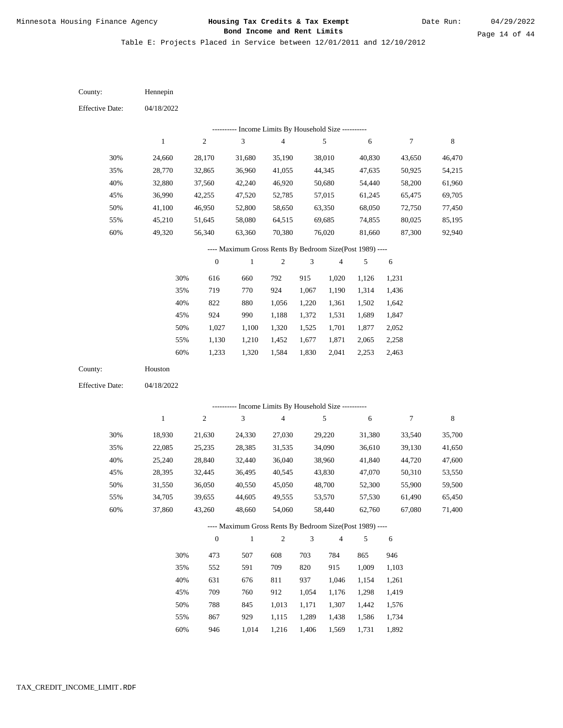Table E: Projects Placed in Service between 12/01/2011 and 12/10/2012

04/18/2022 04/18/2022 Hennepin Houston 30% 35% 40% 45% 50% 55% 60% 30% 35% 40% 45% 50% 55% 60% 24,660 28,770 32,880 36,990 41,100 45,210 49,320 18,930 22,085 25,240 28,395 31,550 34,705 37,860 28,170 32,865 37,560 42,255 46,950 51,645 56,340 21,630 25,235 28,840 32,445 36,050 39,655 43,260 31,680 36,960 42,240 47,520 52,800 58,080 63,360 24,330 28,385 32,440 36,495 40,550 44,605 48,660 35,190 41,055 46,920 52,785 58,650 64,515 70,380 27,030 31,535 36,040 40,545 45,050 49,555 54,060 38,010 44,345 50,680 57,015 63,350 69,685 76,020 29,220 34,090 38,960 43,830 48,700 53,570 58,440 40,830 47,635 54,440 61,245 68,050 74,855 81,660 31,380 36,610 41,840 47,070 52,300 57,530 62,760 43,650 50,925 58,200 65,475 72,750 80,025 87,300 33,540 39,130 44,720 50,310 55,900 61,490 67,080 46,470 54,215 61,960 69,705 77,450 85,195 92,940 35,700 41,650 47,600 53,550 59,500 65,450 71,400 616 719 822 924 1,027 1,130 1,233 473 552 631 709 788 867 660 770 880 990 1,100 1,210 1,320 507 591 676 760 845 929 792 924 1,056 1,188 1,320 1,452 1,584 608 709 811 912 1,013 1,115 1,216 915 1,067 1,220 1,372 1,525 1,677 1,830 703 820 937 1,054 1,171 1,289 1,020 1,190 1,361 1,531 1,701 1,871 2,041 784 915 1,046 1,176 1,307 1,438 1,126 1,314 1,502 1,689 1,877 2,065 2,253 865 1,009 1,154 1,298 1,442 1,586 1,231 1,436 1,642 1,847 2,052 2,258 2,463 946 1,103 1,261 1,419 1,576 1,734 County: County: Effective Date: Effective Date: 1 1 2 2 3 3 4 4 5 5 6 6 7 7 8 8 0 0 1 1 2 2 3 3 4 4 5 5 6 6 ---------- Income Limits By Household Size ---------- ---------- Income Limits By Household Size ---------- ---- Maximum Gross Rents By Bedroom Size(Post 1989) ---- ---- Maximum Gross Rents By Bedroom Size(Post 1989) ---- 30% 35% 40% 45% 50% 55% 60% 30% 35% 40% 45% 50% 55% 60%

946

1,014

1,406

1,569

1,731

1,892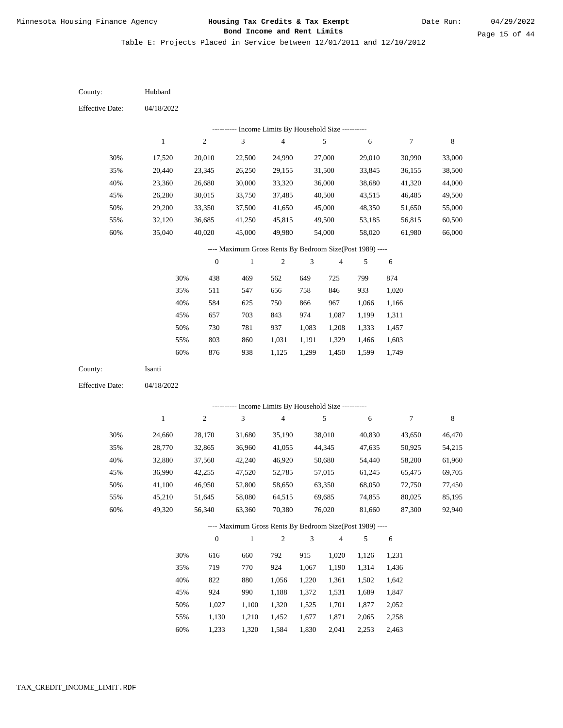Table E: Projects Placed in Service between 12/01/2011 and 12/10/2012

| County:                | Hubbard      |                  |                                                          |                         |                |                         |        |        |         |
|------------------------|--------------|------------------|----------------------------------------------------------|-------------------------|----------------|-------------------------|--------|--------|---------|
| <b>Effective Date:</b> | 04/18/2022   |                  |                                                          |                         |                |                         |        |        |         |
|                        |              |                  | --------- Income Limits By Household Size ----------     |                         |                |                         |        |        |         |
|                        | $\mathbf{1}$ | $\sqrt{2}$       | 3                                                        | $\overline{\mathbf{4}}$ |                | $\sqrt{5}$              | 6      | 7      | 8       |
| 30%                    | 17,520       | 20,010           | 22,500                                                   | 24,990                  |                | 27,000                  | 29,010 | 30,990 | 33,000  |
| 35%                    | 20,440       | 23,345           | 26,250                                                   | 29,155                  |                | 31,500                  | 33,845 | 36,155 | 38,500  |
| 40%                    | 23,360       | 26,680           | 30,000                                                   | 33,320                  |                | 36,000                  | 38,680 | 41,320 | 44,000  |
| 45%                    | 26,280       | 30,015           | 33,750                                                   | 37,485                  |                | 40,500                  | 43,515 | 46,485 | 49,500  |
| 50%                    | 29,200       | 33,350           | 37,500                                                   | 41,650                  |                | 45,000                  | 48,350 | 51,650 | 55,000  |
| 55%                    | 32,120       | 36,685           | 41,250                                                   | 45,815                  |                | 49,500                  | 53,185 | 56,815 | 60,500  |
| 60%                    | 35,040       | 40,020           | 45,000                                                   | 49,980                  |                | 54,000                  | 58,020 | 61,980 | 66,000  |
|                        |              |                  | ---- Maximum Gross Rents By Bedroom Size(Post 1989) ---- |                         |                |                         |        |        |         |
|                        |              | $\boldsymbol{0}$ | $\mathbf{1}$                                             | $\sqrt{2}$              | 3              | $\overline{\mathbf{4}}$ | 5      | 6      |         |
|                        | 30%          | 438              | 469                                                      | 562                     | 649            | 725                     | 799    | 874    |         |
|                        | 35%          | 511              | 547                                                      | 656                     | 758            | 846                     | 933    | 1,020  |         |
|                        | 40%          | 584              | 625                                                      | 750                     | 866            | 967                     | 1,066  | 1,166  |         |
|                        | 45%          | 657              | 703                                                      | 843                     | 974            | 1,087                   | 1,199  | 1,311  |         |
|                        | 50%          | 730              | 781                                                      | 937                     | 1,083          | 1,208                   | 1,333  | 1,457  |         |
|                        | 55%          | 803              | 860                                                      | 1,031                   | 1,191          | 1,329                   | 1,466  | 1,603  |         |
|                        | 60%          | 876              | 938                                                      | 1,125                   | 1,299          | 1,450                   | 1,599  | 1,749  |         |
| County:                | Isanti       |                  |                                                          |                         |                |                         |        |        |         |
| <b>Effective Date:</b> | 04/18/2022   |                  |                                                          |                         |                |                         |        |        |         |
|                        |              |                  |                                                          |                         |                |                         |        |        |         |
|                        |              |                  | --------- Income Limits By Household Size ----------     |                         |                |                         |        |        |         |
|                        | $\mathbf{1}$ | $\sqrt{2}$       | 3                                                        | $\overline{4}$          |                | $\sqrt{5}$              | 6      | 7      | $\,8\,$ |
| 30%                    | 24,660       | 28,170           | 31,680                                                   | 35,190                  |                | 38,010                  | 40,830 | 43,650 | 46,470  |
| 35%                    | 28,770       | 32,865           | 36,960                                                   | 41,055                  |                | 44,345                  | 47,635 | 50,925 | 54,215  |
| 40%                    | 32,880       | 37,560           | 42,240                                                   | 46,920                  |                | 50,680                  | 54,440 | 58,200 | 61,960  |
| 45%                    | 36,990       | 42,255           | 47,520                                                   | 52,785                  |                | 57,015                  | 61,245 | 65,475 | 69,705  |
| 50%                    | 41,100       | 46,950           | 52,800                                                   | 58,650                  |                | 63,350                  | 68,050 | 72,750 | 77,450  |
| 55%                    | 45,210       | 51,645           | 58,080                                                   | 64,515                  |                | 69,685                  | 74,855 | 80,025 | 85,195  |
| 60%                    | 49,320       | 56,340           | 63,360                                                   | 70,380                  |                | 76,020                  | 81,660 | 87,300 | 92,940  |
|                        |              |                  | ---- Maximum Gross Rents By Bedroom Size(Post 1989) ---- |                         |                |                         |        |        |         |
|                        |              | $\boldsymbol{0}$ | $\mathbf{1}$                                             | $\sqrt{2}$              | $\mathfrak{Z}$ | 4                       | 5      | 6      |         |
|                        | 30%          | 616              | 660                                                      | 792                     | 915            | 1,020                   | 1,126  | 1,231  |         |
|                        | 35%          | 719              | 770                                                      | 924                     | 1,067          | 1,190                   | 1,314  | 1,436  |         |
|                        | 40%          | 822              | 880                                                      | 1,056                   | 1,220          | 1,361                   | 1,502  | 1,642  |         |
|                        | 45%          | 924              | 990                                                      | 1,188                   | 1,372          | 1,531                   | 1,689  | 1,847  |         |
|                        | 50%          | 1,027            | 1,100                                                    | 1,320                   | 1,525          | 1,701                   | 1,877  | 2,052  |         |
|                        | 55%          | 1,130            | 1,210                                                    | 1,452                   | 1,677          | 1,871                   | 2,065  | 2,258  |         |

1,233 1,320 1,584 1,830 2,041 2,253 2,463 60%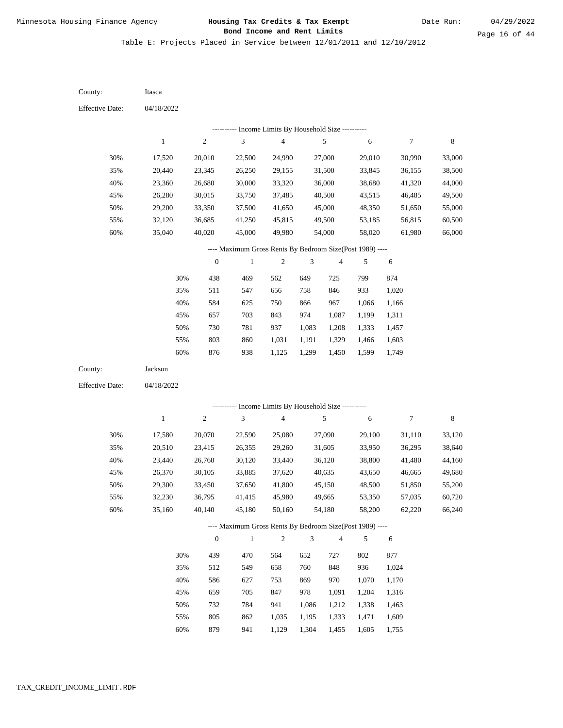Table E: Projects Placed in Service between 12/01/2011 and 12/10/2012

04/18/2022 04/18/2022 Itasca Jackson 30% 35% 40% 45% 50% 55% 60% 30% 35% 40% 45% 50% 55% 60% 17,520 20,440 23,360 26,280 29,200 32,120 35,040 17,580 20,510 23,440 26,370 29,300 32,230 35,160 20,010 23,345 26,680 30,015 33,350 36,685 40,020 20,070 23,415 26,760 30,105 33,450 36,795 40,140 22,500 26,250 30,000 33,750 37,500 41,250 45,000 22,590 26,355 30,120 33,885 37,650 41,415 45,180 24,990 29,155 33,320 37,485 41,650 45,815 49,980 25,080 29,260 33,440 37,620 41,800 45,980 50,160 27,000 31,500 36,000 40,500 45,000 49,500 54,000 27,090 31,605 36,120 40,635 45,150 49,665 54,180 29,010 33,845 38,680 43,515 48,350 53,185 58,020 29,100 33,950 38,800 43,650 48,500 53,350 58,200 30,990 36,155 41,320 46,485 51,650 56,815 61,980 31,110 36,295 41,480 46,665 51,850 57,035 62,220 33,000 38,500 44,000 49,500 55,000 60,500 66,000 33,120 38,640 44,160 49,680 55,200 60,720 66,240 438 511 584 657 730 803 876 439 512 586 659 732 805 469 547 625 703 781 860 938 470 549 627 705 784 862 562 656 750 843 937 1,031 1,125 564 658 753 847 941 1,035 649 758 866 974 1,083 1,191 1,299 652 760 869 978 1,086 1,195 725 846 967 1,087 1,208 1,329 1,450 727 848 970 1,091 1,212 1,333 799 933 1,066 1,199 1,333 1,466 1,599 802 936 1,070 1,204 1,338 1,471 874 1,020 1,166 1,311 1,457 1,603 1,749 877 1,024 1,170 1,316 1,463 1,609 County: County: Effective Date: Effective Date: 1 1 2 2 3 3 4 4 5 5 6 6 7 7 8 8 0 0 1 1 2 2 3 3 4 4 5 5 6 6 ---------- Income Limits By Household Size ---------- ---------- Income Limits By Household Size ---------- ---- Maximum Gross Rents By Bedroom Size(Post 1989) ---- ---- Maximum Gross Rents By Bedroom Size(Post 1989) ---- 30% 35% 40% 45% 50% 55% 60% 30% 35% 40% 45% 50% 55%

879

60%

941

1,129

1,304

1,455

1,605

1,755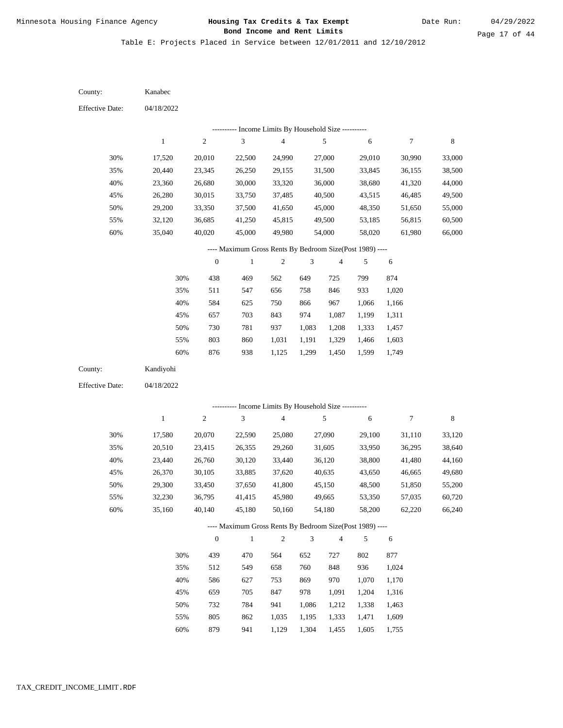Table E: Projects Placed in Service between 12/01/2011 and 12/10/2012

| County:                | Kanabec      |                  |                                                                          |                         |                |                |                |                |        |
|------------------------|--------------|------------------|--------------------------------------------------------------------------|-------------------------|----------------|----------------|----------------|----------------|--------|
| <b>Effective Date:</b> | 04/18/2022   |                  |                                                                          |                         |                |                |                |                |        |
|                        |              |                  | --------- Income Limits By Household Size ----------                     |                         |                |                |                |                |        |
|                        | $\mathbf{1}$ | $\sqrt{2}$       | $\mathfrak{Z}$                                                           | $\overline{\mathbf{4}}$ |                | $\sqrt{5}$     | $\sqrt{6}$     | $\tau$         | 8      |
| 30%                    | 17,520       | 20,010           | 22,500                                                                   | 24,990                  |                | 27,000         | 29,010         | 30,990         | 33,000 |
| 35%                    | 20,440       | 23,345           | 26,250                                                                   | 29,155                  |                | 31,500         | 33,845         | 36,155         | 38,500 |
| 40%                    | 23,360       | 26,680           | 30,000                                                                   | 33,320                  |                | 36,000         | 38,680         | 41,320         | 44,000 |
| 45%                    | 26,280       | 30,015           | 33,750                                                                   | 37,485                  |                | 40,500         | 43,515         | 46,485         | 49,500 |
| 50%                    | 29,200       | 33,350           | 37,500                                                                   | 41,650                  |                | 45,000         | 48,350         | 51,650         | 55,000 |
| 55%                    | 32,120       | 36,685           | 41,250                                                                   | 45,815                  |                | 49,500         | 53,185         | 56,815         | 60,500 |
| 60%                    | 35,040       | 40,020           | 45,000                                                                   | 49,980                  |                | 54,000         | 58,020         | 61,980         | 66,000 |
|                        |              |                  | ---- Maximum Gross Rents By Bedroom Size(Post 1989) ----                 |                         |                |                |                |                |        |
|                        |              | $\boldsymbol{0}$ | $\,1$                                                                    | $\mathfrak{2}$          | 3              | 4              | 5              | 6              |        |
|                        | 30%          | 438              | 469                                                                      | 562                     | 649            | 725            | 799            | 874            |        |
|                        | 35%          | 511              | 547                                                                      | 656                     | 758            | 846            | 933            | 1,020          |        |
|                        | 40%          | 584              | 625                                                                      | 750                     | 866            | 967            | 1,066          | 1,166          |        |
|                        | 45%          | 657              | 703                                                                      | 843                     | 974            | 1,087          | 1,199          | 1,311          |        |
|                        | 50%          | 730              | 781                                                                      | 937                     | 1,083          | 1,208          | 1,333          | 1,457          |        |
|                        | 55%          | 803              | 860                                                                      | 1,031                   | 1,191          | 1,329          | 1,466          | 1,603          |        |
|                        | 60%          | 876              | 938                                                                      | 1,125                   | 1,299          | 1,450          | 1,599          | 1,749          |        |
|                        |              |                  |                                                                          |                         |                |                |                |                |        |
| County:                | Kandiyohi    |                  |                                                                          |                         |                |                |                |                |        |
| <b>Effective Date:</b> | 04/18/2022   |                  |                                                                          |                         |                |                |                |                |        |
|                        |              |                  |                                                                          |                         |                |                |                |                |        |
|                        | $1\,$        |                  | ---------- Income Limits By Household Size ----------                    |                         |                |                |                |                |        |
|                        |              | $\sqrt{2}$       | $\mathfrak{Z}$                                                           | $\overline{\mathbf{4}}$ |                | $\sqrt{5}$     | $\sqrt{6}$     | $\overline{7}$ | 8      |
| 30%                    | 17,580       | 20,070           | 22,590                                                                   | 25,080                  |                | 27,090         | 29,100         | 31,110         | 33,120 |
| 35%                    | 20,510       | 23,415           | 26,355                                                                   | 29,260                  |                | 31,605         | 33,950         | 36,295         | 38,640 |
| 40%                    | 23,440       | 26,760           | 30,120                                                                   | 33,440                  |                | 36,120         | 38,800         | 41,480         | 44,160 |
| 45%                    | 26,370       | 30,105           | 33,885                                                                   | 37,620                  |                | 40,635         | 43,650         | 46,665         | 49,680 |
| 50%                    | 29,300       | 33,450           | 37,650                                                                   | 41,800                  |                | 45,150         | 48,500         | 51,850         | 55,200 |
| 55%                    | 32,230       | 36,795           | 41,415<br>45,180                                                         | 45,980                  |                | 49,665         | 53,350         | 57,035         | 60,720 |
| $60\%$                 | 35,160       | 40,140           |                                                                          | 50,160                  |                | 54,180         | 58,200         | 62,220         | 66,240 |
|                        |              | $\boldsymbol{0}$ | ---- Maximum Gross Rents By Bedroom Size(Post 1989) ----<br>$\mathbf{1}$ | $\sqrt{2}$              | $\mathfrak{Z}$ | $\overline{4}$ | 5              | 6              |        |
|                        |              |                  |                                                                          |                         |                |                |                |                |        |
|                        | 30%          | 439              | 470                                                                      | 564                     | 652            | 727            | 802            | 877            |        |
|                        | 35%          | 512              | 549                                                                      | 658                     | 760            | 848<br>970     | 936<br>1,070   | 1,024<br>1,170 |        |
|                        | 40%<br>45%   | 586<br>659       | 627<br>705                                                               | 753                     | 869            |                |                |                |        |
|                        | 50%          | 732              | 784                                                                      | 847<br>941              | 978<br>1,086   | 1,091<br>1,212 | 1,204<br>1,338 | 1,316<br>1,463 |        |
|                        | 55%          | 805              | 862                                                                      | 1,035                   | 1,195          | 1,333          | 1,471          | 1,609          |        |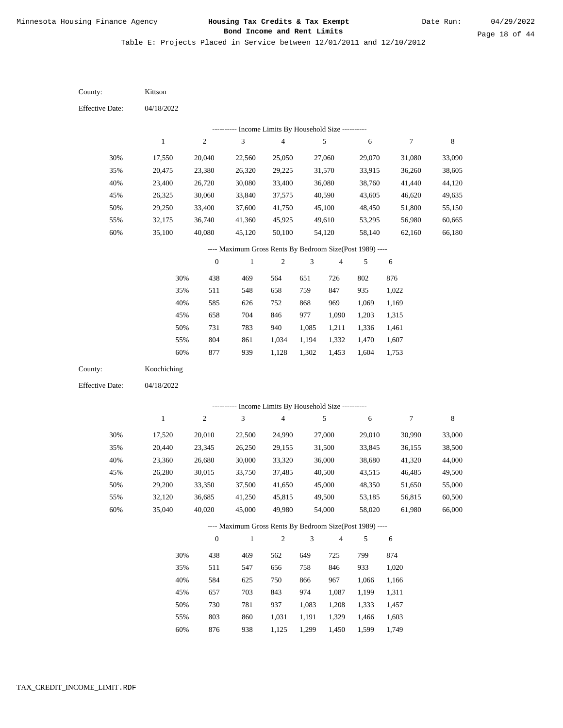Table E: Projects Placed in Service between 12/01/2011 and 12/10/2012

04/18/2022 04/18/2022 Kittson Koochiching 30% 35% 40% 45% 50% 55% 60% 30% 35% 40% 45% 50% 55% 60% 17,550 20,475 23,400 26,325 29,250 32,175 35,100 17,520 20,440 23,360 26,280 29,200 32,120 35,040 20,040 23,380 26,720 30,060 33,400 36,740 40,080 20,010 23,345 26,680 30,015 33,350 36,685 40,020 22,560 26,320 30,080 33,840 37,600 41,360 45,120 22,500 26,250 30,000 33,750 37,500 41,250 45,000 25,050 29,225 33,400 37,575 41,750 45,925 50,100 24,990 29,155 33,320 37,485 41,650 45,815 49,980 27,060 31,570 36,080 40,590 45,100 49,610 54,120 27,000 31,500 36,000 40,500 45,000 49,500 54,000 29,070 33,915 38,760 43,605 48,450 53,295 58,140 29,010 33,845 38,680 43,515 48,350 53,185 58,020 31,080 36,260 41,440 46,620 51,800 56,980 62,160 30,990 36,155 41,320 46,485 51,650 56,815 61,980 33,090 38,605 44,120 49,635 55,150 60,665 66,180 33,000 38,500 44,000 49,500 55,000 60,500 66,000 438 511 585 658 731 804 877 438 511 584 657 730 803 876 469 548 626 704 783 861 939 469 547 625 703 781 860 938 564 658 752 846 940 1,034 1,128 562 656 750 843 937 1,031 1,125 651 759 868 977 1,085 1,194 1,302 649 758 866 974 1,083 1,191 1,299 726 847 969 1,090 1,211 1,332 1,453 725 846 967 1,087 1,208 1,329 1,450 802 935 1,069 1,203 1,336 1,470 1,604 799 933 1,066 1,199 1,333 1,466 1,599 876 1,022 1,169 1,315 1,461 1,607 1,753 874 1,020 1,166 1,311 1,457 1,603 1,749 County: County: Effective Date: Effective Date: 1 1 2 2 3 3 4 4 5 5 6 6 7 7 8 8 0 0 1 1 2 2 3 3 4 4 5 5 6 6 ---------- Income Limits By Household Size ---------- ---------- Income Limits By Household Size ---------- ---- Maximum Gross Rents By Bedroom Size(Post 1989) ---- ---- Maximum Gross Rents By Bedroom Size(Post 1989) ---- 30% 35% 40% 45% 50% 55% 60% 30% 35% 40% 45% 50% 55% 60%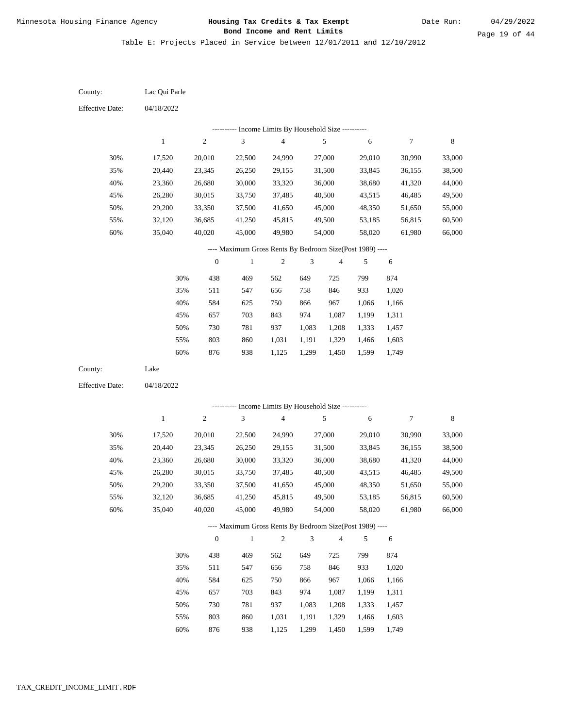Table E: Projects Placed in Service between 12/01/2011 and 12/10/2012

| County:                | Lac Qui Parle    |                  |                                                                     |                  |                |                  |                  |                  |                  |
|------------------------|------------------|------------------|---------------------------------------------------------------------|------------------|----------------|------------------|------------------|------------------|------------------|
| <b>Effective Date:</b> | 04/18/2022       |                  |                                                                     |                  |                |                  |                  |                  |                  |
|                        |                  |                  | --------- Income Limits By Household Size ----------                |                  |                |                  |                  |                  |                  |
|                        | $\mathbf{1}$     | $\boldsymbol{2}$ | $\mathfrak{Z}$                                                      | $\sqrt{4}$       |                | $\sqrt{5}$       | 6                | $\boldsymbol{7}$ | $\,8\,$          |
| 30%                    | 17,520           | 20,010           | 22,500                                                              | 24,990           |                | 27,000           | 29,010           | 30,990           | 33,000           |
| 35%                    | 20,440           | 23,345           | 26,250                                                              | 29,155           |                | 31,500           | 33,845           | 36,155           | 38,500           |
| 40%                    | 23,360           | 26,680           | 30,000                                                              | 33,320           |                | 36,000           | 38,680           | 41,320           | 44,000           |
| 45%                    | 26,280           | 30,015           | 33,750                                                              | 37,485           |                | 40,500           | 43,515           | 46,485           | 49,500           |
| 50%                    | 29,200           | 33,350           | 37,500                                                              | 41,650           |                | 45,000           | 48,350           | 51,650           | 55,000           |
| 55%                    | 32,120           | 36,685           | 41,250                                                              | 45,815           |                | 49,500           | 53,185           | 56,815           | 60,500           |
| $60\%$                 | 35,040           | 40,020           | 45,000                                                              | 49,980           |                | 54,000           | 58,020           | 61,980           | 66,000           |
|                        |                  |                  | ---- Maximum Gross Rents By Bedroom Size(Post 1989) ----            |                  |                |                  |                  |                  |                  |
|                        |                  | $\boldsymbol{0}$ | $\mathbf{1}$                                                        | $\sqrt{2}$       | 3              | 4                | 5                | 6                |                  |
|                        | 30%              | 438              | 469                                                                 | 562              | 649            | 725              | 799              | 874              |                  |
|                        | 35%              | 511              | 547                                                                 | 656              | 758            | 846              | 933              | 1,020            |                  |
|                        | 40%              | 584              | 625                                                                 | 750              | 866            | 967              | 1,066            | 1,166            |                  |
|                        | 45%              | 657              | 703                                                                 | 843              | 974            | 1,087            | 1,199            | 1,311            |                  |
|                        | 50%              | 730              | 781                                                                 | 937              | 1,083          | 1,208            | 1,333            | 1,457            |                  |
|                        | 55%              | 803              | 860                                                                 | 1,031            | 1,191          | 1,329            | 1,466            | 1,603            |                  |
|                        | $60\%$           | 876              | 938                                                                 | 1,125            | 1,299          | 1,450            | 1,599            | 1,749            |                  |
| County:                | Lake             |                  |                                                                     |                  |                |                  |                  |                  |                  |
| <b>Effective Date:</b> | 04/18/2022       |                  |                                                                     |                  |                |                  |                  |                  |                  |
|                        |                  |                  | --------- Income Limits By Household Size ----------                |                  |                |                  |                  |                  |                  |
|                        | $\mathbf{1}$     | $\sqrt{2}$       | $\mathfrak{Z}$                                                      | $\overline{4}$   |                | $\sqrt{5}$       | 6                | $\boldsymbol{7}$ | $\,8\,$          |
|                        |                  |                  |                                                                     |                  |                |                  |                  |                  |                  |
| 30%                    | 17,520           | 20,010           | 22,500                                                              | 24,990           |                | 27,000           | 29,010           | 30,990           | 33,000           |
| 35%<br>40%             | 20,440           | 23,345           | 26,250                                                              | 29,155           |                | 31,500           | 33,845           | 36,155           | 38,500           |
| 45%                    | 23,360<br>26,280 | 26,680<br>30,015 | 30,000<br>33,750                                                    | 33,320<br>37,485 |                | 36,000<br>40,500 | 38,680<br>43,515 | 41,320<br>46,485 | 44,000<br>49,500 |
| 50%                    | 29,200           | 33,350           | 37,500                                                              | 41,650           |                | 45,000           | 48,350           | 51,650           | 55,000           |
| 55%                    | 32,120           | 36,685           | 41,250                                                              | 45,815           |                | 49,500           | 53,185           | 56,815           | 60,500           |
| 60%                    | 35,040           | 40,020           | 45,000                                                              | 49,980           |                | 54,000           | 58,020           | 61,980           | 66,000           |
|                        |                  |                  |                                                                     |                  |                |                  |                  |                  |                  |
|                        |                  | $\boldsymbol{0}$ | ---- Maximum Gross Rents By Bedroom Size(Post 1989) ----<br>$\,1\,$ | $\sqrt{2}$       | $\mathfrak{Z}$ | $\overline{4}$   | 5                | 6                |                  |
|                        |                  |                  |                                                                     |                  |                |                  |                  |                  |                  |
|                        | 30%              | 438              | 469                                                                 | 562              | 649            | 725              | 799              | 874              |                  |
|                        | 35%              | 511              | 547                                                                 | 656              | 758            | 846              | 933              | 1,020            |                  |
|                        | 40%              | 584              | 625                                                                 | 750              | 866            | 967              | 1,066            | 1,166            |                  |
|                        | 45%              | 657              | 703                                                                 | 843              | 974            | 1,087            | 1,199            | 1,311            |                  |
|                        | 50%              | 730              | 781                                                                 | 937              | 1,083          | 1,208            | 1,333            | 1,457            |                  |
|                        | 55%              | 803              | 860                                                                 | 1,031            | 1,191          | 1,329            | 1,466            | 1,603            |                  |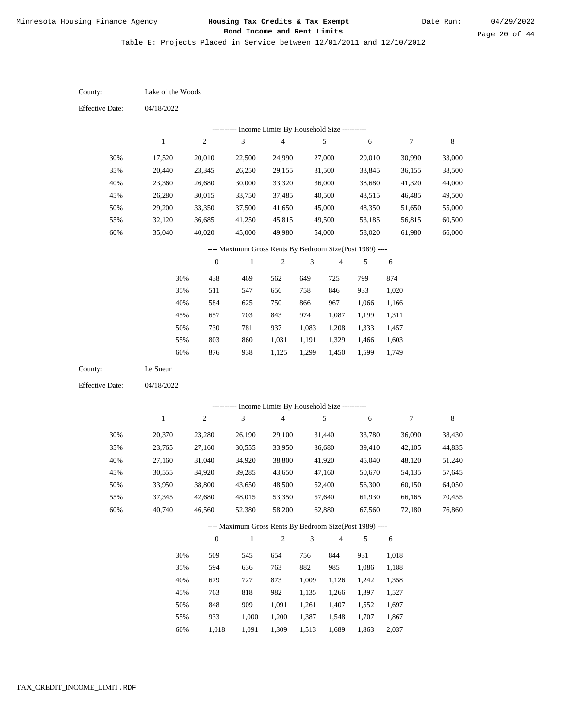Date Run:

Page 20 of 44

Table E: Projects Placed in Service between 12/01/2011 and 12/10/2012

| County:                | Lake of the Woods |                  |                                                          |                         |                |                |        |                  |             |
|------------------------|-------------------|------------------|----------------------------------------------------------|-------------------------|----------------|----------------|--------|------------------|-------------|
| <b>Effective Date:</b> | 04/18/2022        |                  |                                                          |                         |                |                |        |                  |             |
|                        |                   |                  | --------- Income Limits By Household Size ----------     |                         |                |                |        |                  |             |
|                        | $\mathbf{1}$      | $\sqrt{2}$       | 3                                                        | 4                       |                | 5              | 6      | 7                | $\,$ 8 $\,$ |
| 30%                    | 17,520            | 20,010           | 22,500                                                   | 24,990                  |                | 27,000         | 29,010 | 30,990           | 33,000      |
| 35%                    | 20,440            | 23,345           | 26,250                                                   | 29,155                  |                | 31,500         | 33,845 | 36,155           | 38,500      |
| 40%                    | 23,360            | 26,680           | 30,000                                                   | 33,320                  |                | 36,000         | 38,680 | 41,320           | 44,000      |
| 45%                    | 26,280            | 30,015           | 33,750                                                   | 37,485                  |                | 40,500         | 43,515 | 46,485           | 49,500      |
| 50%                    | 29,200            | 33,350           | 37,500                                                   | 41,650                  |                | 45,000         | 48,350 | 51,650           | 55,000      |
| 55%                    | 32,120            | 36,685           | 41,250                                                   | 45,815                  |                | 49,500         | 53,185 | 56,815           | 60,500      |
| $60\%$                 | 35,040            | 40,020           | 45,000                                                   | 49,980                  |                | 54,000         | 58,020 | 61,980           | 66,000      |
|                        |                   |                  | ---- Maximum Gross Rents By Bedroom Size(Post 1989) ---- |                         |                |                |        |                  |             |
|                        |                   | $\boldsymbol{0}$ | $\mathbf{1}$                                             | $\mathfrak{2}$          | 3              | $\overline{4}$ | 5      | 6                |             |
|                        | 30%               | 438              | 469                                                      | 562                     | 649            | 725            | 799    | 874              |             |
|                        | 35%               | 511              | 547                                                      | 656                     | 758            | 846            | 933    | 1,020            |             |
|                        | 40%               | 584              | 625                                                      | 750                     | 866            | 967            | 1,066  | 1,166            |             |
|                        | 45%               | 657              | 703                                                      | 843                     | 974            | 1,087          | 1,199  | 1,311            |             |
|                        | 50%               | 730              | 781                                                      | 937                     | 1,083          | 1,208          | 1,333  | 1,457            |             |
|                        | 55%               | 803              | 860                                                      | 1,031                   | 1,191          | 1,329          | 1,466  | 1,603            |             |
|                        | 60%               | 876              | 938                                                      | 1,125                   | 1,299          | 1,450          | 1,599  | 1,749            |             |
| County:                | Le Sueur          |                  |                                                          |                         |                |                |        |                  |             |
| <b>Effective Date:</b> | 04/18/2022        |                  |                                                          |                         |                |                |        |                  |             |
|                        |                   |                  | --------- Income Limits By Household Size ----------     |                         |                |                |        |                  |             |
|                        | $\mathbf{1}$      | $\boldsymbol{2}$ | 3                                                        | $\overline{\mathbf{4}}$ |                | $\sqrt{5}$     | 6      | $\boldsymbol{7}$ | $\,8\,$     |
| 30%                    | 20,370            | 23,280           | 26,190                                                   | 29,100                  |                | 31,440         | 33,780 | 36,090           | 38,430      |
| 35%                    | 23,765            | 27,160           | 30,555                                                   | 33,950                  |                | 36,680         | 39,410 | 42,105           | 44,835      |
| 40%                    | 27,160            | 31,040           | 34,920                                                   | 38,800                  |                | 41,920         | 45,040 | 48,120           | 51,240      |
| 45%                    | 30,555            | 34,920           | 39,285                                                   | 43,650                  |                | 47,160         | 50,670 | 54,135           | 57,645      |
| 50%                    | 33,950            | 38,800           | 43,650                                                   | 48,500                  |                | 52,400         | 56,300 | 60,150           | 64,050      |
| 55%                    | 37,345            | 42,680           | 48,015                                                   | 53,350                  |                | 57,640         | 61,930 | 66,165           | 70,455      |
| 60%                    | 40,740            | 46,560           | 52,380                                                   | 58,200                  |                | 62,880         | 67,560 | 72,180           | 76,860      |
|                        |                   |                  | ---- Maximum Gross Rents By Bedroom Size(Post 1989) ---- |                         |                |                |        |                  |             |
|                        |                   | $\boldsymbol{0}$ | $\mathbf{1}$                                             | $\sqrt{2}$              | $\mathfrak{Z}$ | $\overline{4}$ | 5      | 6                |             |
|                        | 30%               | 509              | 545                                                      | 654                     | 756            | 844            | 931    | 1,018            |             |
|                        | 35%               | 594              | 636                                                      | 763                     | 882            | 985            | 1,086  | 1,188            |             |
|                        | 40%               | 679              | 727                                                      | 873                     | 1,009          | 1,126          | 1,242  | 1,358            |             |
|                        | 45%               | 763              | 818                                                      | 982                     | 1,135          | 1,266          | 1,397  | 1,527            |             |
|                        | 50%               | 848              | 909                                                      | 1,091                   | 1,261          | 1,407          | 1,552  | 1,697            |             |
|                        | 55%               | 933              | 1,000                                                    | 1,200                   | 1,387          | 1,548          | 1,707  | 1,867            |             |
|                        | $60\%$            | 1,018            | 1,091                                                    | 1,309                   | 1,513          | 1,689          | 1,863  | 2,037            |             |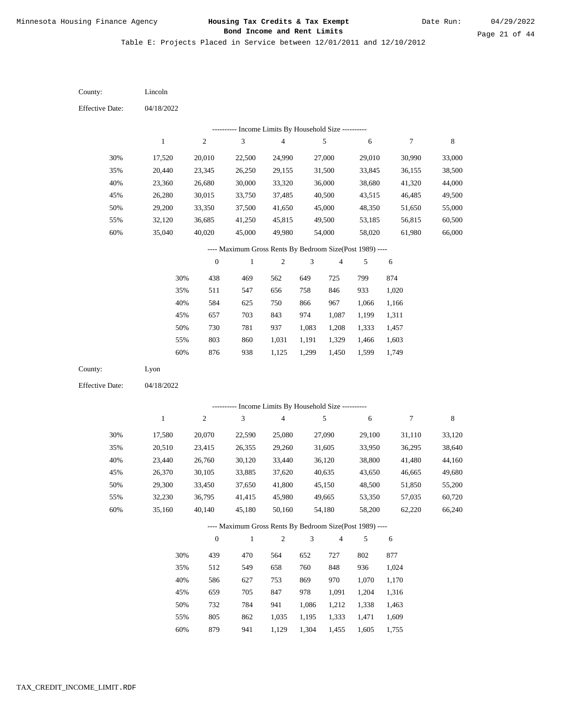Table E: Projects Placed in Service between 12/01/2011 and 12/10/2012

04/18/2022 04/18/2022 Lincoln Lyon 30% 35% 40% 45% 50% 55% 60% 30% 35% 40% 45% 50% 55% 60% 17,520 20,440 23,360 26,280 29,200 32,120 35,040 17,580 20,510 23,440 26,370 29,300 32,230 35,160 20,010 23,345 26,680 30,015 33,350 36,685 40,020 20,070 23,415 26,760 30,105 33,450 36,795 40,140 22,500 26,250 30,000 33,750 37,500 41,250 45,000 22,590 26,355 30,120 33,885 37,650 41,415 45,180 24,990 29,155 33,320 37,485 41,650 45,815 49,980 25,080 29,260 33,440 37,620 41,800 45,980 50,160 27,000 31,500 36,000 40,500 45,000 49,500 54,000 27,090 31,605 36,120 40,635 45,150 49,665 54,180 29,010 33,845 38,680 43,515 48,350 53,185 58,020 29,100 33,950 38,800 43,650 48,500 53,350 58,200 30,990 36,155 41,320 46,485 51,650 56,815 61,980 31,110 36,295 41,480 46,665 51,850 57,035 62,220 33,000 38,500 44,000 49,500 55,000 60,500 66,000 33,120 38,640 44,160 49,680 55,200 60,720 66,240 438 511 584 657 730 803 876 439 512 586 659 732 805 879 469 547 625 703 781 860 938 470 549 627 705 784 862 562 656 750 843 937 1,031 1,125 564 658 753 847 941 1,035 649 758 866 974 1,083 1,191 1,299 652 760 869 978 1,086 1,195 725 846 967 1,087 1,208 1,329 1,450 727 848 970 1,091 1,212 1,333 799 933 1,066 1,199 1,333 1,466 1,599 802 936 1,070 1,204 1,338 1,471 874 1,020 1,166 1,311 1,457 1,603 1,749 877 1,024 1,170 1,316 1,463 1,609 County: County: Effective Date: Effective Date: 1 1 2 2 3 3 4 4 5 5 6 6 7 7 8 8 0 0 1 1 2 2 3 3 4 4 5 5 6 6 ---------- Income Limits By Household Size ---------- ---------- Income Limits By Household Size ---------- ---- Maximum Gross Rents By Bedroom Size(Post 1989) ---- ---- Maximum Gross Rents By Bedroom Size(Post 1989) ---- 30% 35% 40% 45% 50% 55% 60% 30% 35% 40% 45% 50% 55% 60%

941

1,129

1,304

1,455

1,605

1,755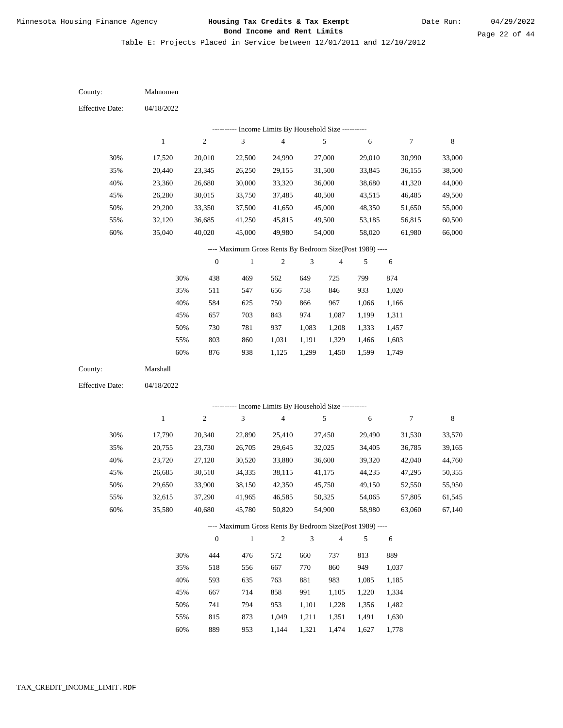Date Run:

Table E: Projects Placed in Service between 12/01/2011 and 12/10/2012

| County:                | Mahnomen         |                  |                                                            |                         |                |                         |                  |                  |                  |
|------------------------|------------------|------------------|------------------------------------------------------------|-------------------------|----------------|-------------------------|------------------|------------------|------------------|
| <b>Effective Date:</b> | 04/18/2022       |                  |                                                            |                         |                |                         |                  |                  |                  |
|                        |                  |                  | ---------- Income Limits By Household Size ----------      |                         |                |                         |                  |                  |                  |
|                        | $\,1\,$          | $\sqrt{2}$       | $\mathfrak 3$                                              | $\overline{\mathbf{4}}$ |                | $\sqrt{5}$              | 6                | $\boldsymbol{7}$ | $\,$ 8 $\,$      |
| 30%                    | 17,520           | 20,010           | 22,500                                                     | 24,990                  |                | 27,000                  | 29,010           | 30,990           | 33,000           |
| 35%                    | 20,440           | 23,345           | 26,250                                                     | 29,155                  |                | 31,500                  | 33,845           | 36,155           | 38,500           |
| 40%                    | 23,360           | 26,680           | 30,000                                                     | 33,320                  |                | 36,000                  | 38,680           | 41,320           | 44,000           |
| 45%                    | 26,280           | 30,015           | 33,750                                                     | 37,485                  |                | 40,500                  | 43,515           | 46,485           | 49,500           |
| 50%                    | 29,200           | 33,350           | 37,500                                                     | 41,650                  |                | 45,000                  | 48,350           | 51,650           | 55,000           |
| 55%                    | 32,120           | 36,685           | 41,250                                                     | 45,815                  |                | 49,500                  | 53,185           | 56,815           | 60,500           |
| 60%                    | 35,040           | 40,020           | 45,000                                                     | 49,980                  |                | 54,000                  | 58,020           | 61,980           | 66,000           |
|                        |                  |                  | ---- Maximum Gross Rents By Bedroom Size(Post 1989) ----   |                         |                |                         |                  |                  |                  |
|                        |                  | $\boldsymbol{0}$ | $\,1$                                                      | $\overline{c}$          | 3              | $\overline{\mathbf{4}}$ | 5                | $\sqrt{6}$       |                  |
|                        | 30%              | 438              | 469                                                        | 562                     | 649            | 725                     | 799              | 874              |                  |
|                        | 35%              | 511              | 547                                                        | 656                     | 758            | 846                     | 933              | 1,020            |                  |
|                        | 40%              | 584              | 625                                                        | 750                     | 866            | 967                     | 1,066            | 1,166            |                  |
|                        | 45%              | 657              | 703                                                        | 843                     | 974            | 1,087                   | 1,199            | 1,311            |                  |
|                        | 50%              | 730              | 781                                                        | 937                     | 1,083          | 1,208                   | 1,333            | 1,457            |                  |
|                        | 55%              | 803              | 860                                                        | 1,031                   | 1,191          | 1,329                   | 1,466            | 1,603            |                  |
|                        | 60%              | 876              | 938                                                        | 1,125                   | 1,299          | 1,450                   | 1,599            | 1,749            |                  |
| County:                | Marshall         |                  |                                                            |                         |                |                         |                  |                  |                  |
| <b>Effective Date:</b> | 04/18/2022       |                  |                                                            |                         |                |                         |                  |                  |                  |
|                        |                  |                  |                                                            |                         |                |                         |                  |                  |                  |
|                        | $\mathbf{1}$     | $\sqrt{2}$       | ---------- Income Limits By Household Size ----------<br>3 | $\overline{\mathbf{4}}$ |                | 5                       | 6                | $\boldsymbol{7}$ | $\,$ 8 $\,$      |
|                        |                  |                  |                                                            |                         |                |                         |                  |                  |                  |
| 30%                    | 17,790           | 20,340           | 22,890                                                     | 25,410                  |                | 27,450                  | 29,490           | 31,530           | 33,570           |
| 35%                    | 20,755           | 23,730           | 26,705                                                     | 29,645                  |                | 32,025                  | 34,405           | 36,785           | 39,165           |
| 40%                    | 23,720           | 27,120           | 30,520                                                     | 33,880                  |                | 36,600                  | 39,320           | 42,040           | 44,760           |
| 45%                    | 26,685           | 30,510           | 34,335                                                     | 38,115                  |                | 41,175                  | 44,235           | 47,295           | 50,355           |
| 50%                    | 29,650           | 33,900<br>37,290 | 38,150<br>41,965                                           | 42,350                  |                | 45,750                  | 49,150           | 52,550<br>57,805 | 55,950           |
| 55%                    | 32,615<br>35,580 | 40,680           | 45,780                                                     | 46,585<br>50,820        |                | 50,325<br>54,900        | 54,065<br>58,980 | 63,060           | 61,545<br>67,140 |
| $60\%$                 |                  |                  |                                                            |                         |                |                         |                  |                  |                  |
|                        |                  |                  | ---- Maximum Gross Rents By Bedroom Size(Post 1989) ----   |                         |                |                         |                  |                  |                  |
|                        |                  | $\mathbf{0}$     | $\mathbf{1}$                                               | $\mathbf{2}$            | $\mathfrak{Z}$ | 4                       | 5                | 6                |                  |
|                        | 30%              | 444              | 476                                                        | 572                     | 660            | 737                     | 813              | 889              |                  |
|                        | 35%              | 518              | 556                                                        | 667                     | 770            | 860                     | 949              | 1,037            |                  |
|                        | 40%              | 593              | 635                                                        | 763                     | 881            | 983                     | 1,085            | 1,185            |                  |
|                        | 45%              | 667              | 714                                                        | 858                     | 991            | 1,105                   | 1,220            | 1,334            |                  |
|                        | 50%              | 741              | 794                                                        | 953                     | 1,101          | 1,228                   | 1,356            | 1,482            |                  |
|                        | 55%              | 815              | 873                                                        | 1,049                   | 1,211          | 1,351                   | 1,491            | 1,630            |                  |

889 953 1,144 1,321 1,474 1,627 1,778 60%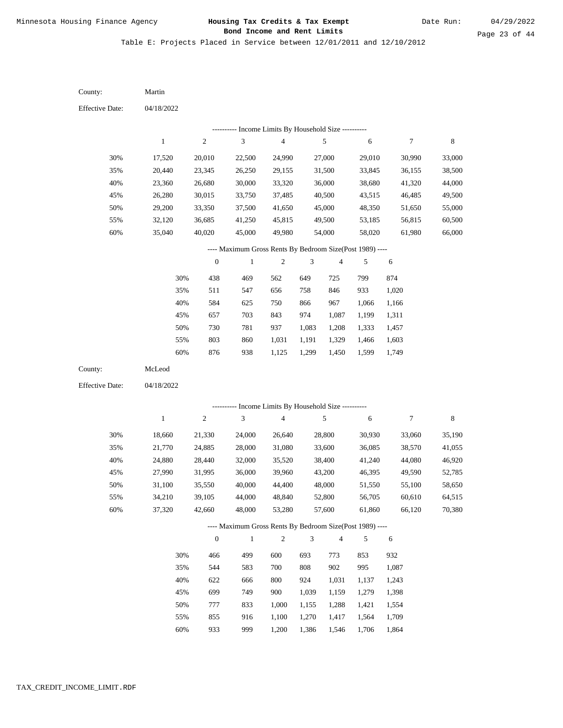Table E: Projects Placed in Service between 12/01/2011 and 12/10/2012

| County:                | Martin           |                  |                                                          |                          |                |                  |                  |                  |                  |
|------------------------|------------------|------------------|----------------------------------------------------------|--------------------------|----------------|------------------|------------------|------------------|------------------|
| <b>Effective Date:</b> | 04/18/2022       |                  |                                                          |                          |                |                  |                  |                  |                  |
|                        |                  |                  | --------- Income Limits By Household Size ----------     |                          |                |                  |                  |                  |                  |
|                        | $\mathbf{1}$     | $\sqrt{2}$       | $\mathfrak{Z}$                                           | $\overline{\mathcal{L}}$ |                | $\sqrt{5}$       | 6                | $\boldsymbol{7}$ | $\,$ 8 $\,$      |
| 30%                    | 17,520           | 20,010           | 22,500                                                   | 24,990                   |                | 27,000           | 29,010           | 30,990           | 33,000           |
| 35%                    | 20,440           | 23,345           | 26,250                                                   | 29,155                   |                | 31,500           | 33,845           | 36,155           | 38,500           |
| 40%                    | 23,360           | 26,680           | 30,000                                                   | 33,320                   |                | 36,000           | 38,680           | 41,320           | 44,000           |
| 45%                    | 26,280           | 30,015           | 33,750                                                   | 37,485                   |                | 40,500           | 43,515           | 46,485           | 49,500           |
| 50%                    | 29,200           | 33,350           | 37,500                                                   | 41,650                   |                | 45,000           | 48,350           | 51,650           | 55,000           |
| 55%                    | 32,120           | 36,685           | 41,250                                                   | 45,815                   |                | 49,500           | 53,185           | 56,815           | 60,500           |
| 60%                    | 35,040           | 40,020           | 45,000                                                   | 49,980                   |                | 54,000           | 58,020           | 61,980           | 66,000           |
|                        |                  |                  | ---- Maximum Gross Rents By Bedroom Size(Post 1989) ---- |                          |                |                  |                  |                  |                  |
|                        |                  | $\boldsymbol{0}$ | $\,1$                                                    | $\sqrt{2}$               | 3              | 4                | 5                | 6                |                  |
|                        | 30%              | 438              | 469                                                      | 562                      | 649            | 725              | 799              | 874              |                  |
|                        | 35%              | 511              | 547                                                      | 656                      | 758            | 846              | 933              | 1,020            |                  |
|                        | 40%              | 584              | 625                                                      | 750                      | 866            | 967              | 1,066            | 1,166            |                  |
|                        | 45%              | 657              | 703                                                      | 843                      | 974            | 1,087            | 1,199            | 1,311            |                  |
|                        | 50%              | 730              | 781                                                      | 937                      | 1,083          | 1,208            | 1,333            | 1,457            |                  |
|                        | 55%              | 803              | 860                                                      | 1,031                    | 1,191          | 1,329            | 1,466            | 1,603            |                  |
|                        | 60%              | 876              | 938                                                      | 1,125                    | 1,299          | 1,450            | 1,599            | 1,749            |                  |
| County:                | McLeod           |                  |                                                          |                          |                |                  |                  |                  |                  |
| <b>Effective Date:</b> | 04/18/2022       |                  |                                                          |                          |                |                  |                  |                  |                  |
|                        |                  |                  | --------- Income Limits By Household Size ----------     |                          |                |                  |                  |                  |                  |
|                        | $\mathbf{1}$     | $\sqrt{2}$       | 3                                                        | $\overline{4}$           |                | $\sqrt{5}$       | 6                | $\boldsymbol{7}$ | $\,$ 8 $\,$      |
|                        |                  |                  |                                                          |                          |                |                  |                  |                  |                  |
| 30%                    | 18,660           | 21,330           | 24,000                                                   | 26,640                   |                | 28,800           | 30,930           | 33,060           | 35,190           |
| 35%                    | 21,770           | 24,885           | 28,000                                                   | 31,080                   |                | 33,600           | 36,085           | 38,570           | 41,055           |
| 40%<br>45%             | 24,880<br>27,990 | 28,440<br>31,995 | 32,000<br>36,000                                         | 35,520<br>39,960         |                | 38,400<br>43,200 | 41,240<br>46,395 | 44,080<br>49,590 | 46,920<br>52,785 |
| 50%                    | 31,100           | 35,550           | 40,000                                                   | 44,400                   |                | 48,000           | 51,550           | 55,100           | 58,650           |
| 55%                    | 34,210           | 39,105           | 44,000                                                   | 48,840                   |                | 52,800           | 56,705           | 60,610           | 64,515           |
| 60%                    | 37,320           | 42,660           | 48,000                                                   | 53,280                   |                | 57,600           | 61,860           | 66,120           | 70,380           |
|                        |                  |                  |                                                          |                          |                |                  |                  |                  |                  |
|                        |                  |                  | ---- Maximum Gross Rents By Bedroom Size(Post 1989) ---- |                          |                |                  |                  |                  |                  |
|                        |                  | $\boldsymbol{0}$ | $\mathbf{1}$                                             | $\sqrt{2}$               | $\mathfrak{Z}$ | $\overline{4}$   | 5                | 6                |                  |
|                        | 30%              | 466              | 499                                                      | 600                      | 693            | 773              | 853              | 932              |                  |
|                        | 35%              | 544              | 583                                                      | 700                      | 808            | 902              | 995              | 1,087            |                  |
|                        | 40%              | 622              | 666                                                      | 800                      | 924            | 1,031            | 1,137            | 1,243            |                  |
|                        | 45%              | 699              | 749                                                      | 900                      | 1,039          | 1,159            | 1,279            | 1,398            |                  |
|                        | 50%              | 777              | 833                                                      | 1,000                    | 1,155          | 1,288            | 1,421            | 1,554            |                  |
|                        | 55%              | 855              | 916                                                      | 1,100                    | 1,270          | 1,417            | 1,564            | 1,709            |                  |

933 999 1,200 1,386 1,546 1,706 1,864 60%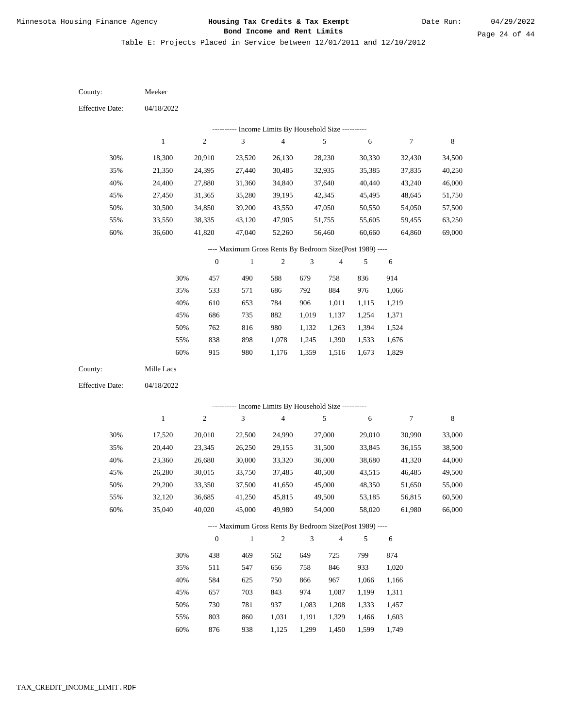Table E: Projects Placed in Service between 12/01/2011 and 12/10/2012

| County:                | Meeker           |                  |                                                          |                                            |                             |                  |                  |                  |                  |
|------------------------|------------------|------------------|----------------------------------------------------------|--------------------------------------------|-----------------------------|------------------|------------------|------------------|------------------|
| <b>Effective Date:</b> | 04/18/2022       |                  |                                                          |                                            |                             |                  |                  |                  |                  |
|                        |                  |                  |                                                          | Income Limits By Household Size ---------- |                             |                  |                  |                  |                  |
|                        | $\,1$            | $\mathbf{2}$     | $\mathfrak{Z}$                                           | $\overline{\mathbf{4}}$                    |                             | 5                | $\sqrt{6}$       | $\boldsymbol{7}$ | $\,$ 8 $\,$      |
| 30%                    | 18,300           | 20,910           | 23,520                                                   | 26,130                                     |                             | 28,230           | 30,330           | 32,430           | 34,500           |
| 35%                    | 21,350           | 24,395           | 27,440                                                   | 30,485                                     |                             | 32,935           | 35,385           | 37,835           | 40,250           |
| 40%                    | 24,400           | 27,880           | 31,360                                                   | 34,840                                     |                             | 37,640           | 40,440           | 43,240           | 46,000           |
| 45%                    | 27,450           | 31,365           | 35,280                                                   | 39,195                                     |                             | 42,345           | 45,495           | 48,645           | 51,750           |
| 50%                    | 30,500           | 34,850           | 39,200                                                   | 43,550                                     |                             | 47,050           | 50,550           | 54,050           | 57,500           |
| 55%                    | 33,550           | 38,335           | 43,120                                                   | 47,905                                     |                             | 51,755           | 55,605           | 59,455           | 63,250           |
| 60%                    | 36,600           | 41,820           | 47,040                                                   | 52,260                                     |                             | 56,460           | 60,660           | 64,860           | 69,000           |
|                        |                  |                  | ---- Maximum Gross Rents By Bedroom Size(Post 1989) ---- |                                            |                             |                  |                  |                  |                  |
|                        |                  | $\boldsymbol{0}$ | $\,1$                                                    | $\sqrt{2}$                                 | 3                           | $\overline{4}$   | 5                | 6                |                  |
|                        | 30%              | 457              | 490                                                      | 588                                        | 679                         | 758              | 836              | 914              |                  |
|                        | 35%              | 533              | 571                                                      | 686                                        | 792                         | 884              | 976              | 1,066            |                  |
|                        | 40%              | 610              | 653                                                      | 784                                        | 906                         | 1,011            | 1,115            | 1,219            |                  |
|                        | 45%              | 686              | 735                                                      | 882                                        | 1,019                       | 1,137            | 1,254            | 1,371            |                  |
|                        | 50%              | 762              | 816                                                      | 980                                        | 1,132                       | 1,263            | 1,394            | 1,524            |                  |
|                        | 55%              | 838              | 898                                                      | 1,078                                      | 1,245                       | 1,390            | 1,533            | 1,676            |                  |
|                        | 60%              | 915              | 980                                                      | 1,176                                      | 1,359                       | 1,516            | 1,673            | 1,829            |                  |
| County:                | Mille Lacs       |                  |                                                          |                                            |                             |                  |                  |                  |                  |
| <b>Effective Date:</b> | 04/18/2022       |                  |                                                          |                                            |                             |                  |                  |                  |                  |
|                        |                  |                  | --------- Income Limits By Household Size ----------     |                                            |                             |                  |                  |                  |                  |
|                        | $\,1$            | $\overline{c}$   | $\ensuremath{\mathfrak{Z}}$                              | $\overline{\mathbf{4}}$                    |                             | 5                | $\sqrt{6}$       | $\boldsymbol{7}$ | $\,$ 8 $\,$      |
|                        |                  |                  |                                                          |                                            |                             |                  |                  |                  |                  |
| 30%                    | 17,520           | 20,010           | 22,500                                                   | 24,990                                     |                             | 27,000           | 29,010           | 30,990           | 33,000           |
| 35%<br>40%             | 20,440           | 23,345           | 26,250                                                   | 29,155<br>33,320                           |                             | 31,500           | 33,845           | 36,155           | 38,500           |
| 45%                    | 23,360<br>26,280 | 26,680<br>30,015 | 30,000<br>33,750                                         | 37,485                                     |                             | 36,000<br>40,500 | 38,680<br>43,515 | 41,320<br>46,485 | 44,000<br>49,500 |
| 50%                    | 29,200           | 33,350           | 37,500                                                   | 41,650                                     |                             | 45,000           | 48,350           | 51,650           | 55,000           |
| 55%                    | 32,120           | 36,685           | 41,250                                                   | 45,815                                     |                             | 49,500           | 53,185           | 56,815           | 60,500           |
| 60%                    | 35,040           | 40,020           | 45,000                                                   | 49,980                                     |                             | 54,000           | 58,020           | 61,980           | 66,000           |
|                        |                  |                  | ---- Maximum Gross Rents By Bedroom Size(Post 1989) ---- |                                            |                             |                  |                  |                  |                  |
|                        |                  | $\boldsymbol{0}$ | $\mathbf{1}$                                             | $\sqrt{2}$                                 | $\ensuremath{\mathfrak{Z}}$ | $\overline{4}$   | 5                | 6                |                  |
|                        | 30%              | 438              | 469                                                      | 562                                        | 649                         | 725              | 799              | 874              |                  |
|                        | 35%              | 511              | 547                                                      | 656                                        | 758                         | 846              | 933              | 1,020            |                  |
|                        | 40%              | 584              | 625                                                      | 750                                        | 866                         | 967              | 1,066            | 1,166            |                  |
|                        | 45%              | 657              | 703                                                      | 843                                        | 974                         | 1,087            | 1,199            | 1,311            |                  |
|                        | 50%              | 730              | 781                                                      | 937                                        | 1,083                       | 1,208            | 1,333            | 1,457            |                  |
|                        | 55%              | 803              | 860                                                      | 1,031                                      | 1,191                       | 1,329            | 1,466            | 1,603            |                  |
|                        |                  |                  |                                                          |                                            |                             |                  |                  |                  |                  |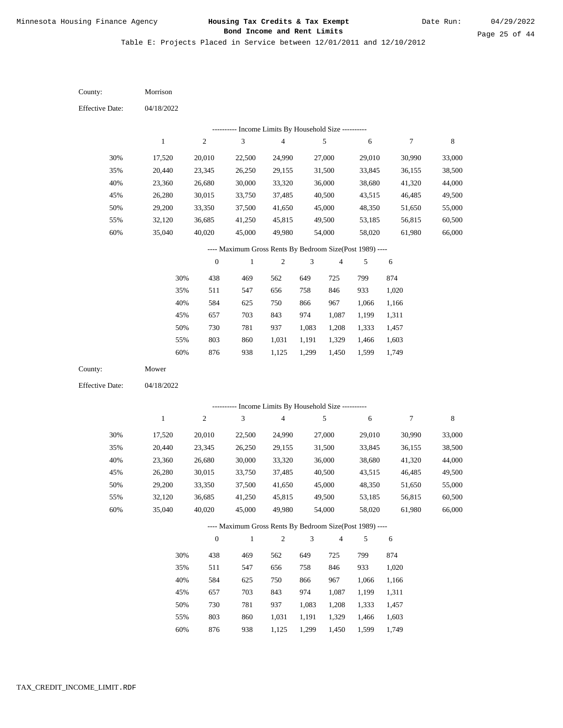Date Run:

Page 25 of 44

Table E: Projects Placed in Service between 12/01/2011 and 12/10/2012

| County:                | Morrison   |                  |                                                           |                                            |                |                         |            |                  |             |
|------------------------|------------|------------------|-----------------------------------------------------------|--------------------------------------------|----------------|-------------------------|------------|------------------|-------------|
| <b>Effective Date:</b> | 04/18/2022 |                  |                                                           |                                            |                |                         |            |                  |             |
|                        |            |                  |                                                           | Income Limits By Household Size ---------- |                |                         |            |                  |             |
|                        | $\,1$      | $\overline{c}$   | $\mathfrak{Z}$                                            | $\overline{\mathcal{L}}$                   |                | $\sqrt{5}$              | $\sqrt{6}$ | $\boldsymbol{7}$ | $\,$ 8 $\,$ |
| 30%                    | 17,520     | 20,010           | 22,500                                                    | 24,990                                     |                | 27,000                  | 29,010     | 30,990           | 33,000      |
| 35%                    | 20,440     | 23,345           | 26,250                                                    | 29,155                                     |                | 31,500                  | 33,845     | 36,155           | 38,500      |
| 40%                    | 23,360     | 26,680           | 30,000                                                    | 33,320                                     |                | 36,000                  | 38,680     | 41,320           | 44,000      |
| 45%                    | 26,280     | 30,015           | 33,750                                                    | 37,485                                     |                | 40,500                  | 43,515     | 46,485           | 49,500      |
| 50%                    | 29,200     | 33,350           | 37,500                                                    | 41,650                                     |                | 45,000                  | 48,350     | 51,650           | 55,000      |
| 55%                    | 32,120     | 36,685           | 41,250                                                    | 45,815                                     |                | 49,500                  | 53,185     | 56,815           | 60,500      |
| 60%                    | 35,040     | 40,020           | 45,000                                                    | 49,980                                     |                | 54,000                  | 58,020     | 61,980           | 66,000      |
|                        |            |                  | ---- Maximum Gross Rents By Bedroom Size(Post 1989) ----  |                                            |                |                         |            |                  |             |
|                        |            | $\boldsymbol{0}$ | 1                                                         | $\sqrt{2}$                                 | 3              | $\overline{\mathbf{4}}$ | 5          | 6                |             |
|                        | 30%        | 438              | 469                                                       | 562                                        | 649            | 725                     | 799        | 874              |             |
|                        | 35%        | 511              | 547                                                       | 656                                        | 758            | 846                     | 933        | 1,020            |             |
|                        | 40%        | 584              | 625                                                       | 750                                        | 866            | 967                     | 1,066      | 1,166            |             |
|                        | 45%        | 657              | 703                                                       | 843                                        | 974            | 1,087                   | 1,199      | 1,311            |             |
|                        | 50%        | 730              | 781                                                       | 937                                        | 1,083          | 1,208                   | 1,333      | 1,457            |             |
|                        | 55%        | 803              | 860                                                       | 1,031                                      | 1,191          | 1,329                   | 1,466      | 1,603            |             |
|                        | 60%        | 876              | 938                                                       | 1,125                                      | 1,299          | 1,450                   | 1,599      | 1,749            |             |
| County:                | Mower      |                  |                                                           |                                            |                |                         |            |                  |             |
| <b>Effective Date:</b> | 04/18/2022 |                  |                                                           |                                            |                |                         |            |                  |             |
|                        |            |                  |                                                           |                                            |                |                         |            |                  |             |
|                        | $\,1$      | $\sqrt{2}$       | --------- Income Limits By Household Size ----------<br>3 | $\overline{\mathbf{4}}$                    |                | $\sqrt{5}$              | 6          | $\boldsymbol{7}$ | $\,$ 8 $\,$ |
|                        |            |                  |                                                           |                                            |                |                         |            |                  |             |
| 30%                    | 17,520     | 20,010           | 22,500                                                    | 24,990                                     |                | 27,000                  | 29,010     | 30,990           | 33,000      |
| 35%                    | 20,440     | 23,345           | 26,250                                                    | 29,155                                     |                | 31,500                  | 33,845     | 36,155           | 38,500      |
| 40%                    | 23,360     | 26,680           | 30,000                                                    | 33,320                                     |                | 36,000                  | 38,680     | 41,320           | 44,000      |
| 45%                    | 26,280     | 30,015           | 33,750                                                    | 37,485                                     |                | 40,500                  | 43,515     | 46,485           | 49,500      |
| 50%                    | 29,200     | 33,350           | 37,500                                                    | 41,650                                     |                | 45,000                  | 48,350     | 51,650           | 55,000      |
| 55%                    | 32,120     | 36,685           | 41,250                                                    | 45,815                                     |                | 49,500                  | 53,185     | 56,815<br>61,980 | 60,500      |
| 60%                    | 35,040     | 40,020           | 45,000                                                    | 49,980                                     |                | 54,000                  | 58,020     |                  | 66,000      |
|                        |            |                  | ---- Maximum Gross Rents By Bedroom Size(Post 1989) ----  |                                            |                |                         |            |                  |             |
|                        |            | $\boldsymbol{0}$ | $\mathbf{1}$                                              | $\overline{c}$                             | $\mathfrak{Z}$ | $\overline{\mathbf{4}}$ | 5          | 6                |             |
|                        | 30%        | 438              | 469                                                       | 562                                        | 649            | 725                     | 799        | 874              |             |
|                        | 35%        | 511              | 547                                                       | 656                                        | 758            | 846                     | 933        | 1,020            |             |
|                        | 40%        | 584              | 625                                                       | 750                                        | 866            | 967                     | 1,066      | 1,166            |             |
|                        | 45%        | 657              | 703                                                       | 843                                        | 974            | 1,087                   | 1,199      | 1,311            |             |
|                        | 50%        | 730              | 781                                                       | 937                                        | 1,083          | 1,208                   | 1,333      | 1,457            |             |
|                        | 55%        | 803              | 860                                                       | 1,031                                      | 1,191          | 1,329                   | 1,466      | 1,603            |             |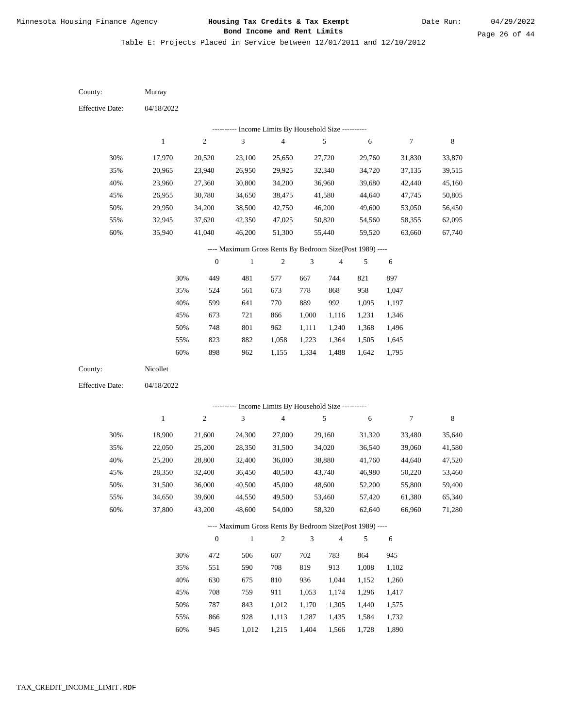Table E: Projects Placed in Service between 12/01/2011 and 12/10/2012

| County:                | Murray       |                  |                                                                        |                         |                             |                |            |                  |             |
|------------------------|--------------|------------------|------------------------------------------------------------------------|-------------------------|-----------------------------|----------------|------------|------------------|-------------|
| <b>Effective Date:</b> | 04/18/2022   |                  |                                                                        |                         |                             |                |            |                  |             |
|                        |              |                  | --------- Income Limits By Household Size ----------                   |                         |                             |                |            |                  |             |
|                        | $\mathbf{1}$ | 2                | $\mathfrak{Z}$                                                         | $\overline{\mathbf{4}}$ |                             | 5              | 6          | $\boldsymbol{7}$ | $\,$ 8 $\,$ |
| 30%                    | 17,970       | 20,520           | 23,100                                                                 | 25,650                  |                             | 27,720         | 29,760     | 31,830           | 33,870      |
| 35%                    | 20,965       | 23,940           | 26,950                                                                 | 29,925                  |                             | 32,340         | 34,720     | 37,135           | 39,515      |
| 40%                    | 23,960       | 27,360           | 30,800                                                                 | 34,200                  |                             | 36,960         | 39,680     | 42,440           | 45,160      |
| 45%                    | 26,955       | 30,780           | 34,650                                                                 | 38,475                  |                             | 41,580         | 44,640     | 47,745           | 50,805      |
| 50%                    | 29,950       | 34,200           | 38,500                                                                 | 42,750                  |                             | 46,200         | 49,600     | 53,050           | 56,450      |
| 55%                    | 32,945       | 37,620           | 42,350                                                                 | 47,025                  |                             | 50,820         | 54,560     | 58,355           | 62,095      |
| 60%                    | 35,940       | 41,040           | 46,200                                                                 | 51,300                  |                             | 55,440         | 59,520     | 63,660           | 67,740      |
|                        |              |                  | ---- Maximum Gross Rents By Bedroom Size(Post 1989) ----               |                         |                             |                |            |                  |             |
|                        |              | $\boldsymbol{0}$ | $\mathbf{1}$                                                           | $\boldsymbol{2}$        | 3                           | $\overline{4}$ | 5          | 6                |             |
|                        | 30%          | 449              | 481                                                                    | 577                     | 667                         | 744            | 821        | 897              |             |
|                        | 35%          | 524              | 561                                                                    | 673                     | 778                         | 868            | 958        | 1,047            |             |
|                        | 40%          | 599              | 641                                                                    | 770                     | 889                         | 992            | 1,095      | 1,197            |             |
|                        | 45%          | 673              | 721                                                                    | 866                     | 1,000                       | 1,116          | 1,231      | 1,346            |             |
|                        | 50%          | 748              | 801                                                                    | 962                     | 1,111                       | 1,240          | 1,368      | 1,496            |             |
|                        | 55%          | 823              | 882                                                                    | 1,058                   | 1,223                       | 1,364          | 1,505      | 1,645            |             |
|                        | 60%          | 898              | 962                                                                    | 1,155                   | 1,334                       | 1,488          | 1,642      | 1,795            |             |
| County:                | Nicollet     |                  |                                                                        |                         |                             |                |            |                  |             |
| <b>Effective Date:</b> | 04/18/2022   |                  |                                                                        |                         |                             |                |            |                  |             |
|                        |              |                  |                                                                        |                         |                             |                |            |                  |             |
|                        | $\mathbf{1}$ | $\overline{c}$   | --------- Income Limits By Household Size ----------<br>$\mathfrak{Z}$ | $\overline{\mathbf{4}}$ |                             | 5              | $\sqrt{6}$ | 7                | $\,$ 8 $\,$ |
|                        |              |                  |                                                                        |                         |                             |                |            |                  |             |
| 30%                    | 18,900       | 21,600           | 24,300                                                                 | 27,000                  |                             | 29,160         | 31,320     | 33,480           | 35,640      |
| 35%                    | 22,050       | 25,200           | 28,350                                                                 | 31,500                  |                             | 34,020         | 36,540     | 39,060           | 41,580      |
| 40%                    | 25,200       | 28,800           | 32,400                                                                 | 36,000                  |                             | 38,880         | 41,760     | 44,640           | 47,520      |
| 45%                    | 28,350       | 32,400           | 36,450                                                                 | 40,500                  |                             | 43,740         | 46,980     | 50,220           | 53,460      |
| 50%                    | 31,500       | 36,000           | 40,500                                                                 | 45,000                  |                             | 48,600         | 52,200     | 55,800           | 59,400      |
| 55%                    | 34,650       | 39,600           | 44,550                                                                 | 49,500                  |                             | 53,460         | 57,420     | 61,380           | 65,340      |
| 60%                    | 37,800       | 43,200           | 48,600                                                                 | 54,000                  |                             | 58,320         | 62,640     | 66,960           | 71,280      |
|                        |              |                  | ---- Maximum Gross Rents By Bedroom Size(Post 1989) ----               |                         |                             |                |            |                  |             |
|                        |              | $\boldsymbol{0}$ | $\mathbf{1}$                                                           | $\sqrt{2}$              | $\ensuremath{\mathfrak{Z}}$ | $\overline{4}$ | 5          | 6                |             |
|                        | 30%          | 472              | 506                                                                    | 607                     | 702                         | 783            | 864        | 945              |             |
|                        | 35%          | 551              | 590                                                                    | 708                     | 819                         | 913            | 1,008      | 1,102            |             |
|                        | 40%          | 630              | 675                                                                    | 810                     | 936                         | 1,044          | 1,152      | 1,260            |             |
|                        | 45%          | 708              | 759                                                                    | 911                     | 1,053                       | 1,174          | 1,296      | 1,417            |             |
|                        | 50%          | 787              | 843                                                                    | 1,012                   | 1,170                       | 1,305          | 1,440      | 1,575            |             |
|                        | 55%          | 866              | 928                                                                    | 1,113                   | 1,287                       | 1,435          | 1,584      | 1,732            |             |

60% 945 1,012 1,215 1,404 1,566 1,728 1,890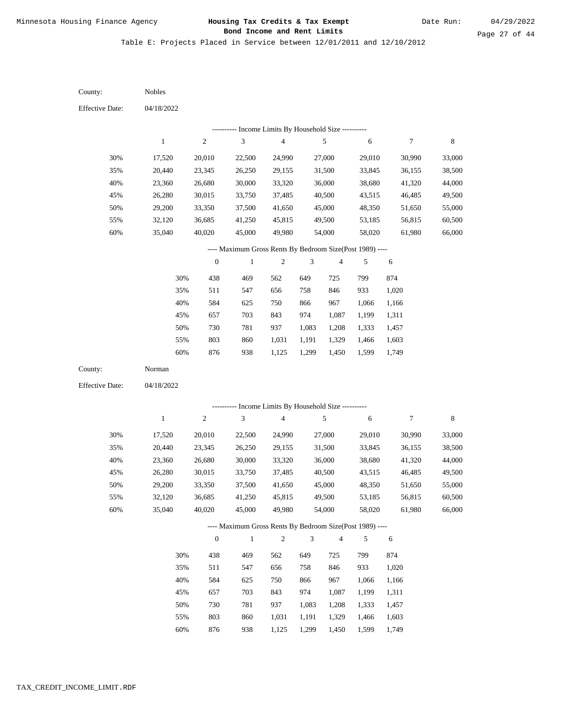Table E: Projects Placed in Service between 12/01/2011 and 12/10/2012

| County:                | Nobles           |                  |                                                           |                         |                |                |        |                  |                  |
|------------------------|------------------|------------------|-----------------------------------------------------------|-------------------------|----------------|----------------|--------|------------------|------------------|
| <b>Effective Date:</b> | 04/18/2022       |                  |                                                           |                         |                |                |        |                  |                  |
|                        |                  |                  | --------- Income Limits By Household Size ----------      |                         |                |                |        |                  |                  |
|                        | $\mathbf{1}$     | $\sqrt{2}$       | $\sqrt{3}$                                                | $\overline{\mathbf{4}}$ |                | 5              | 6      | $\boldsymbol{7}$ | $\,$ 8 $\,$      |
| 30%                    | 17,520           | 20,010           | 22,500                                                    | 24,990                  |                | 27,000         | 29,010 | 30,990           | 33,000           |
| 35%                    | 20,440           | 23,345           | 26,250                                                    | 29,155                  |                | 31,500         | 33,845 | 36,155           | 38,500           |
| 40%                    | 23,360           | 26,680           | 30,000                                                    | 33,320                  |                | 36,000         | 38,680 | 41,320           | 44,000           |
| 45%                    | 26,280           | 30,015           | 33,750                                                    | 37,485                  |                | 40,500         | 43,515 | 46,485           | 49,500           |
| 50%                    | 29,200           | 33,350           | 37,500                                                    | 41,650                  |                | 45,000         | 48,350 | 51,650           | 55,000           |
| 55%                    | 32,120           | 36,685           | 41,250                                                    | 45,815                  |                | 49,500         | 53,185 | 56,815           | 60,500           |
| 60%                    | 35,040           | 40,020           | 45,000                                                    | 49,980                  |                | 54,000         | 58,020 | 61,980           | 66,000           |
|                        |                  |                  | ---- Maximum Gross Rents By Bedroom Size(Post 1989) ----  |                         |                |                |        |                  |                  |
|                        |                  | $\boldsymbol{0}$ | $\,1$                                                     | $\sqrt{2}$              | 3              | 4              | 5      | 6                |                  |
|                        | 30%              | 438              | 469                                                       | 562                     | 649            | 725            | 799    | 874              |                  |
|                        | 35%              | 511              | 547                                                       | 656                     | 758            | 846            | 933    | 1,020            |                  |
|                        | 40%              | 584              | 625                                                       | 750                     | 866            | 967            | 1,066  | 1,166            |                  |
|                        | 45%              | 657              | 703                                                       | 843                     | 974            | 1,087          | 1,199  | 1,311            |                  |
|                        | 50%              | 730              | 781                                                       | 937                     | 1,083          | 1,208          | 1,333  | 1,457            |                  |
|                        | 55%              | 803              | 860                                                       | 1,031                   | 1,191          | 1,329          | 1,466  | 1,603            |                  |
|                        | 60%              | 876              | 938                                                       | 1,125                   | 1,299          | 1,450          | 1,599  | 1,749            |                  |
| County:                | Norman           |                  |                                                           |                         |                |                |        |                  |                  |
| <b>Effective Date:</b> | 04/18/2022       |                  |                                                           |                         |                |                |        |                  |                  |
|                        |                  |                  |                                                           |                         |                |                |        |                  |                  |
|                        | $\mathbf{1}$     | $\sqrt{2}$       | --------- Income Limits By Household Size ----------<br>3 | $\overline{4}$          |                | $\sqrt{5}$     | 6      | $\boldsymbol{7}$ | $\,$ 8 $\,$      |
|                        |                  |                  |                                                           |                         |                |                |        |                  |                  |
| 30%                    | 17,520           | 20,010           | 22,500                                                    | 24,990                  |                | 27,000         | 29,010 | 30,990           | 33,000           |
| 35%                    | 20,440           | 23,345           | 26,250                                                    | 29,155                  |                | 31,500         | 33,845 | 36,155           | 38,500           |
| 40%                    | 23,360           | 26,680           | 30,000                                                    | 33,320                  |                | 36,000         | 38,680 | 41,320           | 44,000           |
| 45%                    | 26,280           | 30,015           | 33,750                                                    | 37,485                  |                | 40,500         | 43,515 | 46,485           | 49,500           |
| 50%                    | 29,200           | 33,350           | 37,500                                                    | 41,650                  |                | 45,000         | 48,350 | 51,650           | 55,000           |
| 55%<br>60%             | 32,120<br>35,040 | 36,685<br>40,020 | 41,250<br>45,000                                          | 45,815<br>49,980        |                | 49,500         | 53,185 | 56,815<br>61,980 | 60,500<br>66,000 |
|                        |                  |                  |                                                           |                         |                | 54,000         | 58,020 |                  |                  |
|                        |                  |                  | ---- Maximum Gross Rents By Bedroom Size(Post 1989) ----  |                         |                |                |        |                  |                  |
|                        |                  | $\boldsymbol{0}$ | $\,1\,$                                                   | $\sqrt{2}$              | $\mathfrak{Z}$ | $\overline{4}$ | 5      | 6                |                  |
|                        | 30%              | 438              | 469                                                       | 562                     | 649            | 725            | 799    | 874              |                  |
|                        | 35%              | 511              | 547                                                       | 656                     | 758            | 846            | 933    | 1,020            |                  |
|                        | 40%              | 584              | 625                                                       | 750                     | 866            | 967            | 1,066  | 1,166            |                  |
|                        | 45%              | 657              | 703                                                       | 843                     | 974            | 1,087          | 1,199  | 1,311            |                  |
|                        | 50%              | 730              | 781                                                       | 937                     | 1,083          | 1,208          | 1,333  | 1,457            |                  |
|                        | 55%              | 803              | 860                                                       | 1,031                   | 1,191          | 1,329          | 1,466  | 1,603            |                  |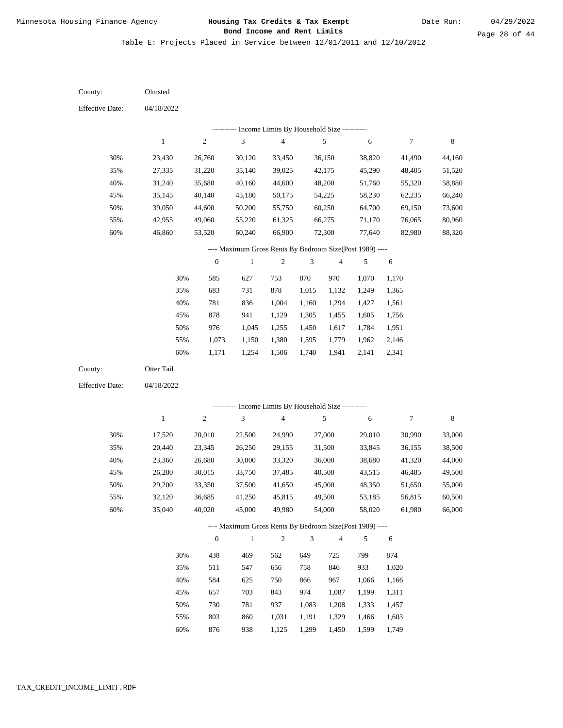Table E: Projects Placed in Service between 12/01/2011 and 12/10/2012

04/18/2022 04/18/2022 Olmsted Otter Tail 30% 35% 40% 45% 50% 55% 60% 30% 35% 40% 45% 50% 55% 60% 23,430 27,335 31,240 35,145 39,050 42,955 46,860 17,520 20,440 23,360 26,280 29,200 32,120 35,040 26,760 31,220 35,680 40,140 44,600 49,060 53,520 20,010 23,345 26,680 30,015 33,350 36,685 40,020 30,120 35,140 40,160 45,180 50,200 55,220 60,240 22,500 26,250 30,000 33,750 37,500 41,250 45,000 33,450 39,025 44,600 50,175 55,750 61,325 66,900 24,990 29,155 33,320 37,485 41,650 45,815 49,980 36,150 42,175 48,200 54,225 60,250 66,275 72,300 27,000 31,500 36,000 40,500 45,000 49,500 54,000 38,820 45,290 51,760 58,230 64,700 71,170 77,640 29,010 33,845 38,680 43,515 48,350 53,185 58,020 41,490 48,405 55,320 62,235 69,150 76,065 82,980 30,990 36,155 41,320 46,485 51,650 56,815 61,980 44,160 51,520 58,880 66,240 73,600 80,960 88,320 33,000 38,500 44,000 49,500 55,000 60,500 66,000 585 683 781 878 976 1,073 1,171 438 511 584 657 730 803 876 627 731 836 941 1,045 1,150 1,254 469 547 625 703 781 860 938 753 878 1,004 1,129 1,255 1,380 1,506 562 656 750 843 937 1,031 1,125 870 1,015 1,160 1,305 1,450 1,595 1,740 649 758 866 974 1,083 1,191 1,299 970 1,132 1,294 1,455 1,617 1,779 1,941 725 846 967 1,087 1,208 1,329 1,450 1,070 1,249 1,427 1,605 1,784 1,962 2,141 799 933 1,066 1,199 1,333 1,466 1,599 1,170 1,365 1,561 1,756 1,951 2,146 2,341 874 1,020 1,166 1,311 1,457 1,603 1,749 County: County: Effective Date: Effective Date: 1 1 2 2 3 3 4 4 5 5 6 6 7 7 8 8 0 0 1 1 2 2 3 3 4 4 5 5 6 6 ---------- Income Limits By Household Size ---------- ---------- Income Limits By Household Size ---------- ---- Maximum Gross Rents By Bedroom Size(Post 1989) ---- ---- Maximum Gross Rents By Bedroom Size(Post 1989) ---- 30% 35% 40% 45% 50% 55% 60% 30% 35% 40% 45% 50% 55% 60%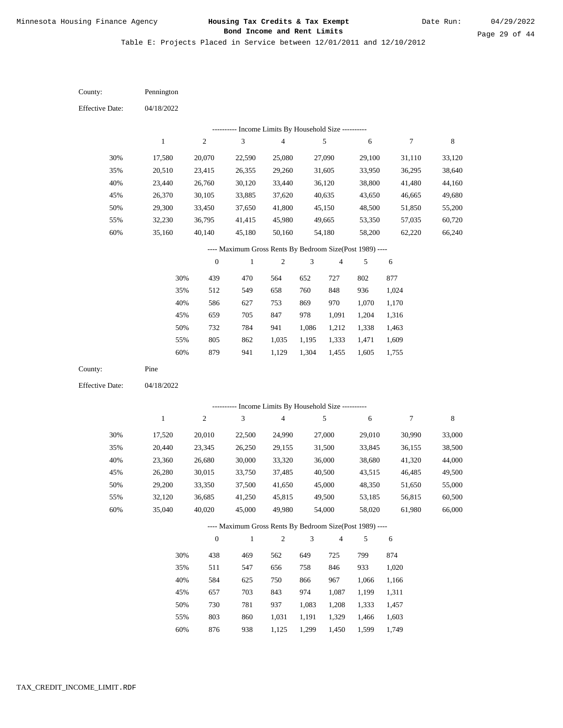Date Run:

Table E: Projects Placed in Service between 12/01/2011 and 12/10/2012

| <b>Effective Date:</b><br>04/18/2022<br>--------- Income Limits By Household Size ----------<br>8<br>$\,1$<br>$\sqrt{2}$<br>$\mathfrak{Z}$<br>$\overline{\mathbf{4}}$<br>$\sqrt{5}$<br>$\boldsymbol{7}$<br>6<br>17,580 |  |
|------------------------------------------------------------------------------------------------------------------------------------------------------------------------------------------------------------------------|--|
|                                                                                                                                                                                                                        |  |
|                                                                                                                                                                                                                        |  |
|                                                                                                                                                                                                                        |  |
| 30%<br>25,080<br>27,090<br>31,110<br>33,120<br>20,070<br>22,590<br>29,100                                                                                                                                              |  |
| 35%<br>23,415<br>29,260<br>31,605<br>36,295<br>38,640<br>20,510<br>26,355<br>33,950                                                                                                                                    |  |
| 40%<br>26,760<br>30,120<br>33,440<br>36,120<br>38,800<br>41,480<br>44,160<br>23,440                                                                                                                                    |  |
| 45%<br>40,635<br>49,680<br>26,370<br>30,105<br>33,885<br>37,620<br>43,650<br>46,665                                                                                                                                    |  |
| 50%<br>41,800<br>29,300<br>33,450<br>37,650<br>45,150<br>48,500<br>51,850<br>55,200                                                                                                                                    |  |
| 55%<br>45,980<br>49,665<br>60,720<br>32,230<br>36,795<br>41,415<br>53,350<br>57,035                                                                                                                                    |  |
| 60%<br>54,180<br>66,240<br>35,160<br>40,140<br>45,180<br>50,160<br>58,200<br>62,220                                                                                                                                    |  |
| ---- Maximum Gross Rents By Bedroom Size(Post 1989) ----                                                                                                                                                               |  |
| $\boldsymbol{0}$<br>$\overline{c}$<br>3<br>$\overline{\mathbf{4}}$<br>$\mathbf{1}$<br>5<br>$\sqrt{6}$                                                                                                                  |  |
| 30%<br>470<br>439<br>564<br>652<br>727<br>802<br>877                                                                                                                                                                   |  |
| 549<br>936<br>35%<br>512<br>658<br>760<br>848<br>1,024                                                                                                                                                                 |  |
| 40%<br>586<br>627<br>869<br>970<br>1,070<br>753<br>1,170                                                                                                                                                               |  |
| 659<br>705<br>847<br>978<br>1,091<br>1,204<br>45%<br>1,316                                                                                                                                                             |  |
| 50%<br>732<br>784<br>941<br>1,338<br>1,086<br>1,212<br>1,463                                                                                                                                                           |  |
| 805<br>862<br>55%<br>1,035<br>1,195<br>1,333<br>1,471<br>1,609                                                                                                                                                         |  |
| 60%<br>879<br>941<br>1,304<br>1,605<br>1,129<br>1,455<br>1,755                                                                                                                                                         |  |
| County:<br>Pine                                                                                                                                                                                                        |  |
| <b>Effective Date:</b><br>04/18/2022                                                                                                                                                                                   |  |
| Income Limits By Household Size ----------                                                                                                                                                                             |  |
| $\sqrt{2}$<br>3<br>$\overline{\mathbf{4}}$<br>$\sqrt{5}$<br>8<br>$\mathbf{1}$<br>6<br>$\tau$                                                                                                                           |  |
| 30%<br>27,000<br>33,000<br>17,520<br>20,010<br>22,500<br>24,990<br>29,010<br>30,990                                                                                                                                    |  |
| 35%<br>26,250<br>31,500<br>36,155<br>38,500<br>20,440<br>23,345<br>29,155<br>33,845                                                                                                                                    |  |
| 40%<br>36,000<br>44,000<br>23,360<br>26,680<br>30,000<br>33,320<br>38,680<br>41,320                                                                                                                                    |  |
| 45%<br>40,500<br>26,280<br>30,015<br>33,750<br>37,485<br>43,515<br>46,485<br>49,500                                                                                                                                    |  |
| 50%<br>45,000<br>55,000<br>29,200<br>33,350<br>37,500<br>41,650<br>48,350<br>51,650                                                                                                                                    |  |
| 60,500<br>55%<br>32,120<br>36,685<br>41,250<br>45,815<br>49,500<br>53,185<br>56,815                                                                                                                                    |  |
| 60%<br>35,040<br>40,020<br>45,000<br>49,980<br>54,000<br>58,020<br>61,980<br>66,000                                                                                                                                    |  |
| ---- Maximum Gross Rents By Bedroom Size(Post 1989) ----                                                                                                                                                               |  |
| $\boldsymbol{0}$<br>$\mathbf{1}$<br>$\overline{c}$<br>3<br>4<br>5<br>6                                                                                                                                                 |  |
| 874<br>30%<br>438<br>469<br>562<br>649<br>725<br>799                                                                                                                                                                   |  |
| 758<br>933<br>35%<br>511<br>547<br>656<br>846<br>1,020                                                                                                                                                                 |  |
| 584<br>967<br>40%<br>625<br>750<br>866<br>1,066<br>1,166                                                                                                                                                               |  |
| 703<br>974<br>45%<br>657<br>843<br>1,087<br>1,199<br>1,311                                                                                                                                                             |  |
| 781<br>50%<br>730<br>937<br>1,083<br>1,208<br>1,333<br>1,457                                                                                                                                                           |  |
| 803<br>55%<br>860<br>1,031<br>1,191<br>1,329<br>1,466<br>1,603                                                                                                                                                         |  |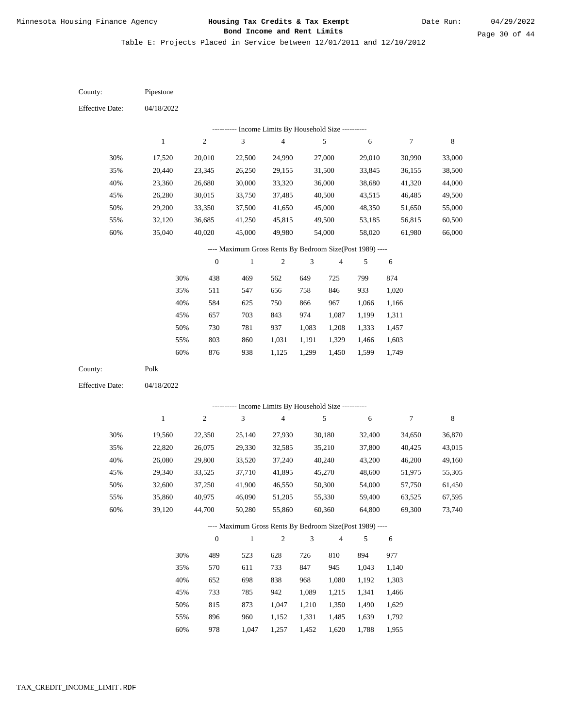Date Run:

Page 30 of 44

Table E: Projects Placed in Service between 12/01/2011 and 12/10/2012

| County:                | Pipestone    |                  |                                                          |                         |       |                          |        |        |         |
|------------------------|--------------|------------------|----------------------------------------------------------|-------------------------|-------|--------------------------|--------|--------|---------|
| <b>Effective Date:</b> | 04/18/2022   |                  |                                                          |                         |       |                          |        |        |         |
|                        |              |                  | --------- Income Limits By Household Size ----------     |                         |       |                          |        |        |         |
|                        | $\mathbf{1}$ | $\sqrt{2}$       | 3                                                        | $\overline{\mathbf{4}}$ |       | 5                        | 6      | 7      | 8       |
| 30%                    | 17,520       | 20,010           | 22,500                                                   | 24,990                  |       | 27,000                   | 29,010 | 30,990 | 33,000  |
| 35%                    | 20,440       | 23,345           | 26,250                                                   | 29,155                  |       | 31,500                   | 33,845 | 36,155 | 38,500  |
| 40%                    | 23,360       | 26,680           | 30,000                                                   | 33,320                  |       | 36,000                   | 38,680 | 41,320 | 44,000  |
| 45%                    | 26,280       | 30,015           | 33,750                                                   | 37,485                  |       | 40,500                   | 43,515 | 46,485 | 49,500  |
| 50%                    | 29,200       | 33,350           | 37,500                                                   | 41,650                  |       | 45,000                   | 48,350 | 51,650 | 55,000  |
| 55%                    | 32,120       | 36,685           | 41,250                                                   | 45,815                  |       | 49,500                   | 53,185 | 56,815 | 60,500  |
| 60%                    | 35,040       | 40,020           | 45,000                                                   | 49,980                  |       | 54,000                   | 58,020 | 61,980 | 66,000  |
|                        |              |                  | ---- Maximum Gross Rents By Bedroom Size(Post 1989) ---- |                         |       |                          |        |        |         |
|                        |              | $\boldsymbol{0}$ | $\mathbf{1}$                                             | $\overline{c}$          | 3     | $\overline{4}$           | 5      | 6      |         |
|                        | 30%          | 438              | 469                                                      | 562                     | 649   | 725                      | 799    | 874    |         |
|                        | 35%          | 511              | 547                                                      | 656                     | 758   | 846                      | 933    | 1,020  |         |
|                        | 40%          | 584              | 625                                                      | 750                     | 866   | 967                      | 1,066  | 1,166  |         |
|                        | 45%          | 657              | 703                                                      | 843                     | 974   | 1,087                    | 1,199  | 1,311  |         |
|                        | 50%          | 730              | 781                                                      | 937                     | 1,083 | 1,208                    | 1,333  | 1,457  |         |
|                        | 55%          | 803              | 860                                                      | 1,031                   | 1,191 | 1,329                    | 1,466  | 1,603  |         |
|                        | 60%          | 876              | 938                                                      | 1,125                   | 1,299 | 1,450                    | 1,599  | 1,749  |         |
| County:                | Polk         |                  |                                                          |                         |       |                          |        |        |         |
| <b>Effective Date:</b> | 04/18/2022   |                  |                                                          |                         |       |                          |        |        |         |
|                        |              |                  |                                                          |                         |       |                          |        |        |         |
|                        |              |                  | ---------- Income Limits By Household Size ----------    |                         |       |                          |        |        |         |
|                        | $\mathbf{1}$ | $\sqrt{2}$       | 3                                                        | $\overline{\mathbf{4}}$ |       | 5                        | 6      | 7      | $\,8\,$ |
| 30%                    | 19,560       | 22,350           | 25,140                                                   | 27,930                  |       | 30,180                   | 32,400 | 34,650 | 36,870  |
| 35%                    | 22,820       | 26,075           | 29,330                                                   | 32,585                  |       | 35,210                   | 37,800 | 40,425 | 43,015  |
| 40%                    | 26,080       | 29,800           | 33,520                                                   | 37,240                  |       | 40,240                   | 43,200 | 46,200 | 49,160  |
| 45%                    | 29,340       | 33,525           | 37,710                                                   | 41,895                  |       | 45,270                   | 48,600 | 51,975 | 55,305  |
| 50%                    | 32,600       | 37,250           | 41,900                                                   | 46,550                  |       | 50,300                   | 54,000 | 57,750 | 61,450  |
| 55%                    | 35,860       | 40,975           | 46,090                                                   | 51,205                  |       | 55,330                   | 59,400 | 63,525 | 67,595  |
| 60%                    | 39,120       | 44,700           | 50,280                                                   | 55,860                  |       | 60,360                   | 64,800 | 69,300 | 73,740  |
|                        |              |                  | ---- Maximum Gross Rents By Bedroom Size(Post 1989) ---- |                         |       |                          |        |        |         |
|                        |              | $\boldsymbol{0}$ | $\mathbf{1}$                                             | $\overline{c}$          | 3     | $\overline{\mathcal{L}}$ | 5      | 6      |         |
|                        | 30%          | 489              | 523                                                      | 628                     | 726   | 810                      | 894    | 977    |         |
|                        | 35%          | 570              | 611                                                      | 733                     | 847   | 945                      | 1,043  | 1,140  |         |
|                        | 40%          | 652              | 698                                                      | 838                     | 968   | 1,080                    | 1,192  | 1,303  |         |
|                        | 45%          | 733              | 785                                                      | 942                     | 1,089 | 1,215                    | 1,341  | 1,466  |         |
|                        | 50%          | 815              | 873                                                      | 1,047                   | 1,210 | 1,350                    | 1,490  | 1,629  |         |
|                        | 55%          | 896              | 960                                                      | 1,152                   | 1,331 | 1,485                    | 1,639  | 1,792  |         |

978 1,047 1,257 1,452 1,620 1,788 1,955 60%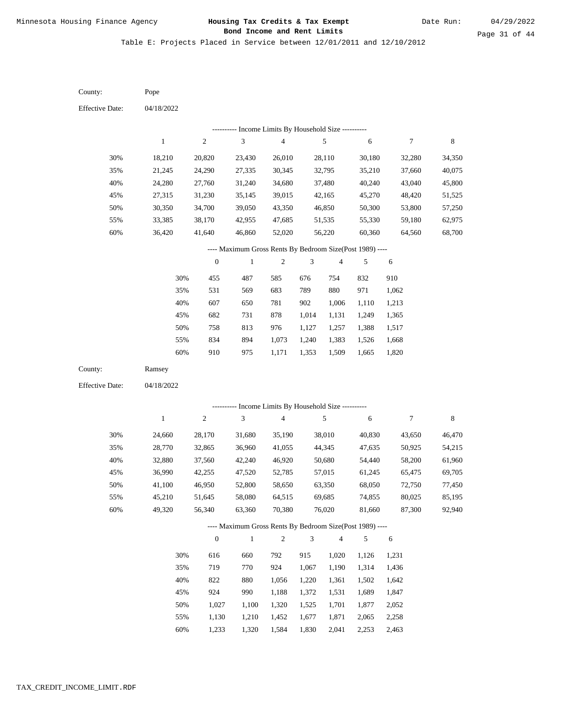Table E: Projects Placed in Service between 12/01/2011 and 12/10/2012

04/18/2022 04/18/2022 Pope Ramsey 30% 35% 40% 45% 50% 55% 60% 30% 35% 40% 45% 50% 55% 60% 18,210 21,245 24,280 27,315 30,350 33,385 36,420 24,660 28,770 32,880 36,990 41,100 45,210 49,320 20,820 24,290 27,760 31,230 34,700 38,170 41,640 28,170 32,865 37,560 42,255 46,950 51,645 56,340 23,430 27,335 31,240 35,145 39,050 42,955 46,860 31,680 36,960 42,240 47,520 52,800 58,080 63,360 26,010 30,345 34,680 39,015 43,350 47,685 52,020 35,190 41,055 46,920 52,785 58,650 64,515 70,380 28,110 32,795 37,480 42,165 46,850 51,535 56,220 38,010 44,345 50,680 57,015 63,350 69,685 76,020 30,180 35,210 40,240 45,270 50,300 55,330 60,360 40,830 47,635 54,440 61,245 68,050 74,855 81,660 32,280 37,660 43,040 48,420 53,800 59,180 64,560 43,650 50,925 58,200 65,475 72,750 80,025 87,300 34,350 40,075 45,800 51,525 57,250 62,975 68,700 46,470 54,215 61,960 69,705 77,450 85,195 92,940 455 531 607 682 758 834 910 616 719 822 924 1,027 1,130 1,233 487 569 650 731 813 894 975 660 770 880 990 1,100 1,210 1,320 585 683 781 878 976 1,073 1,171 792 924 1,056 1,188 1,320 1,452 1,584 676 789 902 1,014 1,127 1,240 1,353 915 1,067 1,220 1,372 1,525 1,677 1,830 754 880 1,006 1,131 1,257 1,383 1,509 1,020 1,190 1,361 1,531 1,701 1,871 2,041 832 971 1,110 1,249 1,388 1,526 1,665 1,126 1,314 1,502 1,689 1,877 2,065 2,253 910 1,062 1,213 1,365 1,517 1,668 1,820 1,231 1,436 1,642 1,847 2,052 2,258 2,463 County: County: Effective Date: Effective Date: 1 1 2 2 3 3 4 4 5 5 6 6 7 7 8 8 0 0 1 1 2 2 3 3 4 4 5 5 6 6 ---------- Income Limits By Household Size ---------- ---------- Income Limits By Household Size ---------- ---- Maximum Gross Rents By Bedroom Size(Post 1989) ---- ---- Maximum Gross Rents By Bedroom Size(Post 1989) ---- 30% 35% 40% 45% 50% 55% 60% 30% 35% 40% 45% 50% 55% 60%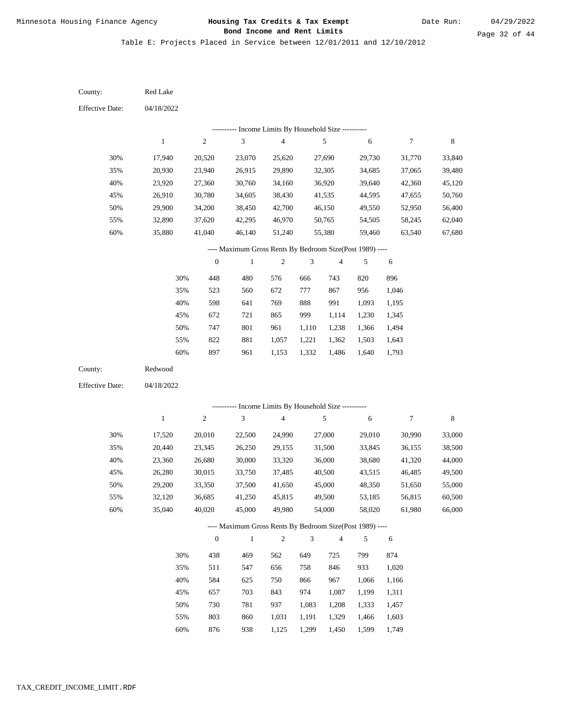Table E: Projects Placed in Service between 12/01/2011 and 12/10/2012

04/18/2022 04/18/2022 Red Lake Redwood 30% 35% 40% 45% 50% 55% 60% 30% 35% 40% 45% 50% 55% 60% 17,940 20,930 23,920 26,910 29,900 32,890 35,880 17,520 20,440 23,360 26,280 29,200 32,120 35,040 20,520 23,940 27,360 30,780 34,200 37,620 41,040 20,010 23,345 26,680 30,015 33,350 36,685 40,020 23,070 26,915 30,760 34,605 38,450 42,295 46,140 22,500 26,250 30,000 33,750 37,500 41,250 45,000 25,620 29,890 34,160 38,430 42,700 46,970 51,240 24,990 29,155 33,320 37,485 41,650 45,815 49,980 27,690 32,305 36,920 41,535 46,150 50,765 55,380 27,000 31,500 36,000 40,500 45,000 49,500 54,000 29,730 34,685 39,640 44,595 49,550 54,505 59,460 29,010 33,845 38,680 43,515 48,350 53,185 58,020 31,770 37,065 42,360 47,655 52,950 58,245 63,540 30,990 36,155 41,320 46,485 51,650 56,815 61,980 33,840 39,480 45,120 50,760 56,400 62,040 67,680 33,000 38,500 44,000 49,500 55,000 60,500 66,000 448 523 598 672 747 822 897 438 511 584 657 730 803 876 480 560 641 721 801 881 961 469 547 625 703 781 860 938 576 672 769 865 961 1,057 1,153 562 656 750 843 937 1,031 1,125 666 777 888 999 1,110 1,221 1,332 649 758 866 974 1,083 1,191 1,299 743 867 991 1,114 1,238 1,362 1,486 725 846 967 1,087 1,208 1,329 1,450 820 956 1,093 1,230 1,366 1,503 1,640 799 933 1,066 1,199 1,333 1,466 1,599 896 1,046 1,195 1,345 1,494 1,643 1,793 874 1,020 1,166 1,311 1,457 1,603 1,749 County: County: Effective Date: Effective Date: 1 1 2 2 3 3 4 4 5 5 6 6 7 7 8 8 0 0 1 1 2 2 3 3 4 4 5 5 6 6 ---------- Income Limits By Household Size ---------- ---------- Income Limits By Household Size ---------- ---- Maximum Gross Rents By Bedroom Size(Post 1989) ---- ---- Maximum Gross Rents By Bedroom Size(Post 1989) ---- 30% 35% 40% 45% 50% 55% 60% 30% 35% 40% 45% 50% 55% 60%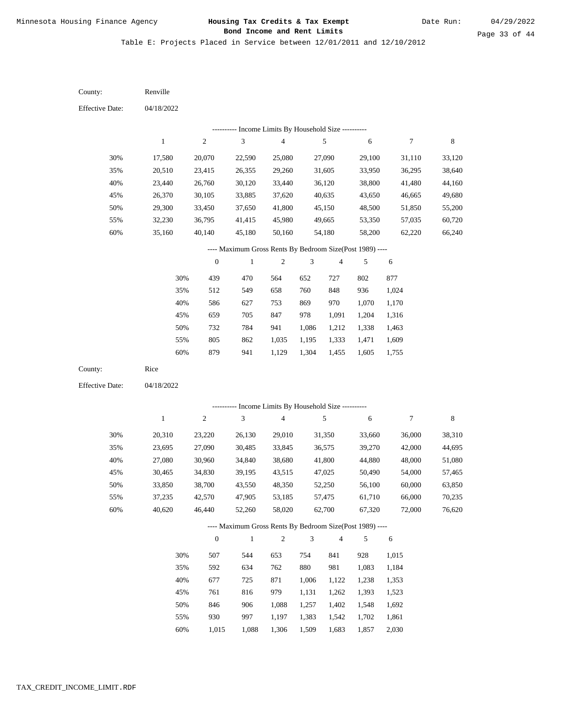Table E: Projects Placed in Service between 12/01/2011 and 12/10/2012

04/18/2022 04/18/2022 Renville Rice 30% 35% 40% 45% 50% 55% 60% 30% 35% 40% 45% 50% 55% 60% 17,580 20,510 23,440 26,370 29,300 32,230 35,160 20,310 23,695 27,080 30,465 33,850 37,235 40,620 20,070 23,415 26,760 30,105 33,450 36,795 40,140 23,220 27,090 30,960 34,830 38,700 42,570 46,440 22,590 26,355 30,120 33,885 37,650 41,415 45,180 26,130 30,485 34,840 39,195 43,550 47,905 52,260 25,080 29,260 33,440 37,620 41,800 45,980 50,160 29,010 33,845 38,680 43,515 48,350 53,185 58,020 27,090 31,605 36,120 40,635 45,150 49,665 54,180 31,350 36,575 41,800 47,025 52,250 57,475 62,700 29,100 33,950 38,800 43,650 48,500 53,350 58,200 33,660 39,270 44,880 50,490 56,100 61,710 67,320 31,110 36,295 41,480 46,665 51,850 57,035 62,220 36,000 42,000 48,000 54,000 60,000 66,000 72,000 33,120 38,640 44,160 49,680 55,200 60,720 66,240 38,310 44,695 51,080 57,465 63,850 70,235 76,620 439 512 586 659 732 805 879 507 592 677 761 846 930 1,015 470 549 627 705 784 862 941 544 634 725 816 906 997 1,088 564 658 753 847 941 1,035 1,129 653 762 871 979 1,088 1,197 1,306 652 760 869 978 1,086 1,195 1,304 754 880 1,006 1,131 1,257 1,383 1,509 727 848 970 1,091 1,212 1,333 1,455 841 981 1,122 1,262 1,402 1,542 1,683 802 936 1,070 1,204 1,338 1,471 1,605 928 1,083 1,238 1,393 1,548 1,702 1,857 877 1,024 1,170 1,316 1,463 1,609 1,755 1,015 1,184 1,353 1,523 1,692 1,861 2,030 County: County: Effective Date: Effective Date: 1 1 2 2 3 3 4 4 5 5 6 6 7 7 8 8 0 0 1 1 2 2 3 3 4 4 5 5 6 6 ---------- Income Limits By Household Size ---------- ---------- Income Limits By Household Size ---------- ---- Maximum Gross Rents By Bedroom Size(Post 1989) ---- ---- Maximum Gross Rents By Bedroom Size(Post 1989) ---- 30% 35% 40% 45% 50% 55% 60% 30% 35% 40% 45% 50% 55% 60%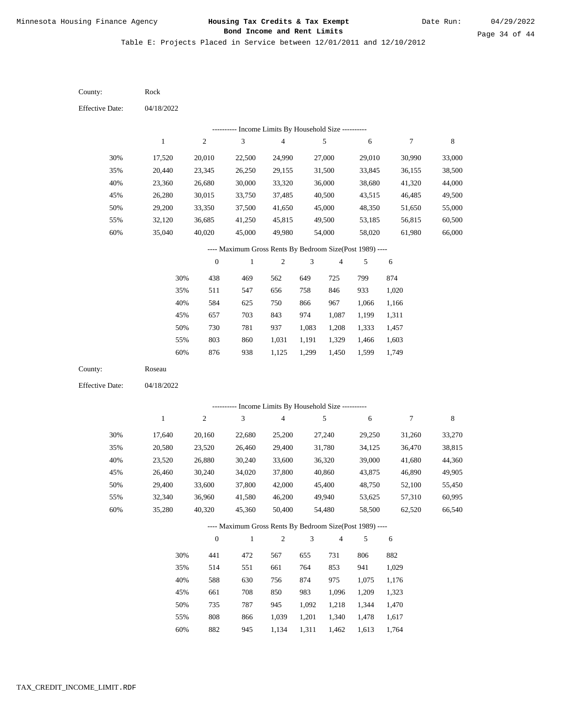Table E: Projects Placed in Service between 12/01/2011 and 12/10/2012

| County:                | Rock         |                  |                                                          |                          |                |                |        |                |         |
|------------------------|--------------|------------------|----------------------------------------------------------|--------------------------|----------------|----------------|--------|----------------|---------|
| <b>Effective Date:</b> | 04/18/2022   |                  |                                                          |                          |                |                |        |                |         |
|                        |              |                  | ---------- Income Limits By Household Size ----------    |                          |                |                |        |                |         |
|                        | $\mathbf{1}$ | $\sqrt{2}$       | $\ensuremath{\mathfrak{Z}}$                              | $\overline{\mathcal{A}}$ |                | 5              | 6      | $\overline{7}$ | $\,8\,$ |
| 30%                    | 17,520       | 20,010           | 22,500                                                   | 24,990                   |                | 27,000         | 29,010 | 30,990         | 33,000  |
| 35%                    | 20,440       | 23,345           | 26,250                                                   | 29,155                   |                | 31,500         | 33,845 | 36,155         | 38,500  |
| 40%                    | 23,360       | 26,680           | 30,000                                                   | 33,320                   |                | 36,000         | 38,680 | 41,320         | 44,000  |
| 45%                    | 26,280       | 30,015           | 33,750                                                   | 37,485                   |                | 40,500         | 43,515 | 46,485         | 49,500  |
| 50%                    | 29,200       | 33,350           | 37,500                                                   | 41,650                   |                | 45,000         | 48,350 | 51,650         | 55,000  |
| 55%                    | 32,120       | 36,685           | 41,250                                                   | 45,815                   |                | 49,500         | 53,185 | 56,815         | 60,500  |
| 60%                    | 35,040       | 40,020           | 45,000                                                   | 49,980                   |                | 54,000         | 58,020 | 61,980         | 66,000  |
|                        |              |                  | ---- Maximum Gross Rents By Bedroom Size(Post 1989) ---- |                          |                |                |        |                |         |
|                        |              | $\boldsymbol{0}$ | $\mathbf{1}$                                             | $\sqrt{2}$               | 3              | $\overline{4}$ | 5      | 6              |         |
|                        | 30%          | 438              | 469                                                      | 562                      | 649            | 725            | 799    | 874            |         |
|                        | 35%          | 511              | 547                                                      | 656                      | 758            | 846            | 933    | 1,020          |         |
|                        | 40%          | 584              | 625                                                      | 750                      | 866            | 967            | 1,066  | 1,166          |         |
|                        | 45%          | 657              | 703                                                      | 843                      | 974            | 1,087          | 1,199  | 1,311          |         |
|                        | 50%          | 730              | 781                                                      | 937                      | 1,083          | 1,208          | 1,333  | 1,457          |         |
|                        | 55%          | 803              | 860                                                      | 1,031                    | 1,191          | 1,329          | 1,466  | 1,603          |         |
|                        | 60%          | 876              | 938                                                      | 1,125                    | 1,299          | 1,450          | 1,599  | 1,749          |         |
| County:                | Roseau       |                  |                                                          |                          |                |                |        |                |         |
| <b>Effective Date:</b> | 04/18/2022   |                  |                                                          |                          |                |                |        |                |         |
|                        |              |                  | ---------- Income Limits By Household Size ----------    |                          |                |                |        |                |         |
|                        | $\mathbf{1}$ | $\boldsymbol{2}$ | $\mathfrak{Z}$                                           | $\overline{\mathbf{4}}$  |                | 5              | 6      | $\overline{7}$ | $\,8\,$ |
| 30%                    | 17,640       | 20,160           | 22,680                                                   | 25,200                   |                | 27,240         | 29,250 | 31,260         | 33,270  |
| 35%                    | 20,580       | 23,520           | 26,460                                                   | 29,400                   |                | 31,780         | 34,125 | 36,470         | 38,815  |
| 40%                    | 23,520       | 26,880           | 30,240                                                   | 33,600                   |                | 36,320         | 39,000 | 41,680         | 44,360  |
| 45%                    | 26,460       | 30,240           | 34,020                                                   | 37,800                   |                | 40,860         | 43,875 | 46,890         | 49,905  |
| 50%                    | 29,400       | 33,600           | 37,800                                                   | 42,000                   |                | 45,400         | 48,750 | 52,100         | 55,450  |
| 55%                    | 32,340       | 36,960           | 41,580                                                   | 46,200                   |                | 49,940         | 53,625 | 57,310         | 60,995  |
| 60%                    | 35,280       | 40,320           | 45,360                                                   | 50,400                   |                | 54,480         | 58,500 | 62,520         | 66,540  |
|                        |              |                  | ---- Maximum Gross Rents By Bedroom Size(Post 1989) ---- |                          |                |                |        |                |         |
|                        |              | $\mathbf{0}$     | $\,1$                                                    | $\sqrt{2}$               | $\mathfrak{Z}$ | $\overline{4}$ | 5      | 6              |         |
|                        | 30%          | 441              | 472                                                      | 567                      | 655            | 731            | 806    | 882            |         |
|                        | 35%          | 514              | 551                                                      | 661                      | 764            | 853            | 941    | 1,029          |         |
|                        | 40%          | 588              | 630                                                      | 756                      | 874            | 975            | 1,075  | 1,176          |         |
|                        | 45%          | 661              | 708                                                      | 850                      | 983            | 1,096          | 1,209  | 1,323          |         |
|                        | 50%          | 735              | 787                                                      | 945                      | 1,092          | 1,218          | 1,344  | 1,470          |         |
|                        | 55%          | $808\,$          | 866                                                      | 1,039                    | 1,201          | 1,340          | 1,478  | 1,617          |         |

60% 882 945 1,134 1,311 1,462 1,613 1,764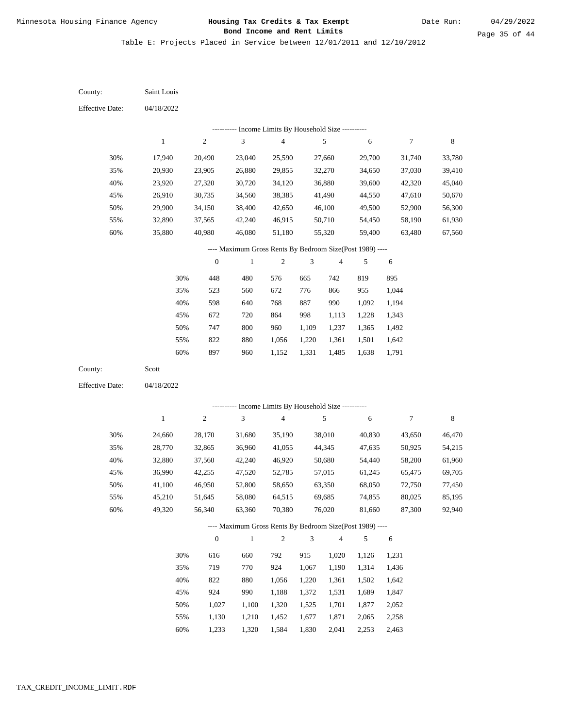Date Run:

Table E: Projects Placed in Service between 12/01/2011 and 12/10/2012

| County:                | Saint Louis      |                  |                                                                          |                                            |                |                          |                  |                  |                  |
|------------------------|------------------|------------------|--------------------------------------------------------------------------|--------------------------------------------|----------------|--------------------------|------------------|------------------|------------------|
| <b>Effective Date:</b> | 04/18/2022       |                  |                                                                          |                                            |                |                          |                  |                  |                  |
|                        |                  |                  | --------- Income Limits By Household Size ----------                     |                                            |                |                          |                  |                  |                  |
|                        | $\mathbf{1}$     | $\boldsymbol{2}$ | $\mathfrak{Z}$                                                           | 4                                          |                | 5                        | $\sqrt{6}$       | 7                | $\,$ 8 $\,$      |
| 30%                    | 17,940           | 20,490           | 23,040                                                                   | 25,590                                     |                | 27,660                   | 29,700           | 31,740           | 33,780           |
| 35%                    | 20,930           | 23,905           | 26,880                                                                   | 29,855                                     |                | 32,270                   | 34,650           | 37,030           | 39,410           |
| 40%                    | 23,920           | 27,320           | 30,720                                                                   | 34,120                                     |                | 36,880                   | 39,600           | 42,320           | 45,040           |
| 45%                    | 26,910           | 30,735           | 34,560                                                                   | 38,385                                     |                | 41,490                   | 44,550           | 47,610           | 50,670           |
| 50%                    | 29,900           | 34,150           | 38,400                                                                   | 42,650                                     |                | 46,100                   | 49,500           | 52,900           | 56,300           |
| 55%                    | 32,890           | 37,565           | 42,240                                                                   | 46,915                                     |                | 50,710                   | 54,450           | 58,190           | 61,930           |
| 60%                    | 35,880           | 40,980           | 46,080                                                                   | 51,180                                     |                | 55,320                   | 59,400           | 63,480           | 67,560           |
|                        |                  |                  | ---- Maximum Gross Rents By Bedroom Size(Post 1989) ----                 |                                            |                |                          |                  |                  |                  |
|                        |                  | $\boldsymbol{0}$ | $\,1$                                                                    | 2                                          | 3              | $\overline{\mathcal{A}}$ | 5                | 6                |                  |
|                        | 30%              | 448              | 480                                                                      | 576                                        | 665            | 742                      | 819              | 895              |                  |
|                        | 35%              | 523              | 560                                                                      | 672                                        | 776            | 866                      | 955              | 1,044            |                  |
|                        | 40%              | 598              | 640                                                                      | 768                                        | 887            | 990                      | 1,092            | 1,194            |                  |
|                        | 45%              | 672              | 720                                                                      | 864                                        | 998            | 1,113                    | 1,228            | 1,343            |                  |
|                        | 50%              | 747              | $800\,$                                                                  | 960                                        | 1,109          | 1,237                    | 1,365            | 1,492            |                  |
|                        | 55%              | 822              | 880                                                                      | 1,056                                      | 1,220          | 1,361                    | 1,501            | 1,642            |                  |
|                        | 60%              | 897              | 960                                                                      | 1,152                                      | 1,331          | 1,485                    | 1,638            | 1,791            |                  |
| County:                | Scott            |                  |                                                                          |                                            |                |                          |                  |                  |                  |
| <b>Effective Date:</b> | 04/18/2022       |                  |                                                                          |                                            |                |                          |                  |                  |                  |
|                        |                  |                  |                                                                          | Income Limits By Household Size ---------- |                |                          |                  |                  |                  |
|                        | $\mathbf{1}$     | $\sqrt{2}$       | $\mathfrak{Z}$                                                           | $\sqrt{4}$                                 |                | 5                        | 6                | 7                | $\,$ 8 $\,$      |
|                        |                  |                  |                                                                          |                                            |                |                          |                  |                  |                  |
| 30%                    | 24,660           | 28,170           | 31,680                                                                   | 35,190                                     |                | 38,010                   | 40,830           | 43,650           | 46,470           |
| 35%                    | 28,770           | 32,865           | 36,960                                                                   | 41,055                                     |                | 44,345                   | 47,635           | 50,925           | 54,215           |
| 40%<br>45%             | 32,880           | 37,560           | 42,240                                                                   | 46,920                                     |                | 50,680                   | 54,440           | 58,200           | 61,960           |
|                        | 36,990           | 42,255           | 47,520                                                                   | 52,785                                     |                | 57,015                   | 61,245           | 65,475           | 69,705           |
| 50%                    | 41,100           | 46,950           | 52,800                                                                   | 58,650                                     |                | 63,350<br>69,685         | 68,050           | 72,750<br>80,025 | 77,450           |
| 55%<br>60%             | 45,210<br>49,320 | 51,645<br>56,340 | 58,080<br>63,360                                                         | 64,515<br>70,380                           |                | 76,020                   | 74,855<br>81,660 | 87,300           | 85,195<br>92,940 |
|                        |                  |                  |                                                                          |                                            |                |                          |                  |                  |                  |
|                        |                  | $\boldsymbol{0}$ | ---- Maximum Gross Rents By Bedroom Size(Post 1989) ----<br>$\mathbf{1}$ | $\sqrt{2}$                                 | $\mathfrak{Z}$ | $\overline{\mathbf{4}}$  | 5                | $\sqrt{6}$       |                  |
|                        |                  |                  |                                                                          |                                            |                |                          |                  |                  |                  |
|                        | 30%              | 616              | 660                                                                      | 792                                        | 915            | 1,020                    | 1,126            | 1,231            |                  |
|                        | 35%              | 719              | 770                                                                      | 924                                        | 1,067          | 1,190                    | 1,314            | 1,436            |                  |
|                        | 40%              | 822              | 880                                                                      | 1,056                                      | 1,220          | 1,361                    | 1,502            | 1,642            |                  |
|                        | 45%              | 924              | 990                                                                      | 1,188                                      | 1,372          | 1,531                    | 1,689            | 1,847            |                  |
|                        | 50%              | 1,027            | 1,100                                                                    | 1,320                                      | 1,525          | 1,701                    | 1,877            | 2,052            |                  |
|                        | 55%              | 1,130            | 1,210                                                                    | 1,452                                      | 1,677          | 1,871                    | 2,065            | 2,258            |                  |

1,233 1,320 1,584 1,830 2,041 2,253 2,463 60%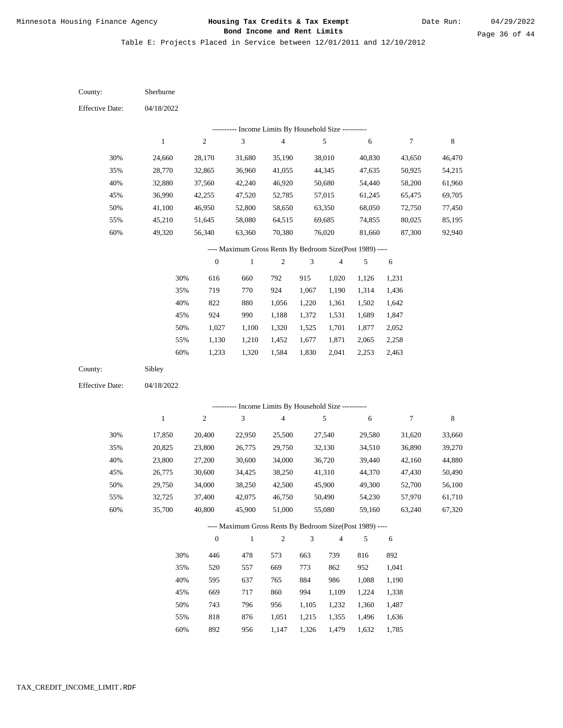Date Run:

Table E: Projects Placed in Service between 12/01/2011 and 12/10/2012

04/18/2022 04/18/2022 Sherburne Sibley 30% 35% 40% 45% 50% 55% 60% 30% 35% 40% 45% 50% 55% 60% 24,660 28,770 32,880 36,990 41,100 45,210 49,320 17,850 20,825 23,800 26,775 29,750 32,725 35,700 28,170 32,865 37,560 42,255 46,950 51,645 56,340 20,400 23,800 27,200 30,600 34,000 37,400 40,800 31,680 36,960 42,240 47,520 52,800 58,080 63,360 22,950 26,775 30,600 34,425 38,250 42,075 45,900 35,190 41,055 46,920 52,785 58,650 64,515 70,380 25,500 29,750 34,000 38,250 42,500 46,750 51,000 38,010 44,345 50,680 57,015 63,350 69,685 76,020 27,540 32,130 36,720 41,310 45,900 50,490 55,080 40,830 47,635 54,440 61,245 68,050 74,855 81,660 29,580 34,510 39,440 44,370 49,300 54,230 59,160 43,650 50,925 58,200 65,475 72,750 80,025 87,300 31,620 36,890 42,160 47,430 52,700 57,970 63,240 46,470 54,215 61,960 69,705 77,450 85,195 92,940 33,660 39,270 44,880 50,490 56,100 61,710 67,320 616 719 822 924 1,027 1,130 1,233 446 520 595 669 743 818 892 660 770 880 990 1,100 1,210 1,320 478 557 637 717 796 876 792 924 1,056 1,188 1,320 1,452 1,584 573 669 765 860 956 1,051 915 1,067 1,220 1,372 1,525 1,677 1,830 663 773 884 994 1,105 1,215 1,020 1,190 1,361 1,531 1,701 1,871 2,041 739 862 986 1,109 1,232 1,355 1,126 1,314 1,502 1,689 1,877 2,065 2,253 816 952 1,088 1,224 1,360 1,496 1,231 1,436 1,642 1,847 2,052 2,258 2,463 892 1,041 1,190 1,338 1,487 1,636 County: County: Effective Date: Effective Date: 1 1 2 2 3 3 4 4 5 5 6 6 7 7 8 8 0 0 1 1 2 2 3 3 4 4 5 5 6 6 ---------- Income Limits By Household Size ---------- ---------- Income Limits By Household Size ---------- ---- Maximum Gross Rents By Bedroom Size(Post 1989) ---- ---- Maximum Gross Rents By Bedroom Size(Post 1989) ---- 30% 35% 40% 45% 50% 55% 60% 30% 35% 40% 45% 50% 55% 60%

956

1,147

1,326

1,479

1,632

1,785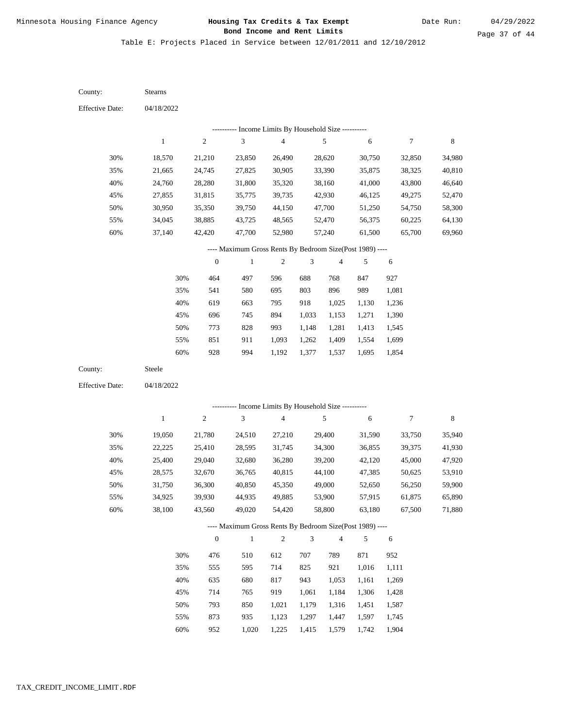Table E: Projects Placed in Service between 12/01/2011 and 12/10/2012

04/18/2022 04/18/2022 Stearns Steele 30% 35% 40% 45% 50% 55% 60% 30% 35% 40% 45% 50% 55% 60% 18,570 21,665 24,760 27,855 30,950 34,045 37,140 19,050 22,225 25,400 28,575 31,750 34,925 38,100 21,210 24,745 28,280 31,815 35,350 38,885 42,420 21,780 25,410 29,040 32,670 36,300 39,930 43,560 23,850 27,825 31,800 35,775 39,750 43,725 47,700 24,510 28,595 32,680 36,765 40,850 44,935 49,020 26,490 30,905 35,320 39,735 44,150 48,565 52,980 27,210 31,745 36,280 40,815 45,350 49,885 54,420 28,620 33,390 38,160 42,930 47,700 52,470 57,240 29,400 34,300 39,200 44,100 49,000 53,900 58,800 30,750 35,875 41,000 46,125 51,250 56,375 61,500 31,590 36,855 42,120 47,385 52,650 57,915 63,180 32,850 38,325 43,800 49,275 54,750 60,225 65,700 33,750 39,375 45,000 50,625 56,250 61,875 67,500 34,980 40,810 46,640 52,470 58,300 64,130 69,960 35,940 41,930 47,920 53,910 59,900 65,890 71,880 464 541 619 696 773 851 928 476 555 635 714 793 873 952 497 580 663 745 828 911 994 510 595 680 765 850 935 1,020 596 695 795 894 993 1,093 1,192 612 714 817 919 1,021 1,123 1,225 688 803 918 1,033 1,148 1,262 1,377 707 825 943 1,061 1,179 1,297 1,415 768 896 1,025 1,153 1,281 1,409 1,537 789 921 1,053 1,184 1,316 1,447 1,579 847 989 1,130 1,271 1,413 1,554 1,695 871 1,016 1,161 1,306 1,451 1,597 1,742 927 1,081 1,236 1,390 1,545 1,699 1,854 952 1,111 1,269 1,428 1,587 1,745 1,904 County: County: Effective Date: Effective Date: 1 1 2 2 3 3 4 4 5 5 6 6 7 7 8 8 0 0 1 1 2 2 3 3 4 4 5 5 6 6 ---------- Income Limits By Household Size ---------- ---------- Income Limits By Household Size ---------- ---- Maximum Gross Rents By Bedroom Size(Post 1989) ---- ---- Maximum Gross Rents By Bedroom Size(Post 1989) ---- 30% 35% 40% 45% 50% 55% 60% 30% 35% 40% 45% 50% 55% 60%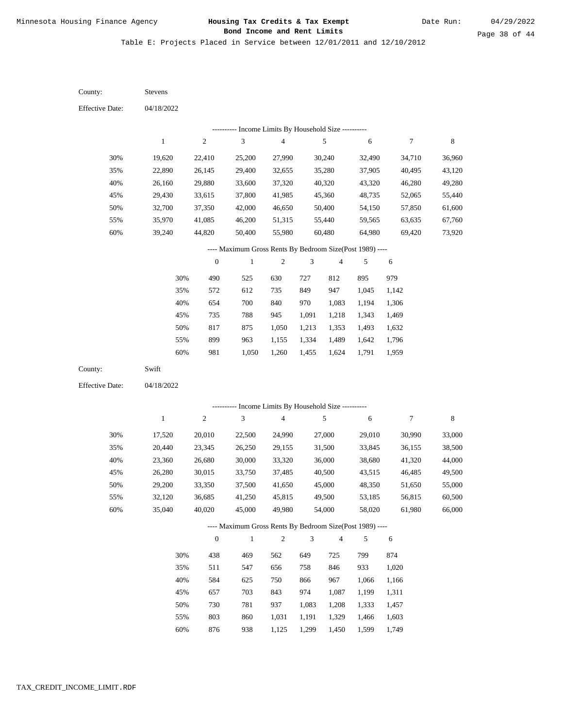Date Run:

Page 38 of 44

Table E: Projects Placed in Service between 12/01/2011 and 12/10/2012

| County:                | Stevens      |                  |                                                          |                                            |                |                         |            |                  |             |
|------------------------|--------------|------------------|----------------------------------------------------------|--------------------------------------------|----------------|-------------------------|------------|------------------|-------------|
| <b>Effective Date:</b> | 04/18/2022   |                  |                                                          |                                            |                |                         |            |                  |             |
|                        |              |                  |                                                          | Income Limits By Household Size ---------- |                |                         |            |                  |             |
|                        | $\mathbf{1}$ | $\sqrt{2}$       | $\mathfrak{Z}$                                           | $\overline{\mathbf{4}}$                    |                | $\sqrt{5}$              | $\sqrt{6}$ | $\boldsymbol{7}$ | $\,$ 8 $\,$ |
| 30%                    | 19,620       | 22,410           | 25,200                                                   | 27,990                                     |                | 30,240                  | 32,490     | 34,710           | 36,960      |
| 35%                    | 22,890       | 26,145           | 29,400                                                   | 32,655                                     |                | 35,280                  | 37,905     | 40,495           | 43,120      |
| 40%                    | 26,160       | 29,880           | 33,600                                                   | 37,320                                     |                | 40,320                  | 43,320     | 46,280           | 49,280      |
| 45%                    | 29,430       | 33,615           | 37,800                                                   | 41,985                                     |                | 45,360                  | 48,735     | 52,065           | 55,440      |
| 50%                    | 32,700       | 37,350           | 42,000                                                   | 46,650                                     |                | 50,400                  | 54,150     | 57,850           | 61,600      |
| 55%                    | 35,970       | 41,085           | 46,200                                                   | 51,315                                     |                | 55,440                  | 59,565     | 63,635           | 67,760      |
| 60%                    | 39,240       | 44,820           | 50,400                                                   | 55,980                                     |                | 60,480                  | 64,980     | 69,420           | 73,920      |
|                        |              |                  | ---- Maximum Gross Rents By Bedroom Size(Post 1989) ---- |                                            |                |                         |            |                  |             |
|                        |              | $\boldsymbol{0}$ | $\,1$                                                    | $\sqrt{2}$                                 | 3              | $\overline{\mathbf{4}}$ | 5          | $\sqrt{6}$       |             |
|                        | 30%          | 490              | 525                                                      | 630                                        | 727            | 812                     | 895        | 979              |             |
|                        | 35%          | 572              | 612                                                      | 735                                        | 849            | 947                     | 1,045      | 1,142            |             |
|                        | 40%          | 654              | 700                                                      | 840                                        | 970            | 1,083                   | 1,194      | 1,306            |             |
|                        | 45%          | 735              | 788                                                      | 945                                        | 1,091          | 1,218                   | 1,343      | 1,469            |             |
|                        | 50%          | 817              | 875                                                      | 1,050                                      | 1,213          | 1,353                   | 1,493      | 1,632            |             |
|                        | 55%          | 899              | 963                                                      | 1,155                                      | 1,334          | 1,489                   | 1,642      | 1,796            |             |
|                        | $60\%$       | 981              | 1,050                                                    | 1,260                                      | 1,455          | 1,624                   | 1,791      | 1,959            |             |
| County:                | Swift        |                  |                                                          |                                            |                |                         |            |                  |             |
| <b>Effective Date:</b> | 04/18/2022   |                  |                                                          |                                            |                |                         |            |                  |             |
|                        |              |                  |                                                          |                                            |                |                         |            |                  |             |
|                        |              |                  | --------- Income Limits By Household Size ----------     |                                            |                |                         |            |                  |             |
|                        | $\mathbf{1}$ | $\sqrt{2}$       | 3                                                        | $\overline{\mathbf{4}}$                    |                | 5                       | 6          | $\boldsymbol{7}$ | $\,$ 8 $\,$ |
| 30%                    | 17,520       | 20,010           | 22,500                                                   | 24,990                                     |                | 27,000                  | 29,010     | 30,990           | 33,000      |
| 35%                    | 20,440       | 23,345           | 26,250                                                   | 29,155                                     |                | 31,500                  | 33,845     | 36,155           | 38,500      |
| 40%                    | 23,360       | 26,680           | 30,000                                                   | 33,320                                     |                | 36,000                  | 38,680     | 41,320           | 44,000      |
| 45%                    | 26,280       | 30,015           | 33,750                                                   | 37,485                                     |                | 40,500                  | 43,515     | 46,485           | 49,500      |
| 50%                    | 29,200       | 33,350           | 37,500                                                   | 41,650                                     |                | 45,000                  | 48,350     | 51,650           | 55,000      |
| 55%                    | 32,120       | 36,685           | 41,250                                                   | 45,815                                     |                | 49,500                  | 53,185     | 56,815           | 60,500      |
| 60%                    | 35,040       | 40,020           | 45,000                                                   | 49,980                                     |                | 54,000                  | 58,020     | 61,980           | 66,000      |
|                        |              |                  | ---- Maximum Gross Rents By Bedroom Size(Post 1989) ---- |                                            |                |                         |            |                  |             |
|                        |              | $\boldsymbol{0}$ | $\,1$                                                    | $\overline{c}$                             | $\mathfrak{Z}$ | $\overline{4}$          | 5          | $\sqrt{6}$       |             |
|                        | 30%          | 438              | 469                                                      | 562                                        | 649            | 725                     | 799        | 874              |             |
|                        | 35%          | 511              | 547                                                      | 656                                        | 758            | 846                     | 933        | 1,020            |             |
|                        | 40%          | 584              | 625                                                      | 750                                        | 866            | 967                     | 1,066      | 1,166            |             |
|                        | 45%          | 657              | 703                                                      | 843                                        | 974            | 1,087                   | 1,199      | 1,311            |             |
|                        | 50%          | 730              | 781                                                      | 937                                        | 1,083          | 1,208                   | 1,333      | 1,457            |             |
|                        | 55%          | 803              | 860                                                      | 1,031                                      | 1,191          | 1,329                   | 1,466      | 1,603            |             |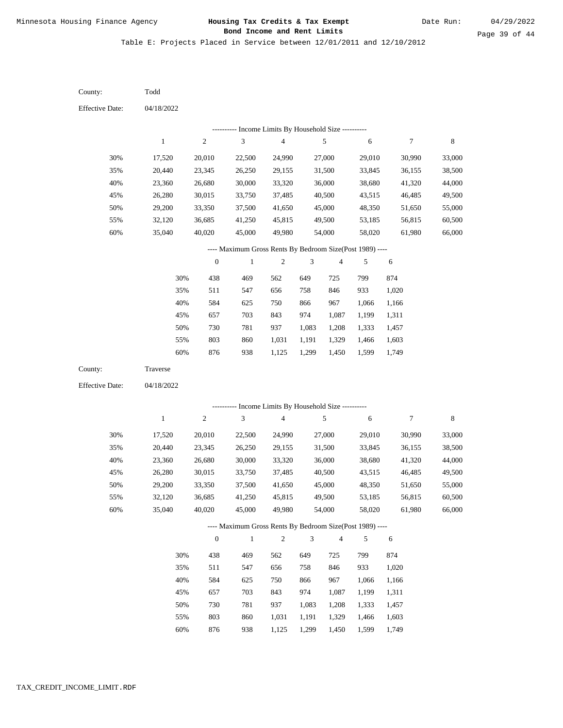Table E: Projects Placed in Service between 12/01/2011 and 12/10/2012

| County:                | Todd         |                  |                                                          |                          |                |                |            |                  |         |
|------------------------|--------------|------------------|----------------------------------------------------------|--------------------------|----------------|----------------|------------|------------------|---------|
| <b>Effective Date:</b> | 04/18/2022   |                  |                                                          |                          |                |                |            |                  |         |
|                        |              |                  | ---------- Income Limits By Household Size ----------    |                          |                |                |            |                  |         |
|                        | $\mathbf{1}$ | $\sqrt{2}$       | 3                                                        | $\overline{\mathcal{A}}$ |                | 5              | 6          | $\boldsymbol{7}$ | $\,8\,$ |
| 30%                    | 17,520       | 20,010           | 22,500                                                   | 24,990                   |                | 27,000         | 29,010     | 30,990           | 33,000  |
| 35%                    | 20,440       | 23,345           | 26,250                                                   | 29,155                   |                | 31,500         | 33,845     | 36,155           | 38,500  |
| 40%                    | 23,360       | 26,680           | 30,000                                                   | 33,320                   |                | 36,000         | 38,680     | 41,320           | 44,000  |
| 45%                    | 26,280       | 30,015           | 33,750                                                   | 37,485                   |                | 40,500         | 43,515     | 46,485           | 49,500  |
| 50%                    | 29,200       | 33,350           | 37,500                                                   | 41,650                   |                | 45,000         | 48,350     | 51,650           | 55,000  |
| 55%                    | 32,120       | 36,685           | 41,250                                                   | 45,815                   |                | 49,500         | 53,185     | 56,815           | 60,500  |
| 60%                    | 35,040       | 40,020           | 45,000                                                   | 49,980                   |                | 54,000         | 58,020     | 61,980           | 66,000  |
|                        |              |                  | ---- Maximum Gross Rents By Bedroom Size(Post 1989) ---- |                          |                |                |            |                  |         |
|                        |              | $\boldsymbol{0}$ | $\,1$                                                    | $\boldsymbol{2}$         | $\mathfrak{Z}$ | $\overline{4}$ | 5          | 6                |         |
|                        | 30%          | 438              | 469                                                      | 562                      | 649            | 725            | 799        | 874              |         |
|                        | 35%          | 511              | 547                                                      | 656                      | 758            | 846            | 933        | 1,020            |         |
|                        | 40%          | 584              | 625                                                      | 750                      | 866            | 967            | 1,066      | 1,166            |         |
|                        | 45%          | 657              | 703                                                      | 843                      | 974            | 1,087          | 1,199      | 1,311            |         |
|                        | 50%          | 730              | 781                                                      | 937                      | 1,083          | 1,208          | 1,333      | 1,457            |         |
|                        | 55%          | 803              | 860                                                      | 1,031                    | 1,191          | 1,329          | 1,466      | 1,603            |         |
|                        | 60%          | 876              | 938                                                      | 1,125                    | 1,299          | 1,450          | 1,599      | 1,749            |         |
| County:                | Traverse     |                  |                                                          |                          |                |                |            |                  |         |
| <b>Effective Date:</b> | 04/18/2022   |                  |                                                          |                          |                |                |            |                  |         |
|                        |              |                  | --------- Income Limits By Household Size ----------     |                          |                |                |            |                  |         |
|                        | $\mathbf{1}$ | $\boldsymbol{2}$ | $\mathfrak{Z}$                                           | $\overline{4}$           |                | 5              | $\sqrt{6}$ | $\boldsymbol{7}$ | $\,8\,$ |
| 30%                    | 17,520       | 20,010           | 22,500                                                   | 24,990                   |                | 27,000         | 29,010     | 30,990           | 33,000  |
| 35%                    | 20,440       | 23,345           | 26,250                                                   | 29,155                   |                | 31,500         | 33,845     | 36,155           | 38,500  |
| 40%                    | 23,360       | 26,680           | 30,000                                                   | 33,320                   |                | 36,000         | 38,680     | 41,320           | 44,000  |
| 45%                    | 26,280       | 30,015           | 33,750                                                   | 37,485                   |                | 40,500         | 43,515     | 46,485           | 49,500  |
| 50%                    | 29,200       | 33,350           | 37,500                                                   | 41,650                   |                | 45,000         | 48,350     | 51,650           | 55,000  |
| 55%                    | 32,120       | 36,685           | 41,250                                                   | 45,815                   |                | 49,500         | 53,185     | 56,815           | 60,500  |
| 60%                    | 35,040       | 40,020           | 45,000                                                   | 49,980                   |                | 54,000         | 58,020     | 61,980           | 66,000  |
|                        |              |                  | ---- Maximum Gross Rents By Bedroom Size(Post 1989) ---- |                          |                |                |            |                  |         |
|                        |              | $\boldsymbol{0}$ | $\,1$                                                    | $\sqrt{2}$               | $\mathfrak{Z}$ | $\overline{4}$ | 5          | 6                |         |
|                        | 30%          | 438              | 469                                                      | 562                      | 649            | 725            | 799        | 874              |         |
|                        | 35%          | 511              | 547                                                      | 656                      | 758            | 846            | 933        | 1,020            |         |
|                        | 40%          | 584              | 625                                                      | 750                      | 866            | 967            | 1,066      | 1,166            |         |
|                        | 45%          | 657              | 703                                                      | 843                      | 974            | 1,087          | 1,199      | 1,311            |         |
|                        | 50%          | 730              | 781                                                      | 937                      | 1,083          | 1,208          | 1,333      | 1,457            |         |
|                        | 55%          | 803              | 860                                                      | 1,031                    | 1,191          | 1,329          | 1,466      | 1,603            |         |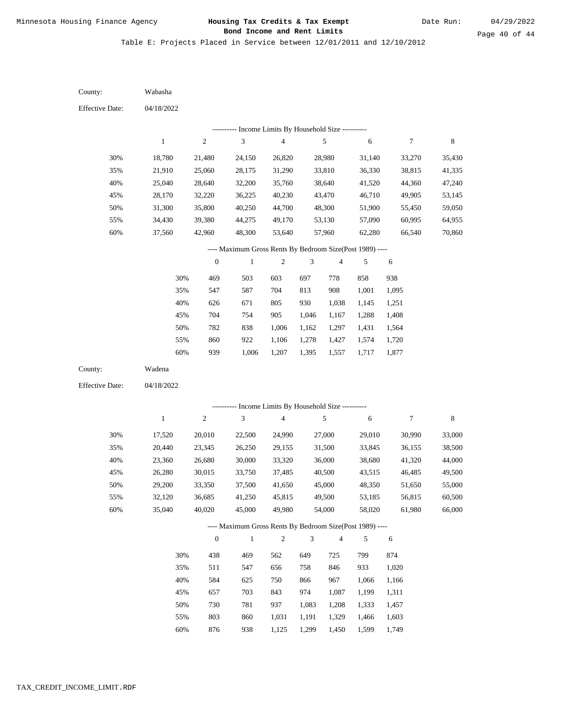Date Run:

Table E: Projects Placed in Service between 12/01/2011 and 12/10/2012

| County:                | Wabasha          |                  |                                                          |                                            |       |                  |                  |                  |                  |
|------------------------|------------------|------------------|----------------------------------------------------------|--------------------------------------------|-------|------------------|------------------|------------------|------------------|
| <b>Effective Date:</b> | 04/18/2022       |                  |                                                          |                                            |       |                  |                  |                  |                  |
|                        |                  |                  |                                                          | Income Limits By Household Size ---------- |       |                  |                  |                  |                  |
|                        | $\mathbf{1}$     | $\sqrt{2}$       | $\ensuremath{\mathfrak{Z}}$                              | $\overline{\mathcal{L}}$                   |       | $\sqrt{5}$       | 6                | $\boldsymbol{7}$ | 8                |
| 30%                    | 18,780           | 21,480           | 24,150                                                   | 26,820                                     |       | 28,980           | 31,140           | 33,270           | 35,430           |
| 35%                    | 21,910           | 25,060           | 28,175                                                   | 31,290                                     |       | 33,810           | 36,330           | 38,815           | 41,335           |
| 40%                    | 25,040           | 28,640           | 32,200                                                   | 35,760                                     |       | 38,640           | 41,520           | 44,360           | 47,240           |
| 45%                    | 28,170           | 32,220           | 36,225                                                   | 40,230                                     |       | 43,470           | 46,710           | 49,905           | 53,145           |
| 50%                    | 31,300           | 35,800           | 40,250                                                   | 44,700                                     |       | 48,300           | 51,900           | 55,450           | 59,050           |
| 55%                    | 34,430           | 39,380           | 44,275                                                   | 49,170                                     |       | 53,130           | 57,090           | 60,995           | 64,955           |
| 60%                    | 37,560           | 42,960           | 48,300                                                   | 53,640                                     |       | 57,960           | 62,280           | 66,540           | 70,860           |
|                        |                  |                  | ---- Maximum Gross Rents By Bedroom Size(Post 1989) ---- |                                            |       |                  |                  |                  |                  |
|                        |                  | $\boldsymbol{0}$ | $\mathbf{1}$                                             | $\overline{c}$                             | 3     | 4                | 5                | 6                |                  |
|                        | 30%              | 469              | 503                                                      | 603                                        | 697   | 778              | 858              | 938              |                  |
|                        | 35%              | 547              | 587                                                      | 704                                        | 813   | 908              | 1,001            | 1,095            |                  |
|                        | 40%              | 626              | 671                                                      | 805                                        | 930   | 1,038            | 1,145            | 1,251            |                  |
|                        | 45%              | 704              | 754                                                      | 905                                        | 1,046 | 1,167            | 1,288            | 1,408            |                  |
|                        | 50%              | 782              | 838                                                      | 1,006                                      | 1,162 | 1,297            | 1,431            | 1,564            |                  |
|                        | 55%              | 860              | 922                                                      | 1,106                                      | 1,278 | 1,427            | 1,574            | 1,720            |                  |
|                        | 60%              | 939              | 1,006                                                    | 1,207                                      | 1,395 | 1,557            | 1,717            | 1,877            |                  |
| County:                | Wadena           |                  |                                                          |                                            |       |                  |                  |                  |                  |
| <b>Effective Date:</b> | 04/18/2022       |                  |                                                          |                                            |       |                  |                  |                  |                  |
|                        |                  |                  | --------- Income Limits By Household Size ----------     |                                            |       |                  |                  |                  |                  |
|                        | $\mathbf{1}$     | $\sqrt{2}$       | $\ensuremath{\mathfrak{Z}}$                              | $\overline{\mathbf{4}}$                    |       | $\sqrt{5}$       | 6                | $\tau$           | 8                |
|                        |                  |                  |                                                          |                                            |       |                  |                  |                  |                  |
| 30%                    | 17,520           | 20,010           | 22,500                                                   | 24,990                                     |       | 27,000           | 29,010           | 30,990           | 33,000           |
| 35%                    | 20,440           | 23,345           | 26,250                                                   | 29,155                                     |       | 31,500           | 33,845           | 36,155           | 38,500           |
| 40%                    | 23,360           | 26,680           | 30,000                                                   | 33,320                                     |       | 36,000           | 38,680           | 41,320           | 44,000           |
| 45%                    | 26,280           | 30,015           | 33,750                                                   | 37,485                                     |       | 40,500           | 43,515           | 46,485           | 49,500           |
| 50%                    | 29,200           | 33,350           | 37,500                                                   | 41,650                                     |       | 45,000           | 48,350           | 51,650           | 55,000           |
| 55%<br>60%             | 32,120<br>35,040 | 36,685<br>40,020 | 41,250<br>45,000                                         | 45,815<br>49,980                           |       | 49,500<br>54,000 | 53,185<br>58,020 | 56,815<br>61,980 | 60,500<br>66,000 |
|                        |                  |                  |                                                          |                                            |       |                  |                  |                  |                  |
|                        |                  |                  | ---- Maximum Gross Rents By Bedroom Size(Post 1989) ---- |                                            |       |                  |                  |                  |                  |
|                        |                  | $\boldsymbol{0}$ | $\mathbf{1}$                                             | $\overline{c}$                             | 3     | 4                | 5                | 6                |                  |
|                        | 30%              | 438              | 469                                                      | 562                                        | 649   | 725              | 799              | 874              |                  |
|                        | 35%              | 511              | 547                                                      | 656                                        | 758   | 846              | 933              | 1,020            |                  |
|                        | 40%              | 584              | 625                                                      | 750                                        | 866   | 967              | 1,066            | 1,166            |                  |
|                        | 45%              | 657              | 703                                                      | 843                                        | 974   | 1,087            | 1,199            | 1,311            |                  |
|                        | 50%              | 730              | 781                                                      | 937                                        | 1,083 | 1,208            | 1,333            | 1,457            |                  |
|                        | 55%              | 803              | 860                                                      | 1,031                                      | 1,191 | 1,329            | 1,466            | 1,603            |                  |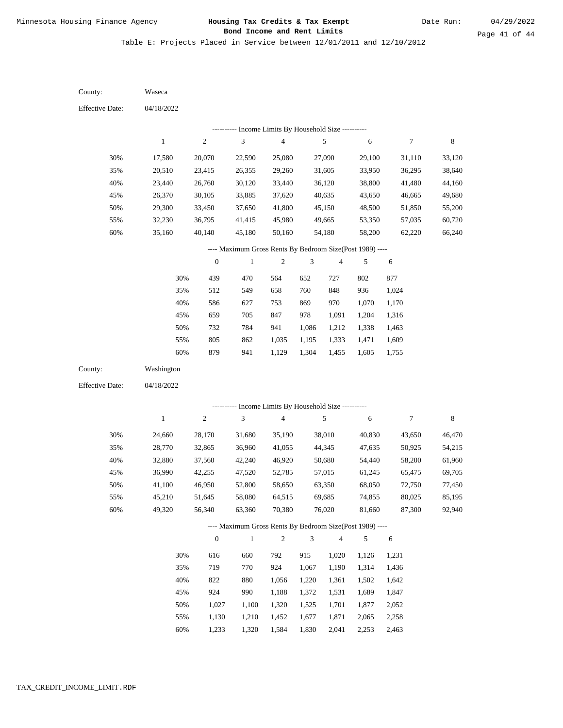Table E: Projects Placed in Service between 12/01/2011 and 12/10/2012

| County:                | Waseca       |                  |                                                          |                         |                |                |            |            |             |
|------------------------|--------------|------------------|----------------------------------------------------------|-------------------------|----------------|----------------|------------|------------|-------------|
| <b>Effective Date:</b> | 04/18/2022   |                  |                                                          |                         |                |                |            |            |             |
|                        |              |                  | ---------- Income Limits By Household Size ----------    |                         |                |                |            |            |             |
|                        | $\mathbf{1}$ | $\boldsymbol{2}$ | $\ensuremath{\mathfrak{Z}}$                              | $\overline{\mathbf{4}}$ |                | 5              | $\sqrt{6}$ | 7          | $\,$ 8 $\,$ |
| 30%                    | 17,580       | 20,070           | 22,590                                                   | 25,080                  |                | 27,090         | 29,100     | 31,110     | 33,120      |
| 35%                    | 20,510       | 23,415           | 26,355                                                   | 29,260                  |                | 31,605         | 33,950     | 36,295     | 38,640      |
| 40%                    | 23,440       | 26,760           | 30,120                                                   | 33,440                  |                | 36,120         | 38,800     | 41,480     | 44,160      |
| 45%                    | 26,370       | 30,105           | 33,885                                                   | 37,620                  |                | 40,635         | 43,650     | 46,665     | 49,680      |
| 50%                    | 29,300       | 33,450           | 37,650                                                   | 41,800                  |                | 45,150         | 48,500     | 51,850     | 55,200      |
| 55%                    | 32,230       | 36,795           | 41,415                                                   | 45,980                  |                | 49,665         | 53,350     | 57,035     | 60,720      |
| 60%                    | 35,160       | 40,140           | 45,180                                                   | 50,160                  |                | 54,180         | 58,200     | 62,220     | 66,240      |
|                        |              |                  | ---- Maximum Gross Rents By Bedroom Size(Post 1989) ---- |                         |                |                |            |            |             |
|                        |              | $\boldsymbol{0}$ | $\,1$                                                    | $\boldsymbol{2}$        | 3              | 4              | 5          | 6          |             |
|                        | 30%          | 439              | 470                                                      | 564                     | 652            | 727            | 802        | 877        |             |
|                        | 35%          | 512              | 549                                                      | 658                     | 760            | 848            | 936        | 1,024      |             |
|                        | 40%          | 586              | 627                                                      | 753                     | 869            | 970            | 1,070      | 1,170      |             |
|                        | 45%          | 659              | 705                                                      | 847                     | 978            | 1,091          | 1,204      | 1,316      |             |
|                        | 50%          | 732              | 784                                                      | 941                     | 1,086          | 1,212          | 1,338      | 1,463      |             |
|                        | 55%          | 805              | 862                                                      | 1,035                   | 1,195          | 1,333          | 1,471      | 1,609      |             |
|                        | 60%          | 879              | 941                                                      | 1,129                   | 1,304          | 1,455          | 1,605      | 1,755      |             |
| County:                | Washington   |                  |                                                          |                         |                |                |            |            |             |
| <b>Effective Date:</b> | 04/18/2022   |                  |                                                          |                         |                |                |            |            |             |
|                        |              |                  | ---------- Income Limits By Household Size ----------    |                         |                |                |            |            |             |
|                        | $\mathbf{1}$ | $\sqrt{2}$       | $\mathfrak{Z}$                                           | $\overline{\mathbf{4}}$ |                | 5              | $\sqrt{6}$ | 7          | $\,$ 8 $\,$ |
| 30%                    | 24,660       | 28,170           | 31,680                                                   | 35,190                  |                | 38,010         | 40,830     | 43,650     | 46,470      |
| 35%                    | 28,770       | 32,865           | 36,960                                                   | 41,055                  |                | 44,345         | 47,635     | 50,925     | 54,215      |
| 40%                    | 32,880       | 37,560           | 42,240                                                   | 46,920                  |                | 50,680         | 54,440     | 58,200     | 61,960      |
| 45%                    | 36,990       | 42,255           | 47,520                                                   | 52,785                  |                | 57,015         | 61,245     | 65,475     | 69,705      |
| 50%                    | 41,100       | 46,950           | 52,800                                                   | 58,650                  |                | 63,350         | 68,050     | 72,750     | 77,450      |
| 55%                    | 45,210       | 51,645           | 58,080                                                   | 64,515                  |                | 69,685         | 74,855     | 80,025     | 85,195      |
| 60%                    | 49,320       | 56,340           | 63,360                                                   | 70,380                  |                | 76,020         | 81,660     | 87,300     | 92,940      |
|                        |              |                  | ---- Maximum Gross Rents By Bedroom Size(Post 1989) ---- |                         |                |                |            |            |             |
|                        |              | $\boldsymbol{0}$ | $\,1$                                                    | $\sqrt{2}$              | $\mathfrak{Z}$ | $\overline{4}$ | 5          | $\sqrt{6}$ |             |
|                        | 30%          | 616              | 660                                                      | 792                     | 915            | 1,020          | 1,126      | 1,231      |             |
|                        | 35%          | 719              | 770                                                      | 924                     | 1,067          | 1,190          | 1,314      | 1,436      |             |
|                        | 40%          | 822              | 880                                                      | 1,056                   | 1,220          | 1,361          | 1,502      | 1,642      |             |
|                        | 45%          | 924              | 990                                                      | 1,188                   | 1,372          | 1,531          | 1,689      | 1,847      |             |
|                        | 50%          | 1,027            | 1,100                                                    | 1,320                   | 1,525          | 1,701          | 1,877      | 2,052      |             |
|                        | 55%          | 1,130            | 1,210                                                    | 1,452                   | 1,677          | 1,871          | 2,065      | 2,258      |             |
|                        |              |                  |                                                          |                         |                |                |            |            |             |

1,233 1,320 1,584 1,830 2,041 2,253 2,463 60%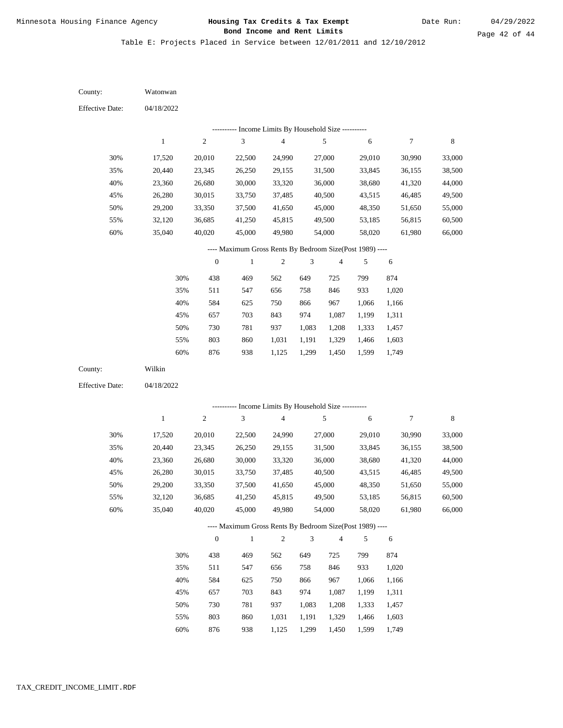Date Run:

Table E: Projects Placed in Service between 12/01/2011 and 12/10/2012

04/18/2022 04/18/2022 Watonwan Wilkin 30% 35% 40% 45% 50% 55% 60% 30% 35% 40% 45% 50% 55% 60% 17,520 20,440 23,360 26,280 29,200 32,120 35,040 17,520 20,440 23,360 26,280 29,200 32,120 35,040 20,010 23,345 26,680 30,015 33,350 36,685 40,020 20,010 23,345 26,680 30,015 33,350 36,685 40,020 22,500 26,250 30,000 33,750 37,500 41,250 45,000 22,500 26,250 30,000 33,750 37,500 41,250 45,000 24,990 29,155 33,320 37,485 41,650 45,815 49,980 24,990 29,155 33,320 37,485 41,650 45,815 49,980 27,000 31,500 36,000 40,500 45,000 49,500 54,000 27,000 31,500 36,000 40,500 45,000 49,500 54,000 29,010 33,845 38,680 43,515 48,350 53,185 58,020 29,010 33,845 38,680 43,515 48,350 53,185 58,020 30,990 36,155 41,320 46,485 51,650 56,815 61,980 30,990 36,155 41,320 46,485 51,650 56,815 61,980 33,000 38,500 44,000 49,500 55,000 60,500 66,000 33,000 38,500 44,000 49,500 55,000 60,500 66,000 438 511 584 657 730 803 876 438 511 584 657 730 803 876 469 547 625 703 781 860 938 469 547 625 703 781 860 938 562 656 750 843 937 1,031 1,125 562 656 750 843 937 1,031 1,125 649 758 866 974 1,083 1,191 1,299 649 758 866 974 1,083 1,191 1,299 725 846 967 1,087 1,208 1,329 1,450 725 846 967 1,087 1,208 1,329 1,450 799 933 1,066 1,199 1,333 1,466 1,599 799 933 1,066 1,199 1,333 1,466 1,599 874 1,020 1,166 1,311 1,457 1,603 1,749 874 1,020 1,166 1,311 1,457 1,603 1,749 County: County: Effective Date: Effective Date: 1 1 2 2 3 3 4 4 5 5 6 6 7 7 8 8 0 0 1 1 2 2 3 3 4 4 5 5 6 6 ---------- Income Limits By Household Size ---------- ---------- Income Limits By Household Size ---------- ---- Maximum Gross Rents By Bedroom Size(Post 1989) ---- ---- Maximum Gross Rents By Bedroom Size(Post 1989) ---- 30% 35% 40% 45% 50% 55% 60% 30% 35% 40% 45% 50% 55% 60%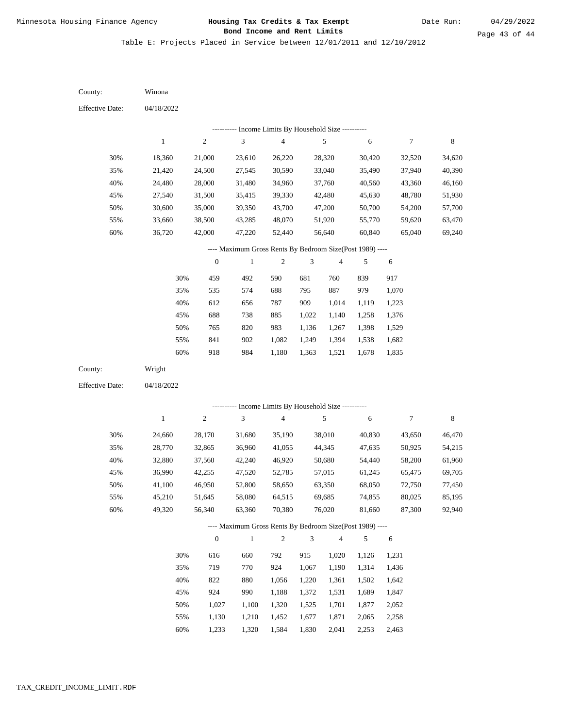Table E: Projects Placed in Service between 12/01/2011 and 12/10/2012

| County:                                                  | Winona                                                                                                                                                           |                  |                             |                          |                |                          |        |                  |         |  |
|----------------------------------------------------------|------------------------------------------------------------------------------------------------------------------------------------------------------------------|------------------|-----------------------------|--------------------------|----------------|--------------------------|--------|------------------|---------|--|
| <b>Effective Date:</b>                                   | 04/18/2022                                                                                                                                                       |                  |                             |                          |                |                          |        |                  |         |  |
| Income Limits By Household Size ----------               |                                                                                                                                                                  |                  |                             |                          |                |                          |        |                  |         |  |
|                                                          | $\mathbf{1}$                                                                                                                                                     | $\sqrt{2}$       | $\ensuremath{\mathfrak{Z}}$ | $\overline{\mathcal{L}}$ |                | 5                        | 6      | $\boldsymbol{7}$ | $\,8\,$ |  |
| 30%                                                      | 18,360                                                                                                                                                           | 21,000           | 23,610                      | 26,220                   |                | 28,320                   | 30,420 | 32,520           | 34,620  |  |
| 35%                                                      | 21,420                                                                                                                                                           | 24,500           | 27,545                      | 30,590                   |                | 33,040                   | 35,490 | 37,940           | 40,390  |  |
| 40%                                                      | 24,480                                                                                                                                                           | 28,000           | 31,480                      | 34,960                   |                | 37,760                   | 40,560 | 43,360           | 46,160  |  |
| 45%                                                      | 27,540                                                                                                                                                           | 31,500           | 35,415                      | 39,330                   |                | 42,480                   | 45,630 | 48,780           | 51,930  |  |
| 50%                                                      | 30,600                                                                                                                                                           | 35,000           | 39,350                      | 43,700                   |                | 47,200                   | 50,700 | 54,200           | 57,700  |  |
| 55%                                                      | 33,660                                                                                                                                                           | 38,500           | 43,285                      | 48,070                   |                | 51,920                   | 55,770 | 59,620           | 63,470  |  |
| 60%                                                      | 36,720                                                                                                                                                           | 42,000           | 47,220                      | 52,440                   |                | 56,640                   | 60,840 | 65,040           | 69,240  |  |
| ---- Maximum Gross Rents By Bedroom Size(Post 1989) ---- |                                                                                                                                                                  |                  |                             |                          |                |                          |        |                  |         |  |
|                                                          |                                                                                                                                                                  | $\boldsymbol{0}$ | 1                           | 2                        | 3              | $\overline{\mathbf{4}}$  | 5      | 6                |         |  |
|                                                          | 30%                                                                                                                                                              | 459              | 492                         | 590                      | 681            | 760                      | 839    | 917              |         |  |
|                                                          | 35%                                                                                                                                                              | 535              | 574                         | 688                      | 795            | 887                      | 979    | 1,070            |         |  |
|                                                          | 40%                                                                                                                                                              | 612              | 656                         | 787                      | 909            | 1,014                    | 1,119  | 1,223            |         |  |
|                                                          | 45%                                                                                                                                                              | 688              | 738                         | 885                      | 1,022          | 1,140                    | 1,258  | 1,376            |         |  |
|                                                          | 50%                                                                                                                                                              | 765              | 820                         | 983                      | 1,136          | 1,267                    | 1,398  | 1,529            |         |  |
|                                                          | 55%                                                                                                                                                              | 841              | 902                         | 1,082                    | 1,249          | 1,394                    | 1,538  | 1,682            |         |  |
|                                                          | 60%                                                                                                                                                              | 918              | 984                         | 1,180                    | 1,363          | 1,521                    | 1,678  | 1,835            |         |  |
| County:                                                  | Wright                                                                                                                                                           |                  |                             |                          |                |                          |        |                  |         |  |
| <b>Effective Date:</b>                                   | 04/18/2022                                                                                                                                                       |                  |                             |                          |                |                          |        |                  |         |  |
|                                                          |                                                                                                                                                                  |                  |                             |                          |                |                          |        |                  |         |  |
|                                                          | --------- Income Limits By Household Size ----------<br>$\,1$<br>$\sqrt{2}$<br>$\ensuremath{\mathfrak{Z}}$<br>$\sqrt{4}$<br>5<br>$\boldsymbol{7}$<br>$\,$ 8 $\,$ |                  |                             |                          |                |                          |        |                  |         |  |
|                                                          |                                                                                                                                                                  |                  |                             |                          |                |                          | 6      |                  |         |  |
| 30%                                                      | 24,660                                                                                                                                                           | 28,170           | 31,680                      | 35,190                   |                | 38,010                   | 40,830 | 43,650           | 46,470  |  |
| 35%                                                      | 28,770                                                                                                                                                           | 32,865           | 36,960                      | 41,055                   |                | 44,345                   | 47,635 | 50,925           | 54,215  |  |
| 40%                                                      | 32,880                                                                                                                                                           | 37,560           | 42,240                      | 46,920                   |                | 50,680                   | 54,440 | 58,200           | 61,960  |  |
| 45%                                                      | 36,990                                                                                                                                                           | 42,255           | 47,520                      | 52,785                   |                | 57,015                   | 61,245 | 65,475           | 69,705  |  |
| 50%                                                      | 41,100                                                                                                                                                           | 46,950           | 52,800                      | 58,650                   |                | 63,350                   | 68,050 | 72,750           | 77,450  |  |
| 55%                                                      | 45,210                                                                                                                                                           | 51,645<br>56,340 | 58,080                      | 64,515                   |                | 69,685                   | 74,855 | 80,025           | 85,195  |  |
| 60%                                                      | 49,320                                                                                                                                                           |                  | 63,360                      | 70,380                   |                | 76,020                   | 81,660 | 87,300           | 92,940  |  |
|                                                          | ---- Maximum Gross Rents By Bedroom Size(Post 1989) ----                                                                                                         |                  |                             |                          |                |                          |        |                  |         |  |
|                                                          |                                                                                                                                                                  | $\boldsymbol{0}$ | $\mathbf{1}$                | $\mathfrak{2}$           | $\mathfrak{Z}$ | $\overline{\mathcal{A}}$ | 5      | 6                |         |  |
|                                                          | 30%                                                                                                                                                              | 616              | 660                         | 792                      | 915            | 1,020                    | 1,126  | 1,231            |         |  |
|                                                          | 35%                                                                                                                                                              | 719              | 770                         | 924                      | 1,067          | 1,190                    | 1,314  | 1,436            |         |  |
|                                                          | 40%                                                                                                                                                              | 822              | 880                         | 1,056                    | 1,220          | 1,361                    | 1,502  | 1,642            |         |  |
|                                                          | 45%                                                                                                                                                              | 924              | 990                         | 1,188                    | 1,372          | 1,531                    | 1,689  | 1,847            |         |  |
|                                                          | 50%                                                                                                                                                              | 1,027            | 1,100                       | 1,320                    | 1,525          | 1,701                    | 1,877  | 2,052            |         |  |
|                                                          | 55%                                                                                                                                                              | 1,130            | 1,210                       | 1,452                    | 1,677          | 1,871                    | 2,065  | 2,258            |         |  |

1,233 1,320 1,584 1,830 2,041 2,253 2,463 60%